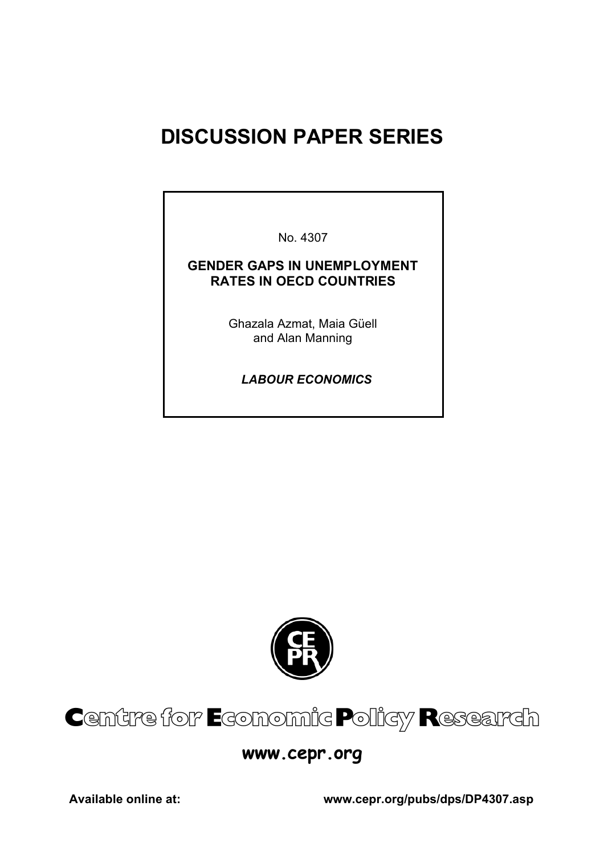# **DISCUSSION PAPER SERIES**

No. 4307

### **GENDER GAPS IN UNEMPLOYMENT RATES IN OECD COUNTRIES**

Ghazala Azmat, Maia Güell and Alan Manning

 *LABOUR ECONOMICS*



# Centre for Economic Policy Research

## **www.cepr.org**

**Available online at: www.cepr.org/pubs/dps/DP4307.asp**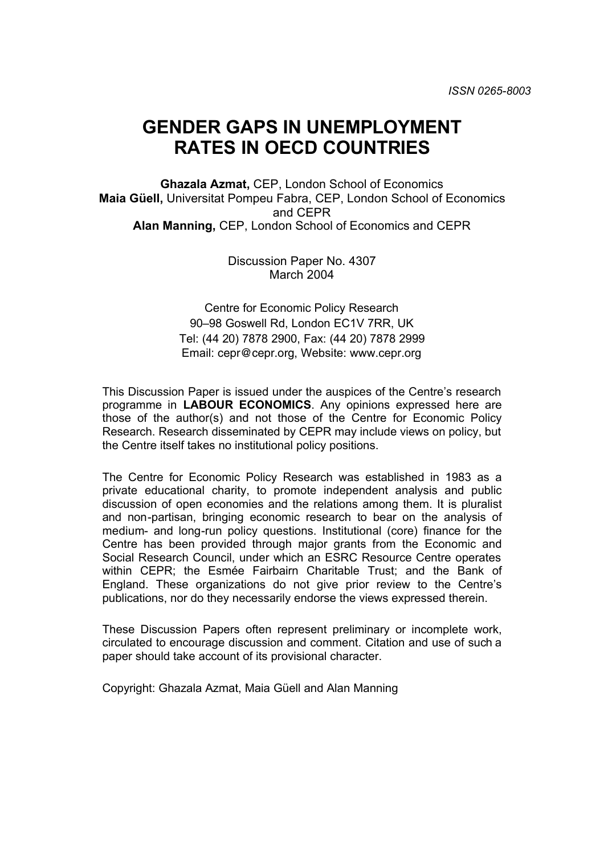# **GENDER GAPS IN UNEMPLOYMENT RATES IN OECD COUNTRIES**

**Ghazala Azmat,** CEP, London School of Economics **Maia Güell,** Universitat Pompeu Fabra, CEP, London School of Economics and CEPR **Alan Manning,** CEP, London School of Economics and CEPR

> Discussion Paper No. 4307 March 2004

Centre for Economic Policy Research 90–98 Goswell Rd, London EC1V 7RR, UK Tel: (44 20) 7878 2900, Fax: (44 20) 7878 2999 Email: cepr@cepr.org, Website: www.cepr.org

This Discussion Paper is issued under the auspices of the Centre's research programme in **LABOUR ECONOMICS**. Any opinions expressed here are those of the author(s) and not those of the Centre for Economic Policy Research. Research disseminated by CEPR may include views on policy, but the Centre itself takes no institutional policy positions.

The Centre for Economic Policy Research was established in 1983 as a private educational charity, to promote independent analysis and public discussion of open economies and the relations among them. It is pluralist and non-partisan, bringing economic research to bear on the analysis of medium- and long-run policy questions. Institutional (core) finance for the Centre has been provided through major grants from the Economic and Social Research Council, under which an ESRC Resource Centre operates within CEPR; the Esmée Fairbairn Charitable Trust; and the Bank of England. These organizations do not give prior review to the Centre's publications, nor do they necessarily endorse the views expressed therein.

These Discussion Papers often represent preliminary or incomplete work, circulated to encourage discussion and comment. Citation and use of such a paper should take account of its provisional character.

Copyright: Ghazala Azmat, Maia Güell and Alan Manning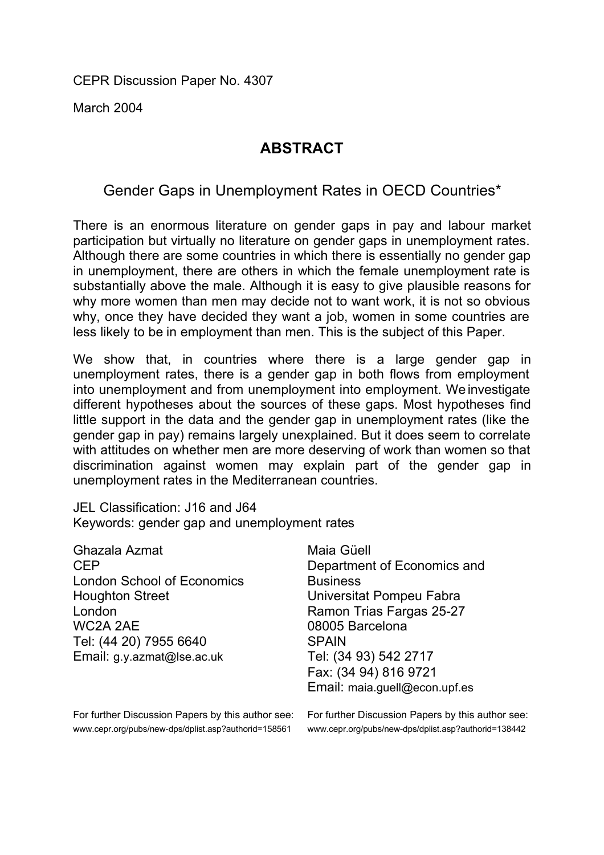CEPR Discussion Paper No. 4307

March 2004

## **ABSTRACT**

## Gender Gaps in Unemployment Rates in OECD Countries\*

There is an enormous literature on gender gaps in pay and labour market participation but virtually no literature on gender gaps in unemployment rates. Although there are some countries in which there is essentially no gender gap in unemployment, there are others in which the female unemployment rate is substantially above the male. Although it is easy to give plausible reasons for why more women than men may decide not to want work, it is not so obvious why, once they have decided they want a job, women in some countries are less likely to be in employment than men. This is the subject of this Paper.

We show that, in countries where there is a large gender gap in unemployment rates, there is a gender gap in both flows from employment into unemployment and from unemployment into employment. We investigate different hypotheses about the sources of these gaps. Most hypotheses find little support in the data and the gender gap in unemployment rates (like the gender gap in pay) remains largely unexplained. But it does seem to correlate with attitudes on whether men are more deserving of work than women so that discrimination against women may explain part of the gender gap in unemployment rates in the Mediterranean countries.

JEL Classification: J16 and J64 Keywords: gender gap and unemployment rates

| Ghazala Azmat                     | Maia Güell                  |
|-----------------------------------|-----------------------------|
| <b>CEP</b>                        | Department of Economics and |
| <b>London School of Economics</b> | <b>Business</b>             |
| <b>Houghton Street</b>            | Universitat Pompeu Fabra    |
| London                            | Ramon Trias Fargas 25-27    |
| WC2A 2AE                          | 08005 Barcelona             |
| Tel: (44 20) 7955 6640            | <b>SPAIN</b>                |
| Email: g.y.azmat@Ise.ac.uk        | Tel: (34 93) 542 2717       |
|                                   | Fax: (34 94) 816 9721       |
|                                   |                             |

For further Discussion Papers by this author see: www.cepr.org/pubs/new-dps/dplist.asp?authorid=158561

t Pompeu Fabra ias Fargas 25-27 celona 8) 542 2717 4) 816 9721 Email: maia.guell@econ.upf.es

For further Discussion Papers by this author see: www.cepr.org/pubs/new-dps/dplist.asp?authorid=138442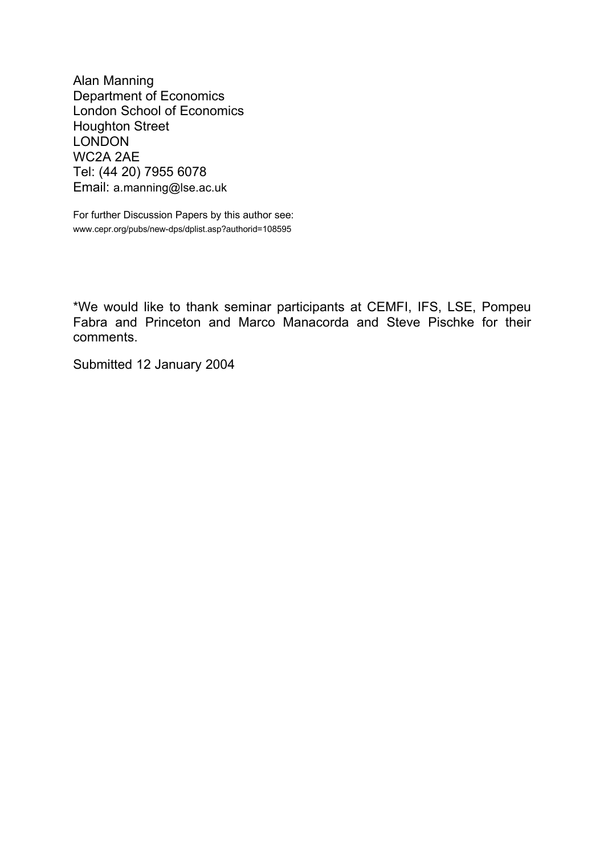Alan Manning Department of Economics London School of Economics Houghton Street LONDON WC2A 2AE Tel: (44 20) 7955 6078 Email: a.manning@lse.ac.uk

For further Discussion Papers by this author see: www.cepr.org/pubs/new-dps/dplist.asp?authorid=108595

\*We would like to thank seminar participants at CEMFI, IFS, LSE, Pompeu Fabra and Princeton and Marco Manacorda and Steve Pischke for their comments.

Submitted 12 January 2004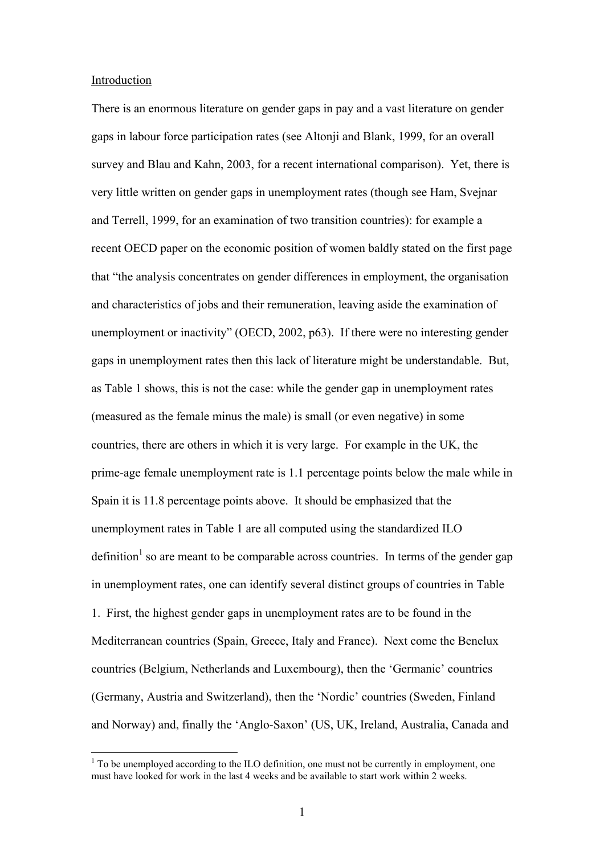#### Introduction

 $\overline{a}$ 

There is an enormous literature on gender gaps in pay and a vast literature on gender gaps in labour force participation rates (see Altonji and Blank, 1999, for an overall survey and Blau and Kahn, 2003, for a recent international comparison). Yet, there is very little written on gender gaps in unemployment rates (though see Ham, Svejnar and Terrell, 1999, for an examination of two transition countries): for example a recent OECD paper on the economic position of women baldly stated on the first page that "the analysis concentrates on gender differences in employment, the organisation and characteristics of jobs and their remuneration, leaving aside the examination of unemployment or inactivity" (OECD, 2002, p63). If there were no interesting gender gaps in unemployment rates then this lack of literature might be understandable. But, as Table 1 shows, this is not the case: while the gender gap in unemployment rates (measured as the female minus the male) is small (or even negative) in some countries, there are others in which it is very large. For example in the UK, the prime-age female unemployment rate is 1.1 percentage points below the male while in Spain it is 11.8 percentage points above. It should be emphasized that the unemployment rates in Table 1 are all computed using the standardized ILO definition<sup>1</sup> so are meant to be comparable across countries. In terms of the gender gap in unemployment rates, one can identify several distinct groups of countries in Table 1. First, the highest gender gaps in unemployment rates are to be found in the Mediterranean countries (Spain, Greece, Italy and France). Next come the Benelux countries (Belgium, Netherlands and Luxembourg), then the 'Germanic' countries (Germany, Austria and Switzerland), then the 'Nordic' countries (Sweden, Finland and Norway) and, finally the 'Anglo-Saxon' (US, UK, Ireland, Australia, Canada and

 $1$ <sup>1</sup> To be unemployed according to the ILO definition, one must not be currently in employment, one must have looked for work in the last 4 weeks and be available to start work within 2 weeks.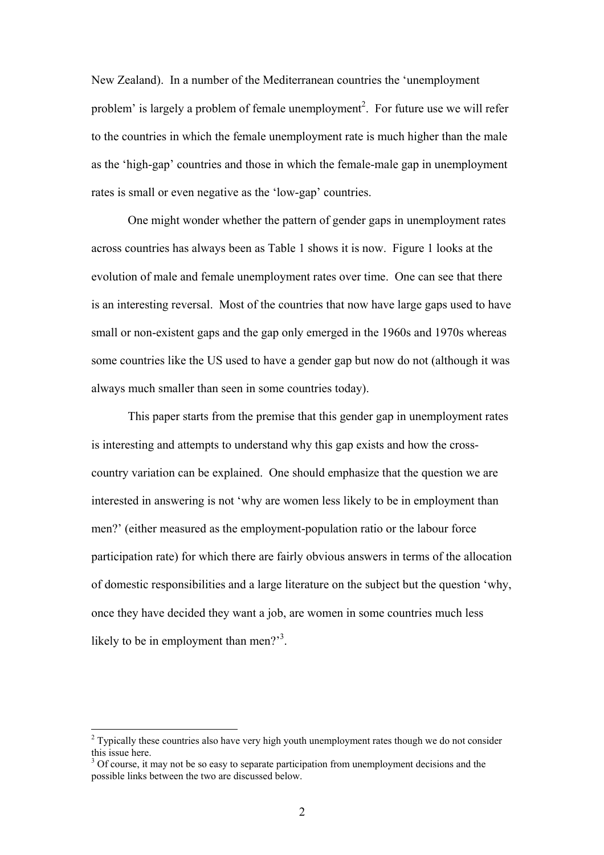New Zealand). In a number of the Mediterranean countries the 'unemployment problem' is largely a problem of female unemployment<sup>2</sup>. For future use we will refer to the countries in which the female unemployment rate is much higher than the male as the 'high-gap' countries and those in which the female-male gap in unemployment rates is small or even negative as the 'low-gap' countries.

 One might wonder whether the pattern of gender gaps in unemployment rates across countries has always been as Table 1 shows it is now. Figure 1 looks at the evolution of male and female unemployment rates over time. One can see that there is an interesting reversal. Most of the countries that now have large gaps used to have small or non-existent gaps and the gap only emerged in the 1960s and 1970s whereas some countries like the US used to have a gender gap but now do not (although it was always much smaller than seen in some countries today).

This paper starts from the premise that this gender gap in unemployment rates is interesting and attempts to understand why this gap exists and how the crosscountry variation can be explained. One should emphasize that the question we are interested in answering is not 'why are women less likely to be in employment than men?' (either measured as the employment-population ratio or the labour force participation rate) for which there are fairly obvious answers in terms of the allocation of domestic responsibilities and a large literature on the subject but the question 'why, once they have decided they want a job, are women in some countries much less likely to be in employment than men? $3^3$ .

 $\overline{a}$ 

 $2^{2}$  Typically these countries also have very high youth unemployment rates though we do not consider this issue here.

 $3$  Of course, it may not be so easy to separate participation from unemployment decisions and the possible links between the two are discussed below.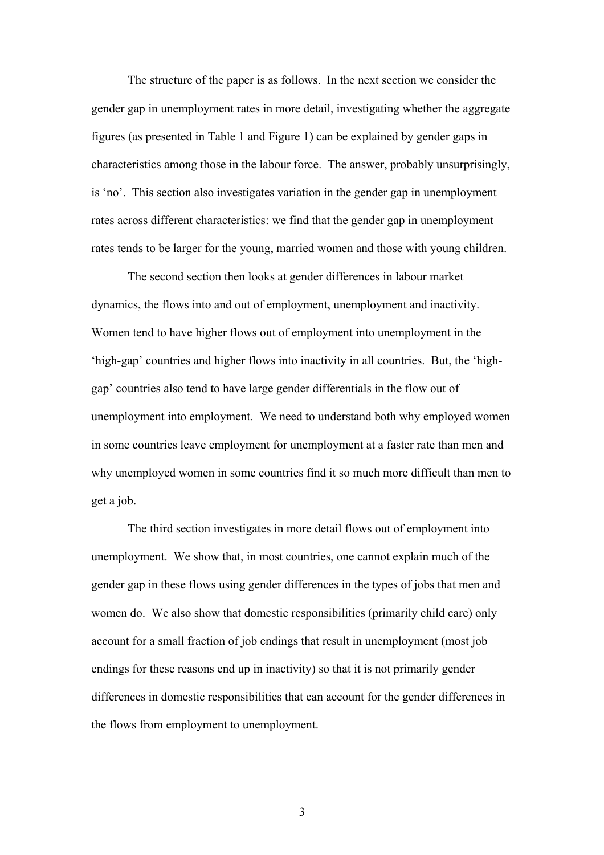The structure of the paper is as follows. In the next section we consider the gender gap in unemployment rates in more detail, investigating whether the aggregate figures (as presented in Table 1 and Figure 1) can be explained by gender gaps in characteristics among those in the labour force. The answer, probably unsurprisingly, is 'no'. This section also investigates variation in the gender gap in unemployment rates across different characteristics: we find that the gender gap in unemployment rates tends to be larger for the young, married women and those with young children.

 The second section then looks at gender differences in labour market dynamics, the flows into and out of employment, unemployment and inactivity. Women tend to have higher flows out of employment into unemployment in the 'high-gap' countries and higher flows into inactivity in all countries. But, the 'highgap' countries also tend to have large gender differentials in the flow out of unemployment into employment. We need to understand both why employed women in some countries leave employment for unemployment at a faster rate than men and why unemployed women in some countries find it so much more difficult than men to get a job.

 The third section investigates in more detail flows out of employment into unemployment. We show that, in most countries, one cannot explain much of the gender gap in these flows using gender differences in the types of jobs that men and women do. We also show that domestic responsibilities (primarily child care) only account for a small fraction of job endings that result in unemployment (most job endings for these reasons end up in inactivity) so that it is not primarily gender differences in domestic responsibilities that can account for the gender differences in the flows from employment to unemployment.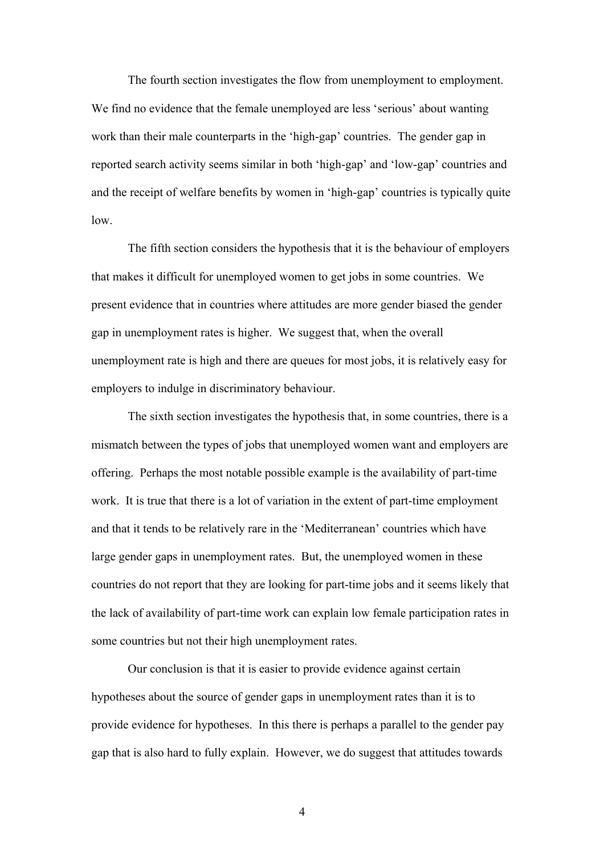The fourth section investigates the flow from unemployment to employment. We find no evidence that the female unemployed are less 'serious' about wanting work than their male counterparts in the 'high-gap' countries. The gender gap in reported search activity seems similar in both 'high-gap' and 'low-gap' countries and and the receipt of welfare benefits by women in 'high-gap' countries is typically quite low.

 The fifth section considers the hypothesis that it is the behaviour of employers that makes it difficult for unemployed women to get jobs in some countries. We present evidence that in countries where attitudes are more gender biased the gender gap in unemployment rates is higher. We suggest that, when the overall unemployment rate is high and there are queues for most jobs, it is relatively easy for employers to indulge in discriminatory behaviour.

 The sixth section investigates the hypothesis that, in some countries, there is a mismatch between the types of jobs that unemployed women want and employers are offering. Perhaps the most notable possible example is the availability of part-time work. It is true that there is a lot of variation in the extent of part-time employment and that it tends to be relatively rare in the 'Mediterranean' countries which have large gender gaps in unemployment rates. But, the unemployed women in these countries do not report that they are looking for part-time jobs and it seems likely that the lack of availability of part-time work can explain low female participation rates in some countries but not their high unemployment rates.

 Our conclusion is that it is easier to provide evidence against certain hypotheses about the source of gender gaps in unemployment rates than it is to provide evidence for hypotheses. In this there is perhaps a parallel to the gender pay gap that is also hard to fully explain. However, we do suggest that attitudes towards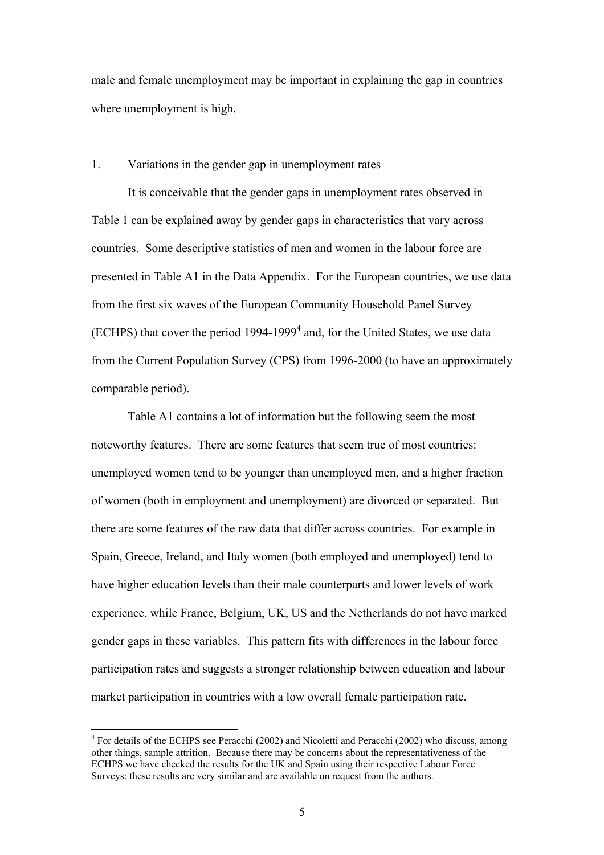male and female unemployment may be important in explaining the gap in countries where unemployment is high.

#### 1. Variations in the gender gap in unemployment rates

 It is conceivable that the gender gaps in unemployment rates observed in Table 1 can be explained away by gender gaps in characteristics that vary across countries. Some descriptive statistics of men and women in the labour force are presented in Table A1 in the Data Appendix. For the European countries, we use data from the first six waves of the European Community Household Panel Survey (ECHPS) that cover the period  $1994-1999<sup>4</sup>$  and, for the United States, we use data from the Current Population Survey (CPS) from 1996-2000 (to have an approximately comparable period).

 Table A1 contains a lot of information but the following seem the most noteworthy features. There are some features that seem true of most countries: unemployed women tend to be younger than unemployed men, and a higher fraction of women (both in employment and unemployment) are divorced or separated. But there are some features of the raw data that differ across countries. For example in Spain, Greece, Ireland, and Italy women (both employed and unemployed) tend to have higher education levels than their male counterparts and lower levels of work experience, while France, Belgium, UK, US and the Netherlands do not have marked gender gaps in these variables. This pattern fits with differences in the labour force participation rates and suggests a stronger relationship between education and labour market participation in countries with a low overall female participation rate.

 $\overline{a}$ 

<sup>&</sup>lt;sup>4</sup> For details of the ECHPS see Peracchi (2002) and Nicoletti and Peracchi (2002) who discuss, among other things, sample attrition. Because there may be concerns about the representativeness of the ECHPS we have checked the results for the UK and Spain using their respective Labour Force Surveys: these results are very similar and are available on request from the authors.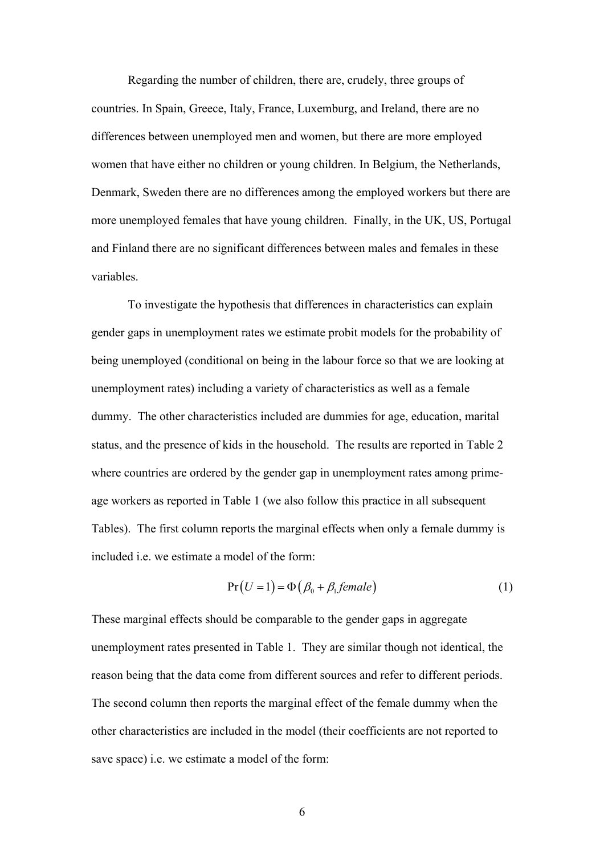Regarding the number of children, there are, crudely, three groups of countries. In Spain, Greece, Italy, France, Luxemburg, and Ireland, there are no differences between unemployed men and women, but there are more employed women that have either no children or young children. In Belgium, the Netherlands, Denmark, Sweden there are no differences among the employed workers but there are more unemployed females that have young children. Finally, in the UK, US, Portugal and Finland there are no significant differences between males and females in these variables.

 To investigate the hypothesis that differences in characteristics can explain gender gaps in unemployment rates we estimate probit models for the probability of being unemployed (conditional on being in the labour force so that we are looking at unemployment rates) including a variety of characteristics as well as a female dummy. The other characteristics included are dummies for age, education, marital status, and the presence of kids in the household. The results are reported in Table 2 where countries are ordered by the gender gap in unemployment rates among primeage workers as reported in Table 1 (we also follow this practice in all subsequent Tables). The first column reports the marginal effects when only a female dummy is included i.e. we estimate a model of the form:

$$
Pr(U=1) = \Phi(\beta_0 + \beta_1 female)
$$
 (1)

These marginal effects should be comparable to the gender gaps in aggregate unemployment rates presented in Table 1. They are similar though not identical, the reason being that the data come from different sources and refer to different periods. The second column then reports the marginal effect of the female dummy when the other characteristics are included in the model (their coefficients are not reported to save space) i.e. we estimate a model of the form: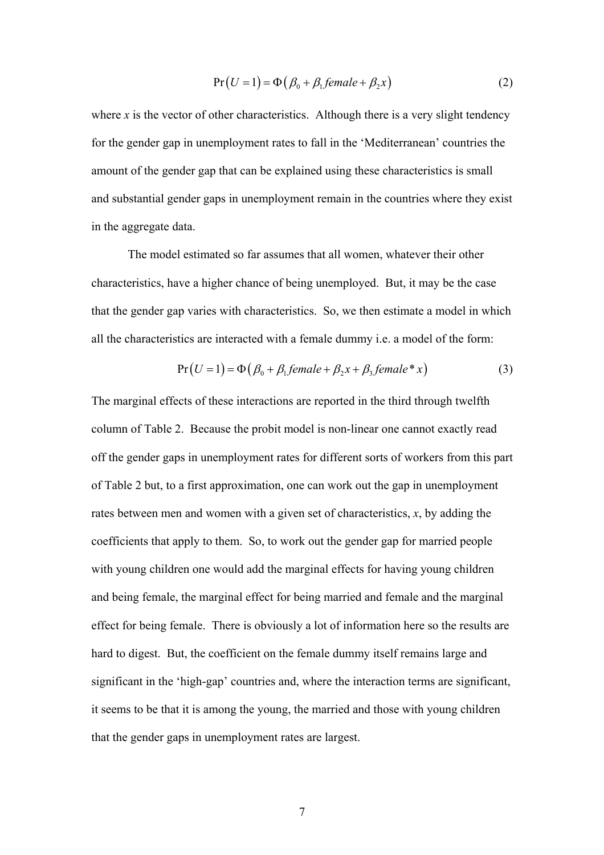$$
Pr(U=1) = \Phi(\beta_0 + \beta_1 female + \beta_2 x)
$$
 (2)

where  $x$  is the vector of other characteristics. Although there is a very slight tendency for the gender gap in unemployment rates to fall in the 'Mediterranean' countries the amount of the gender gap that can be explained using these characteristics is small and substantial gender gaps in unemployment remain in the countries where they exist in the aggregate data.

 The model estimated so far assumes that all women, whatever their other characteristics, have a higher chance of being unemployed. But, it may be the case that the gender gap varies with characteristics. So, we then estimate a model in which all the characteristics are interacted with a female dummy i.e. a model of the form:

$$
Pr(U=1) = \Phi(\beta_0 + \beta_1 female + \beta_2 x + \beta_3 female * x)
$$
 (3)

The marginal effects of these interactions are reported in the third through twelfth column of Table 2. Because the probit model is non-linear one cannot exactly read off the gender gaps in unemployment rates for different sorts of workers from this part of Table 2 but, to a first approximation, one can work out the gap in unemployment rates between men and women with a given set of characteristics, *x*, by adding the coefficients that apply to them. So, to work out the gender gap for married people with young children one would add the marginal effects for having young children and being female, the marginal effect for being married and female and the marginal effect for being female. There is obviously a lot of information here so the results are hard to digest. But, the coefficient on the female dummy itself remains large and significant in the 'high-gap' countries and, where the interaction terms are significant, it seems to be that it is among the young, the married and those with young children that the gender gaps in unemployment rates are largest.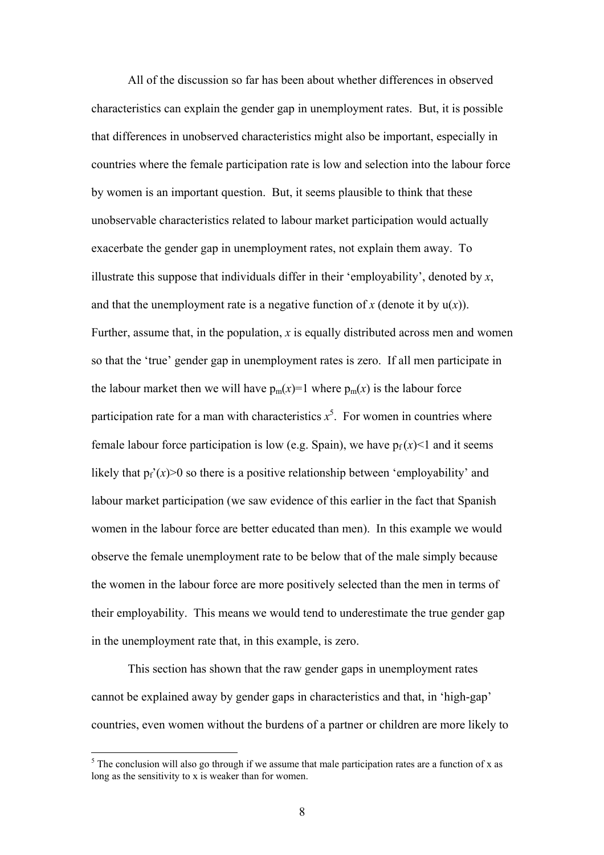All of the discussion so far has been about whether differences in observed characteristics can explain the gender gap in unemployment rates. But, it is possible that differences in unobserved characteristics might also be important, especially in countries where the female participation rate is low and selection into the labour force by women is an important question. But, it seems plausible to think that these unobservable characteristics related to labour market participation would actually exacerbate the gender gap in unemployment rates, not explain them away. To illustrate this suppose that individuals differ in their 'employability', denoted by *x*, and that the unemployment rate is a negative function of  $x$  (denote it by  $u(x)$ ). Further, assume that, in the population, *x* is equally distributed across men and women so that the 'true' gender gap in unemployment rates is zero. If all men participate in the labour market then we will have  $p_m(x)=1$  where  $p_m(x)$  is the labour force participation rate for a man with characteristics  $x^5$ . For women in countries where female labour force participation is low (e.g. Spain), we have  $p_f(x)$  and it seems likely that  $p_f'(x) > 0$  so there is a positive relationship between 'employability' and labour market participation (we saw evidence of this earlier in the fact that Spanish women in the labour force are better educated than men). In this example we would observe the female unemployment rate to be below that of the male simply because the women in the labour force are more positively selected than the men in terms of their employability. This means we would tend to underestimate the true gender gap in the unemployment rate that, in this example, is zero.

 This section has shown that the raw gender gaps in unemployment rates cannot be explained away by gender gaps in characteristics and that, in 'high-gap' countries, even women without the burdens of a partner or children are more likely to

 $\overline{a}$ 

 $<sup>5</sup>$  The conclusion will also go through if we assume that male participation rates are a function of x as</sup> long as the sensitivity to x is weaker than for women.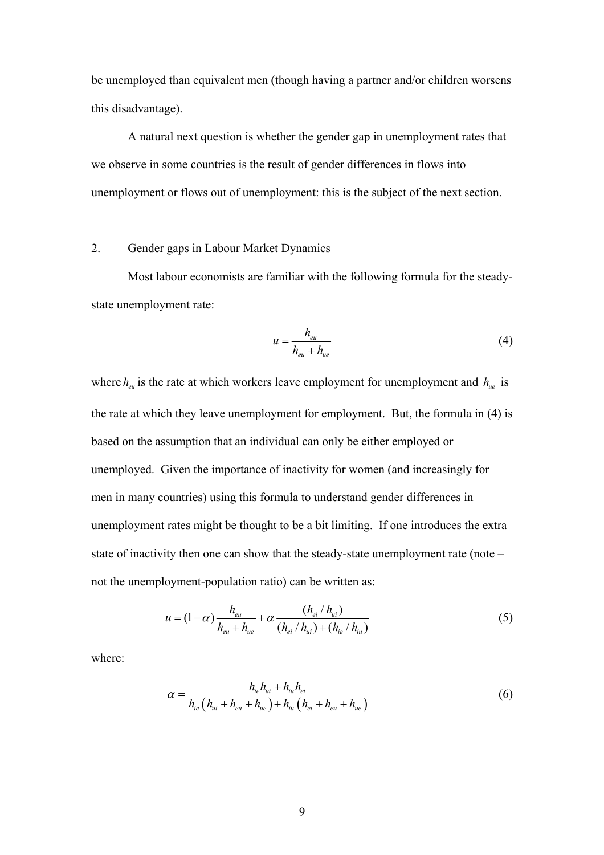be unemployed than equivalent men (though having a partner and/or children worsens this disadvantage).

 A natural next question is whether the gender gap in unemployment rates that we observe in some countries is the result of gender differences in flows into unemployment or flows out of unemployment: this is the subject of the next section.

#### 2. Gender gaps in Labour Market Dynamics

 Most labour economists are familiar with the following formula for the steadystate unemployment rate:

$$
u = \frac{h_{eu}}{h_{eu} + h_{ue}}\tag{4}
$$

where  $h_{eu}$  is the rate at which workers leave employment for unemployment and  $h_{ue}$  is the rate at which they leave unemployment for employment. But, the formula in (4) is based on the assumption that an individual can only be either employed or unemployed. Given the importance of inactivity for women (and increasingly for men in many countries) using this formula to understand gender differences in unemployment rates might be thought to be a bit limiting. If one introduces the extra state of inactivity then one can show that the steady-state unemployment rate (note – not the unemployment-population ratio) can be written as:

$$
u = (1 - \alpha) \frac{h_{eu}}{h_{eu} + h_{ue}} + \alpha \frac{(h_{ei} / h_{ui})}{(h_{ei} / h_{ui}) + (h_{ie} / h_{iu})}
$$
(5)

where:

$$
\alpha = \frac{h_{ie}h_{ui} + h_{iu}h_{ei}}{h_{ie}(h_{ui} + h_{eu} + h_{ue}) + h_{iu}(h_{ei} + h_{eu} + h_{ue})}
$$
(6)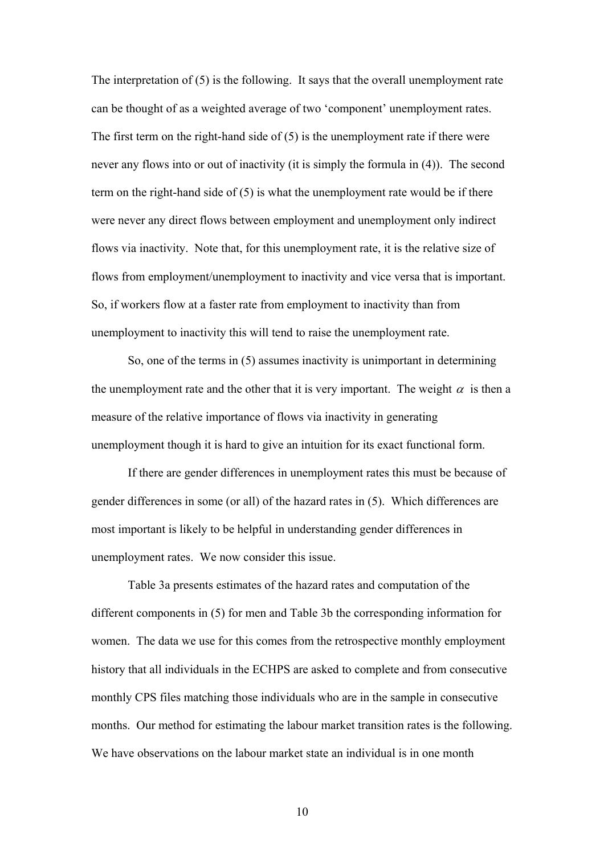The interpretation of (5) is the following. It says that the overall unemployment rate can be thought of as a weighted average of two 'component' unemployment rates. The first term on the right-hand side of (5) is the unemployment rate if there were never any flows into or out of inactivity (it is simply the formula in (4)). The second term on the right-hand side of (5) is what the unemployment rate would be if there were never any direct flows between employment and unemployment only indirect flows via inactivity. Note that, for this unemployment rate, it is the relative size of flows from employment/unemployment to inactivity and vice versa that is important. So, if workers flow at a faster rate from employment to inactivity than from unemployment to inactivity this will tend to raise the unemployment rate.

So, one of the terms in (5) assumes inactivity is unimportant in determining the unemployment rate and the other that it is very important. The weight  $\alpha$  is then a measure of the relative importance of flows via inactivity in generating unemployment though it is hard to give an intuition for its exact functional form.

If there are gender differences in unemployment rates this must be because of gender differences in some (or all) of the hazard rates in (5). Which differences are most important is likely to be helpful in understanding gender differences in unemployment rates. We now consider this issue.

 Table 3a presents estimates of the hazard rates and computation of the different components in (5) for men and Table 3b the corresponding information for women. The data we use for this comes from the retrospective monthly employment history that all individuals in the ECHPS are asked to complete and from consecutive monthly CPS files matching those individuals who are in the sample in consecutive months. Our method for estimating the labour market transition rates is the following. We have observations on the labour market state an individual is in one month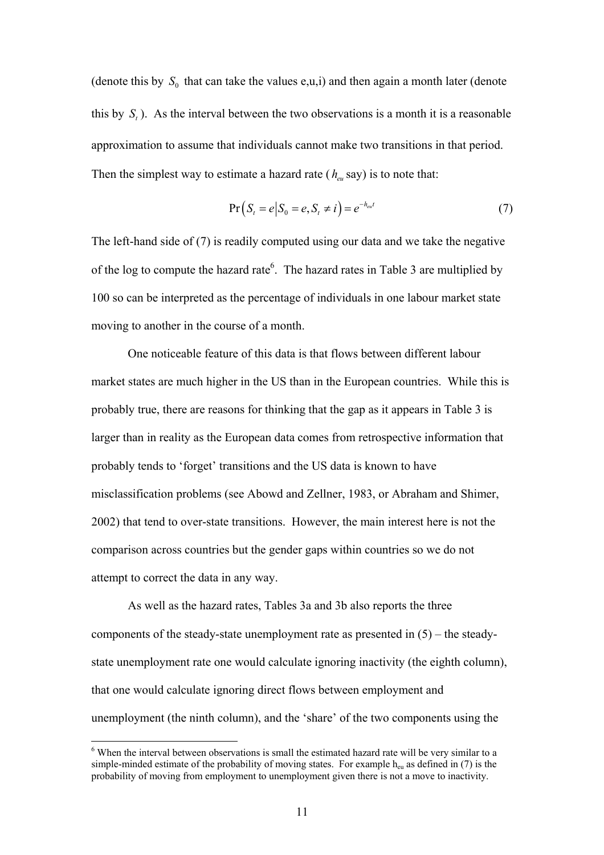(denote this by  $S_0$  that can take the values e,u,i) and then again a month later (denote this by *St* ). As the interval between the two observations is a month it is a reasonable approximation to assume that individuals cannot make two transitions in that period. Then the simplest way to estimate a hazard rate  $(h_{\alpha}$  say) is to note that:

$$
Pr(St = e | S0 = e, St \neq i) = e-heut
$$
\n(7)

The left-hand side of (7) is readily computed using our data and we take the negative of the log to compute the hazard rate<sup>6</sup>. The hazard rates in Table 3 are multiplied by 100 so can be interpreted as the percentage of individuals in one labour market state moving to another in the course of a month.

 One noticeable feature of this data is that flows between different labour market states are much higher in the US than in the European countries. While this is probably true, there are reasons for thinking that the gap as it appears in Table 3 is larger than in reality as the European data comes from retrospective information that probably tends to 'forget' transitions and the US data is known to have misclassification problems (see Abowd and Zellner, 1983, or Abraham and Shimer, 2002) that tend to over-state transitions. However, the main interest here is not the comparison across countries but the gender gaps within countries so we do not attempt to correct the data in any way.

As well as the hazard rates, Tables 3a and 3b also reports the three components of the steady-state unemployment rate as presented in (5) – the steadystate unemployment rate one would calculate ignoring inactivity (the eighth column), that one would calculate ignoring direct flows between employment and unemployment (the ninth column), and the 'share' of the two components using the

 $\overline{a}$ 

<sup>&</sup>lt;sup>6</sup> When the interval between observations is small the estimated hazard rate will be very similar to a simple-minded estimate of the probability of moving states. For example  $h_{eu}$  as defined in (7) is the probability of moving from employment to unemployment given there is not a move to inactivity.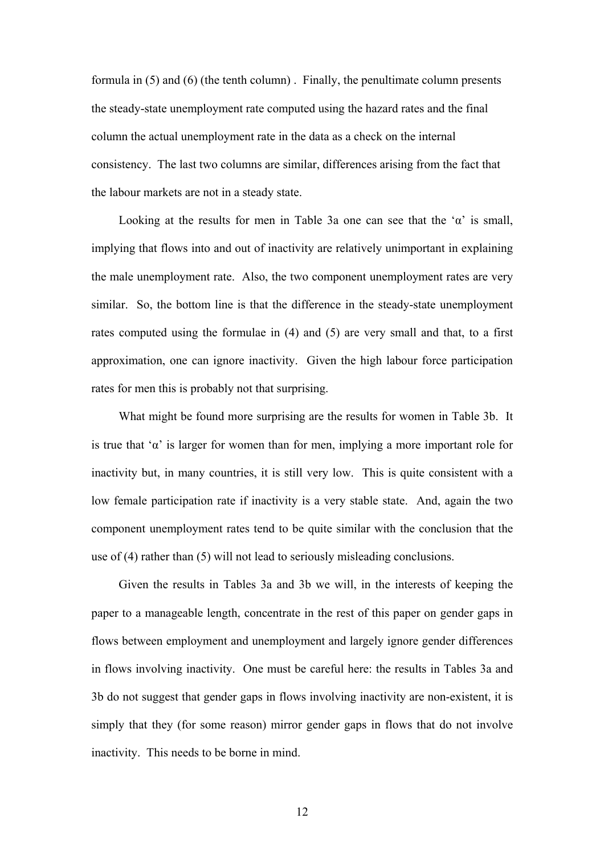formula in (5) and (6) (the tenth column) . Finally, the penultimate column presents the steady-state unemployment rate computed using the hazard rates and the final column the actual unemployment rate in the data as a check on the internal consistency. The last two columns are similar, differences arising from the fact that the labour markets are not in a steady state.

Looking at the results for men in Table 3a one can see that the ' $\alpha$ ' is small, implying that flows into and out of inactivity are relatively unimportant in explaining the male unemployment rate. Also, the two component unemployment rates are very similar. So, the bottom line is that the difference in the steady-state unemployment rates computed using the formulae in (4) and (5) are very small and that, to a first approximation, one can ignore inactivity. Given the high labour force participation rates for men this is probably not that surprising.

 What might be found more surprising are the results for women in Table 3b. It is true that ' $\alpha$ ' is larger for women than for men, implying a more important role for inactivity but, in many countries, it is still very low. This is quite consistent with a low female participation rate if inactivity is a very stable state. And, again the two component unemployment rates tend to be quite similar with the conclusion that the use of (4) rather than (5) will not lead to seriously misleading conclusions.

 Given the results in Tables 3a and 3b we will, in the interests of keeping the paper to a manageable length, concentrate in the rest of this paper on gender gaps in flows between employment and unemployment and largely ignore gender differences in flows involving inactivity. One must be careful here: the results in Tables 3a and 3b do not suggest that gender gaps in flows involving inactivity are non-existent, it is simply that they (for some reason) mirror gender gaps in flows that do not involve inactivity. This needs to be borne in mind.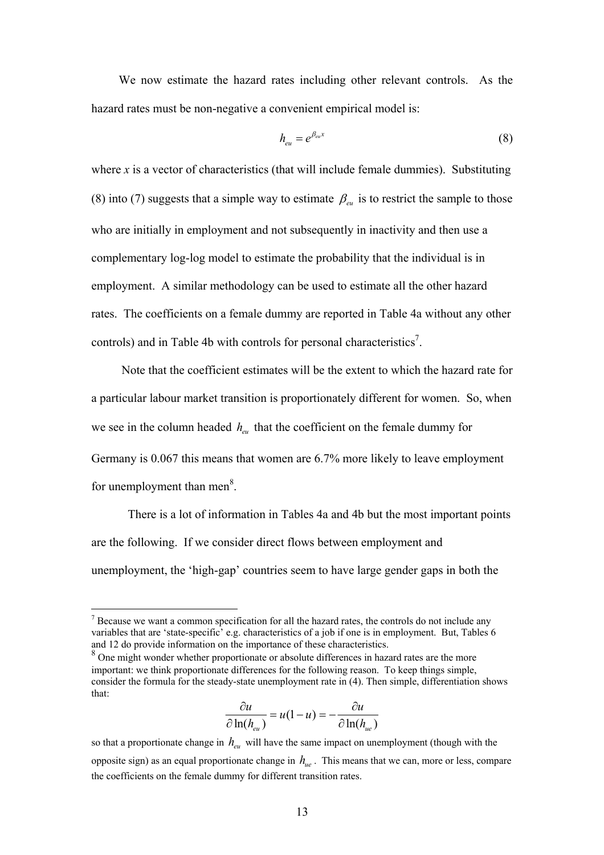We now estimate the hazard rates including other relevant controls. As the hazard rates must be non-negative a convenient empirical model is:

$$
h_{eu} = e^{\beta_{eu}x} \tag{8}
$$

where  $x$  is a vector of characteristics (that will include female dummies). Substituting (8) into (7) suggests that a simple way to estimate  $\beta_{\text{eu}}$  is to restrict the sample to those who are initially in employment and not subsequently in inactivity and then use a complementary log-log model to estimate the probability that the individual is in employment. A similar methodology can be used to estimate all the other hazard rates. The coefficients on a female dummy are reported in Table 4a without any other controls) and in Table 4b with controls for personal characteristics<sup>7</sup>.

 Note that the coefficient estimates will be the extent to which the hazard rate for a particular labour market transition is proportionately different for women. So, when we see in the column headed  $h_{\text{av}}$  that the coefficient on the female dummy for Germany is 0.067 this means that women are 6.7% more likely to leave employment for unemployment than men $8$ .

 There is a lot of information in Tables 4a and 4b but the most important points are the following. If we consider direct flows between employment and unemployment, the 'high-gap' countries seem to have large gender gaps in both the

 $\overline{a}$ 

$$
\frac{\partial u}{\partial \ln(h_{eu})} = u(1-u) = -\frac{\partial u}{\partial \ln(h_{ue})}
$$

so that a proportionate change in  $h_{eu}$  will have the same impact on unemployment (though with the opposite sign) as an equal proportionate change in  $h_{\mu}$ . This means that we can, more or less, compare the coefficients on the female dummy for different transition rates.

 $<sup>7</sup>$  Because we want a common specification for all the hazard rates, the controls do not include any</sup> variables that are 'state-specific' e.g. characteristics of a job if one is in employment. But, Tables 6 and 12 do provide information on the importance of these characteristics.

<sup>&</sup>lt;sup>8</sup> One might wonder whether proportionate or absolute differences in hazard rates are the more important: we think proportionate differences for the following reason. To keep things simple, consider the formula for the steady-state unemployment rate in (4). Then simple, differentiation shows that: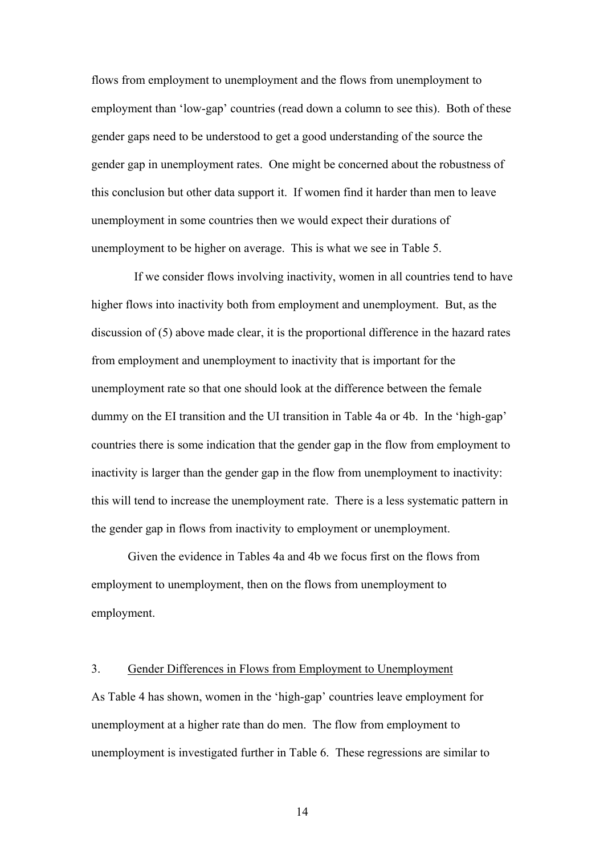flows from employment to unemployment and the flows from unemployment to employment than 'low-gap' countries (read down a column to see this). Both of these gender gaps need to be understood to get a good understanding of the source the gender gap in unemployment rates. One might be concerned about the robustness of this conclusion but other data support it. If women find it harder than men to leave unemployment in some countries then we would expect their durations of unemployment to be higher on average. This is what we see in Table 5.

 If we consider flows involving inactivity, women in all countries tend to have higher flows into inactivity both from employment and unemployment. But, as the discussion of (5) above made clear, it is the proportional difference in the hazard rates from employment and unemployment to inactivity that is important for the unemployment rate so that one should look at the difference between the female dummy on the EI transition and the UI transition in Table 4a or 4b. In the 'high-gap' countries there is some indication that the gender gap in the flow from employment to inactivity is larger than the gender gap in the flow from unemployment to inactivity: this will tend to increase the unemployment rate. There is a less systematic pattern in the gender gap in flows from inactivity to employment or unemployment.

 Given the evidence in Tables 4a and 4b we focus first on the flows from employment to unemployment, then on the flows from unemployment to employment.

#### 3. Gender Differences in Flows from Employment to Unemployment

As Table 4 has shown, women in the 'high-gap' countries leave employment for unemployment at a higher rate than do men. The flow from employment to unemployment is investigated further in Table 6. These regressions are similar to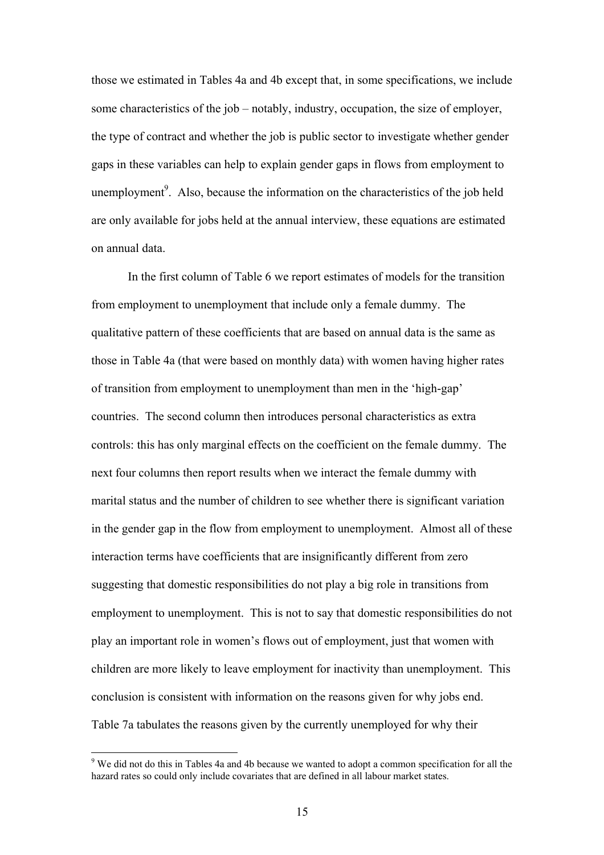those we estimated in Tables 4a and 4b except that, in some specifications, we include some characteristics of the job – notably, industry, occupation, the size of employer, the type of contract and whether the job is public sector to investigate whether gender gaps in these variables can help to explain gender gaps in flows from employment to unemployment<sup>9</sup>. Also, because the information on the characteristics of the job held are only available for jobs held at the annual interview, these equations are estimated on annual data.

 In the first column of Table 6 we report estimates of models for the transition from employment to unemployment that include only a female dummy. The qualitative pattern of these coefficients that are based on annual data is the same as those in Table 4a (that were based on monthly data) with women having higher rates of transition from employment to unemployment than men in the 'high-gap' countries. The second column then introduces personal characteristics as extra controls: this has only marginal effects on the coefficient on the female dummy. The next four columns then report results when we interact the female dummy with marital status and the number of children to see whether there is significant variation in the gender gap in the flow from employment to unemployment. Almost all of these interaction terms have coefficients that are insignificantly different from zero suggesting that domestic responsibilities do not play a big role in transitions from employment to unemployment.This is not to say that domestic responsibilities do not play an important role in women's flows out of employment, just that women with children are more likely to leave employment for inactivity than unemployment. This conclusion is consistent with information on the reasons given for why jobs end. Table 7a tabulates the reasons given by the currently unemployed for why their

 $\overline{a}$ 

 $9$  We did not do this in Tables 4a and 4b because we wanted to adopt a common specification for all the hazard rates so could only include covariates that are defined in all labour market states.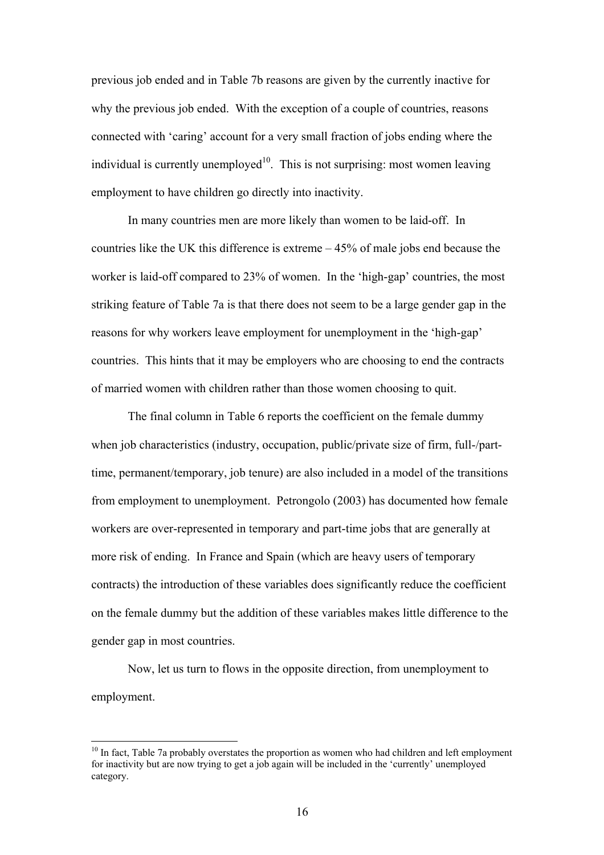previous job ended and in Table 7b reasons are given by the currently inactive for why the previous job ended. With the exception of a couple of countries, reasons connected with 'caring' account for a very small fraction of jobs ending where the individual is currently unemployed<sup>10</sup>. This is not surprising: most women leaving employment to have children go directly into inactivity.

 In many countries men are more likely than women to be laid-off. In countries like the UK this difference is extreme – 45% of male jobs end because the worker is laid-off compared to 23% of women. In the 'high-gap' countries, the most striking feature of Table 7a is that there does not seem to be a large gender gap in the reasons for why workers leave employment for unemployment in the 'high-gap' countries. This hints that it may be employers who are choosing to end the contracts of married women with children rather than those women choosing to quit.

The final column in Table 6 reports the coefficient on the female dummy when job characteristics (industry, occupation, public/private size of firm, full-/parttime, permanent/temporary, job tenure) are also included in a model of the transitions from employment to unemployment. Petrongolo (2003) has documented how female workers are over-represented in temporary and part-time jobs that are generally at more risk of ending. In France and Spain (which are heavy users of temporary contracts) the introduction of these variables does significantly reduce the coefficient on the female dummy but the addition of these variables makes little difference to the gender gap in most countries.

Now, let us turn to flows in the opposite direction, from unemployment to employment.

 $\overline{a}$ 

 $10$  In fact. Table 7a probably overstates the proportion as women who had children and left employment for inactivity but are now trying to get a job again will be included in the 'currently' unemployed category.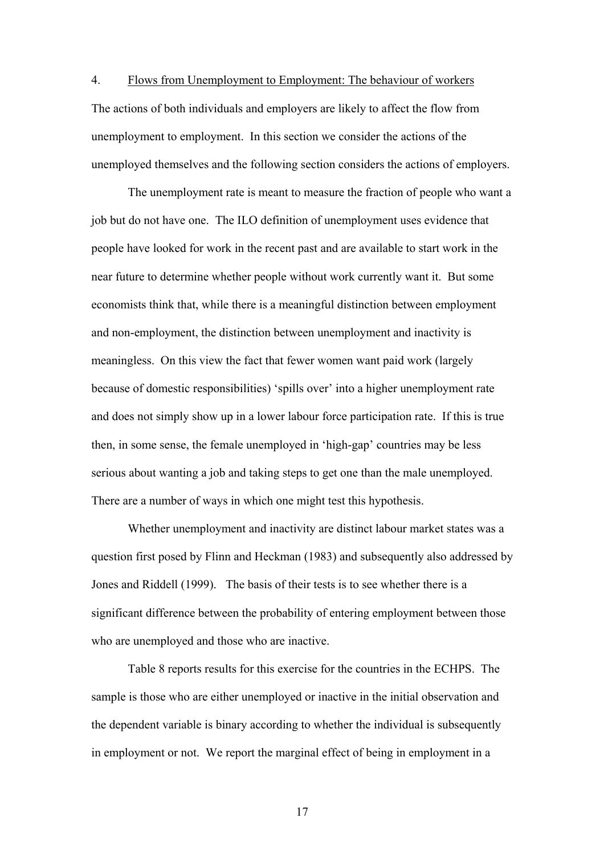4. Flows from Unemployment to Employment: The behaviour of workers The actions of both individuals and employers are likely to affect the flow from unemployment to employment. In this section we consider the actions of the unemployed themselves and the following section considers the actions of employers.

 The unemployment rate is meant to measure the fraction of people who want a job but do not have one. The ILO definition of unemployment uses evidence that people have looked for work in the recent past and are available to start work in the near future to determine whether people without work currently want it. But some economists think that, while there is a meaningful distinction between employment and non-employment, the distinction between unemployment and inactivity is meaningless. On this view the fact that fewer women want paid work (largely because of domestic responsibilities) 'spills over' into a higher unemployment rate and does not simply show up in a lower labour force participation rate. If this is true then, in some sense, the female unemployed in 'high-gap' countries may be less serious about wanting a job and taking steps to get one than the male unemployed. There are a number of ways in which one might test this hypothesis.

Whether unemployment and inactivity are distinct labour market states was a question first posed by Flinn and Heckman (1983) and subsequently also addressed by Jones and Riddell (1999). The basis of their tests is to see whether there is a significant difference between the probability of entering employment between those who are unemployed and those who are inactive.

Table 8 reports results for this exercise for the countries in the ECHPS. The sample is those who are either unemployed or inactive in the initial observation and the dependent variable is binary according to whether the individual is subsequently in employment or not. We report the marginal effect of being in employment in a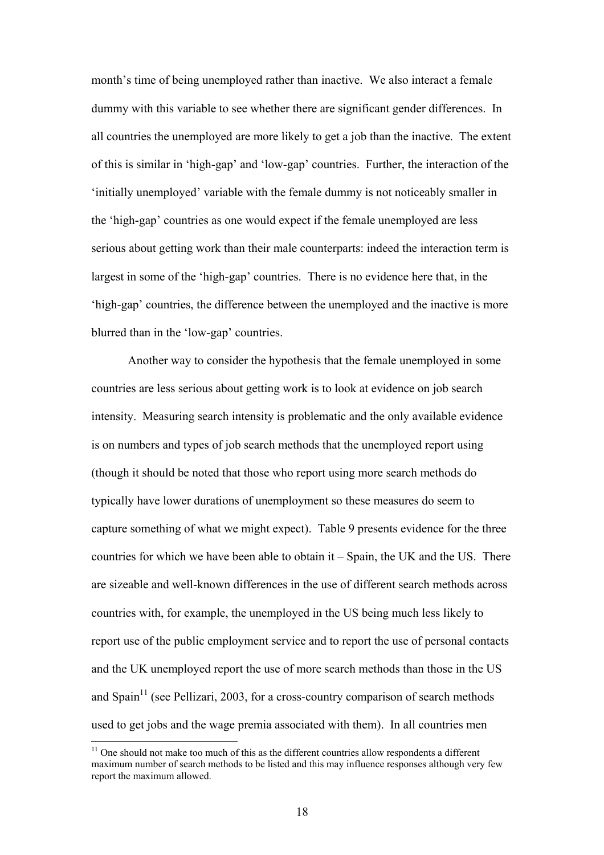month's time of being unemployed rather than inactive. We also interact a female dummy with this variable to see whether there are significant gender differences. In all countries the unemployed are more likely to get a job than the inactive. The extent of this is similar in 'high-gap' and 'low-gap' countries. Further, the interaction of the 'initially unemployed' variable with the female dummy is not noticeably smaller in the 'high-gap' countries as one would expect if the female unemployed are less serious about getting work than their male counterparts: indeed the interaction term is largest in some of the 'high-gap' countries. There is no evidence here that, in the 'high-gap' countries, the difference between the unemployed and the inactive is more blurred than in the 'low-gap' countries.

Another way to consider the hypothesis that the female unemployed in some countries are less serious about getting work is to look at evidence on job search intensity. Measuring search intensity is problematic and the only available evidence is on numbers and types of job search methods that the unemployed report using (though it should be noted that those who report using more search methods do typically have lower durations of unemployment so these measures do seem to capture something of what we might expect). Table 9 presents evidence for the three countries for which we have been able to obtain it – Spain, the UK and the US. There are sizeable and well-known differences in the use of different search methods across countries with, for example, the unemployed in the US being much less likely to report use of the public employment service and to report the use of personal contacts and the UK unemployed report the use of more search methods than those in the US and  $\text{Span}^{11}$  (see Pellizari, 2003, for a cross-country comparison of search methods used to get jobs and the wage premia associated with them). In all countries men

 $\overline{a}$ 

 $11$  One should not make too much of this as the different countries allow respondents a different maximum number of search methods to be listed and this may influence responses although very few report the maximum allowed.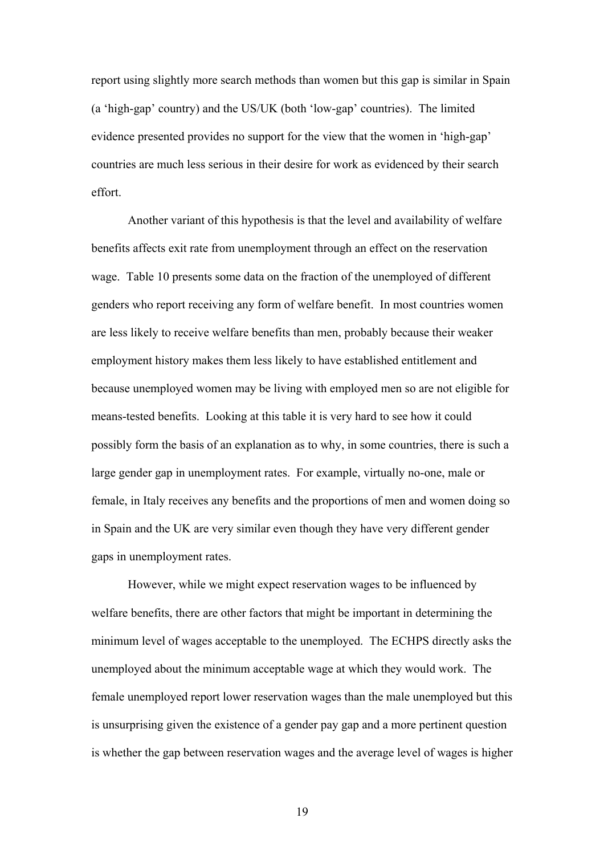report using slightly more search methods than women but this gap is similar in Spain (a 'high-gap' country) and the US/UK (both 'low-gap' countries). The limited evidence presented provides no support for the view that the women in 'high-gap' countries are much less serious in their desire for work as evidenced by their search effort.

Another variant of this hypothesis is that the level and availability of welfare benefits affects exit rate from unemployment through an effect on the reservation wage. Table 10 presents some data on the fraction of the unemployed of different genders who report receiving any form of welfare benefit. In most countries women are less likely to receive welfare benefits than men, probably because their weaker employment history makes them less likely to have established entitlement and because unemployed women may be living with employed men so are not eligible for means-tested benefits. Looking at this table it is very hard to see how it could possibly form the basis of an explanation as to why, in some countries, there is such a large gender gap in unemployment rates. For example, virtually no-one, male or female, in Italy receives any benefits and the proportions of men and women doing so in Spain and the UK are very similar even though they have very different gender gaps in unemployment rates.

However, while we might expect reservation wages to be influenced by welfare benefits, there are other factors that might be important in determining the minimum level of wages acceptable to the unemployed. The ECHPS directly asks the unemployed about the minimum acceptable wage at which they would work. The female unemployed report lower reservation wages than the male unemployed but this is unsurprising given the existence of a gender pay gap and a more pertinent question is whether the gap between reservation wages and the average level of wages is higher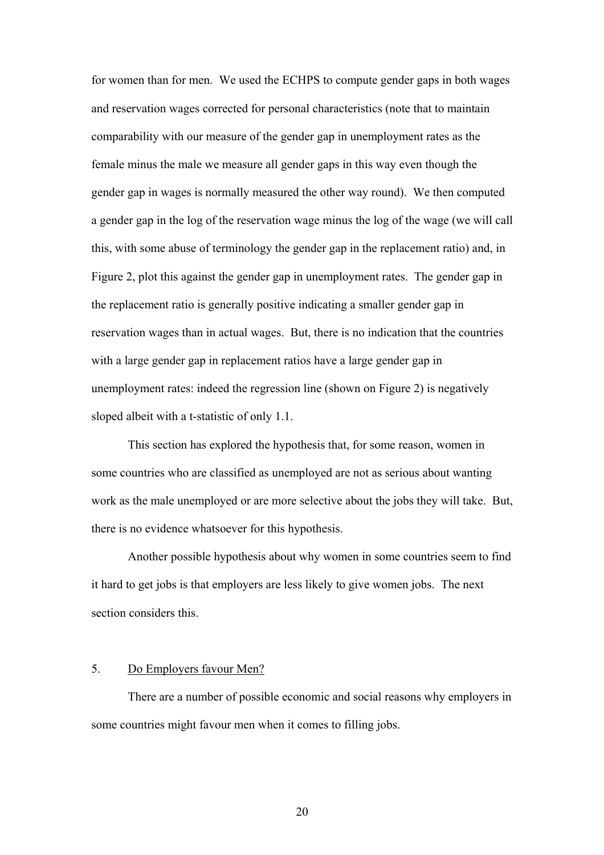for women than for men. We used the ECHPS to compute gender gaps in both wages and reservation wages corrected for personal characteristics (note that to maintain comparability with our measure of the gender gap in unemployment rates as the female minus the male we measure all gender gaps in this way even though the gender gap in wages is normally measured the other way round). We then computed a gender gap in the log of the reservation wage minus the log of the wage (we will call this, with some abuse of terminology the gender gap in the replacement ratio) and, in Figure 2, plot this against the gender gap in unemployment rates. The gender gap in the replacement ratio is generally positive indicating a smaller gender gap in reservation wages than in actual wages. But, there is no indication that the countries with a large gender gap in replacement ratios have a large gender gap in unemployment rates: indeed the regression line (shown on Figure 2) is negatively sloped albeit with a t-statistic of only 1.1.

This section has explored the hypothesis that, for some reason, women in some countries who are classified as unemployed are not as serious about wanting work as the male unemployed or are more selective about the jobs they will take. But, there is no evidence whatsoever for this hypothesis.

Another possible hypothesis about why women in some countries seem to find it hard to get jobs is that employers are less likely to give women jobs. The next section considers this.

#### 5. Do Employers favour Men?

 There are a number of possible economic and social reasons why employers in some countries might favour men when it comes to filling jobs.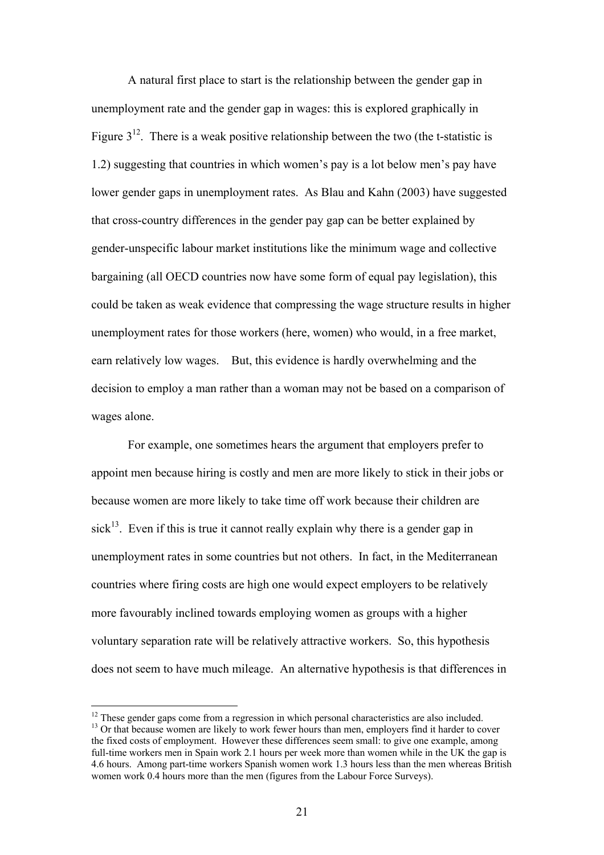A natural first place to start is the relationship between the gender gap in unemployment rate and the gender gap in wages: this is explored graphically in Figure  $3^{12}$ . There is a weak positive relationship between the two (the t-statistic is 1.2) suggesting that countries in which women's pay is a lot below men's pay have lower gender gaps in unemployment rates. As Blau and Kahn (2003) have suggested that cross-country differences in the gender pay gap can be better explained by gender-unspecific labour market institutions like the minimum wage and collective bargaining (all OECD countries now have some form of equal pay legislation), this could be taken as weak evidence that compressing the wage structure results in higher unemployment rates for those workers (here, women) who would, in a free market, earn relatively low wages. But, this evidence is hardly overwhelming and the decision to employ a man rather than a woman may not be based on a comparison of wages alone.

For example, one sometimes hears the argument that employers prefer to appoint men because hiring is costly and men are more likely to stick in their jobs or because women are more likely to take time off work because their children are sick<sup>13</sup>. Even if this is true it cannot really explain why there is a gender gap in unemployment rates in some countries but not others. In fact, in the Mediterranean countries where firing costs are high one would expect employers to be relatively more favourably inclined towards employing women as groups with a higher voluntary separation rate will be relatively attractive workers. So, this hypothesis does not seem to have much mileage. An alternative hypothesis is that differences in

 $\overline{a}$ 

<sup>&</sup>lt;sup>12</sup> These gender gaps come from a regression in which personal characteristics are also included. <sup>13</sup> Or that because women are likely to work fewer hours than men, employers find it harder to cover the fixed costs of employment. However these differences seem small: to give one example, among full-time workers men in Spain work 2.1 hours per week more than women while in the UK the gap is 4.6 hours. Among part-time workers Spanish women work 1.3 hours less than the men whereas British women work 0.4 hours more than the men (figures from the Labour Force Surveys).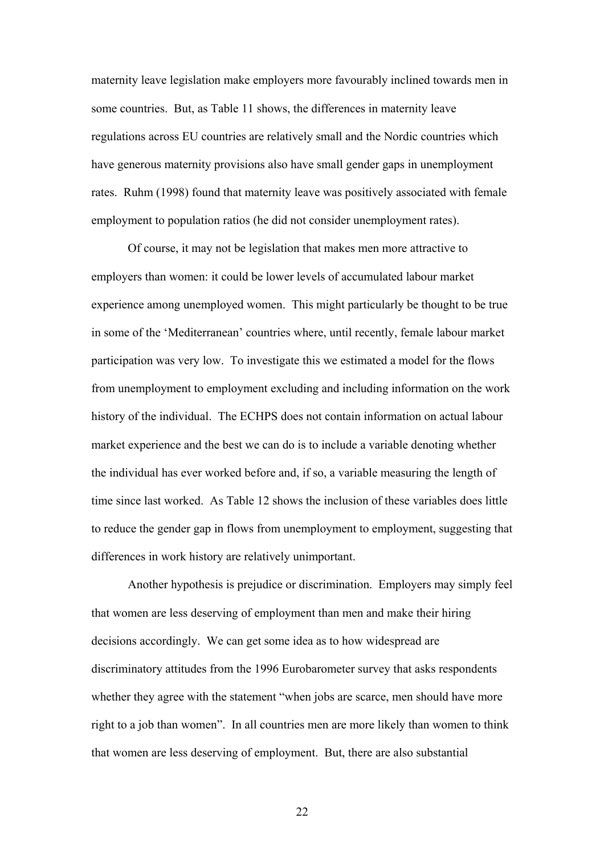maternity leave legislation make employers more favourably inclined towards men in some countries. But, as Table 11 shows, the differences in maternity leave regulations across EU countries are relatively small and the Nordic countries which have generous maternity provisions also have small gender gaps in unemployment rates. Ruhm (1998) found that maternity leave was positively associated with female employment to population ratios (he did not consider unemployment rates).

 Of course, it may not be legislation that makes men more attractive to employers than women: it could be lower levels of accumulated labour market experience among unemployed women. This might particularly be thought to be true in some of the 'Mediterranean' countries where, until recently, female labour market participation was very low. To investigate this we estimated a model for the flows from unemployment to employment excluding and including information on the work history of the individual. The ECHPS does not contain information on actual labour market experience and the best we can do is to include a variable denoting whether the individual has ever worked before and, if so, a variable measuring the length of time since last worked. As Table 12 shows the inclusion of these variables does little to reduce the gender gap in flows from unemployment to employment, suggesting that differences in work history are relatively unimportant.

Another hypothesis is prejudice or discrimination. Employers may simply feel that women are less deserving of employment than men and make their hiring decisions accordingly. We can get some idea as to how widespread are discriminatory attitudes from the 1996 Eurobarometer survey that asks respondents whether they agree with the statement "when jobs are scarce, men should have more right to a job than women". In all countries men are more likely than women to think that women are less deserving of employment. But, there are also substantial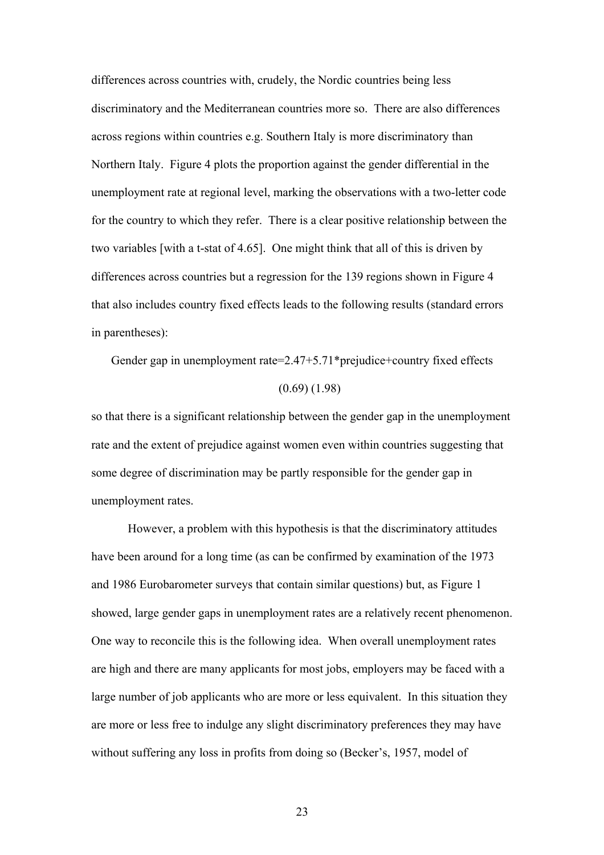differences across countries with, crudely, the Nordic countries being less discriminatory and the Mediterranean countries more so. There are also differences across regions within countries e.g. Southern Italy is more discriminatory than Northern Italy. Figure 4 plots the proportion against the gender differential in the unemployment rate at regional level, marking the observations with a two-letter code for the country to which they refer. There is a clear positive relationship between the two variables [with a t-stat of 4.65]. One might think that all of this is driven by differences across countries but a regression for the 139 regions shown in Figure 4 that also includes country fixed effects leads to the following results (standard errors in parentheses):

Gender gap in unemployment rate=2.47+5.71\*prejudice+country fixed effects (0.69) (1.98)

so that there is a significant relationship between the gender gap in the unemployment rate and the extent of prejudice against women even within countries suggesting that some degree of discrimination may be partly responsible for the gender gap in unemployment rates.

However, a problem with this hypothesis is that the discriminatory attitudes have been around for a long time (as can be confirmed by examination of the 1973 and 1986 Eurobarometer surveys that contain similar questions) but, as Figure 1 showed, large gender gaps in unemployment rates are a relatively recent phenomenon. One way to reconcile this is the following idea. When overall unemployment rates are high and there are many applicants for most jobs, employers may be faced with a large number of job applicants who are more or less equivalent. In this situation they are more or less free to indulge any slight discriminatory preferences they may have without suffering any loss in profits from doing so (Becker's, 1957, model of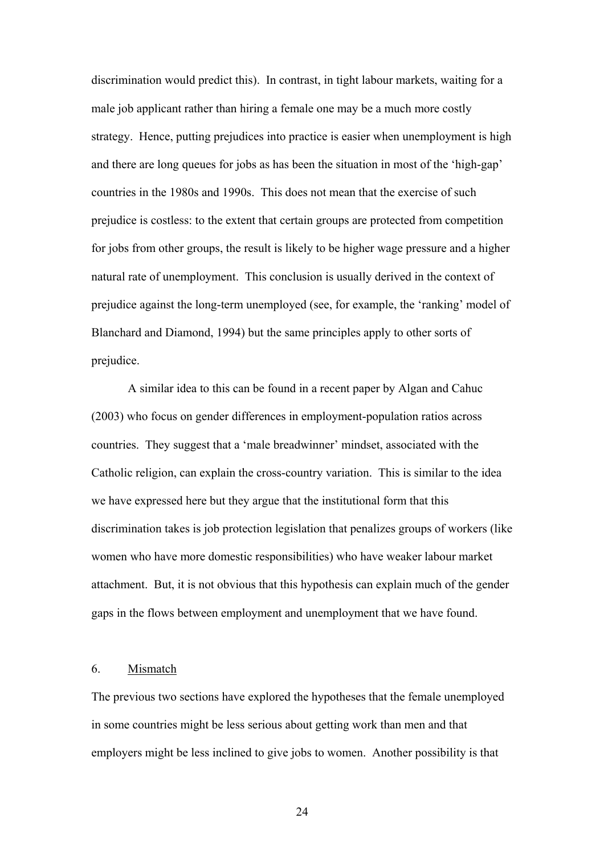discrimination would predict this). In contrast, in tight labour markets, waiting for a male job applicant rather than hiring a female one may be a much more costly strategy. Hence, putting prejudices into practice is easier when unemployment is high and there are long queues for jobs as has been the situation in most of the 'high-gap' countries in the 1980s and 1990s. This does not mean that the exercise of such prejudice is costless: to the extent that certain groups are protected from competition for jobs from other groups, the result is likely to be higher wage pressure and a higher natural rate of unemployment. This conclusion is usually derived in the context of prejudice against the long-term unemployed (see, for example, the 'ranking' model of Blanchard and Diamond, 1994) but the same principles apply to other sorts of prejudice.

 A similar idea to this can be found in a recent paper by Algan and Cahuc (2003) who focus on gender differences in employment-population ratios across countries. They suggest that a 'male breadwinner' mindset, associated with the Catholic religion, can explain the cross-country variation. This is similar to the idea we have expressed here but they argue that the institutional form that this discrimination takes is job protection legislation that penalizes groups of workers (like women who have more domestic responsibilities) who have weaker labour market attachment. But, it is not obvious that this hypothesis can explain much of the gender gaps in the flows between employment and unemployment that we have found.

#### 6. Mismatch

The previous two sections have explored the hypotheses that the female unemployed in some countries might be less serious about getting work than men and that employers might be less inclined to give jobs to women. Another possibility is that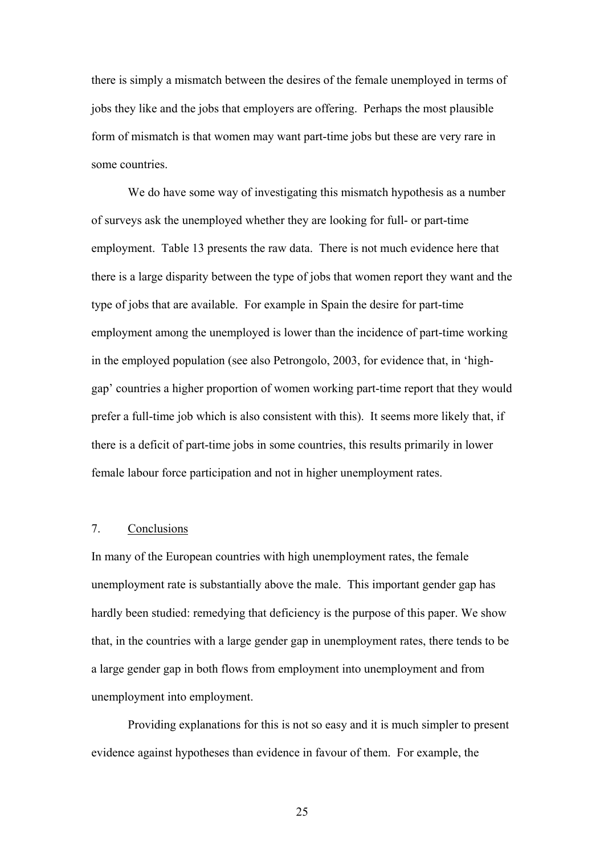there is simply a mismatch between the desires of the female unemployed in terms of jobs they like and the jobs that employers are offering. Perhaps the most plausible form of mismatch is that women may want part-time jobs but these are very rare in some countries.

 We do have some way of investigating this mismatch hypothesis as a number of surveys ask the unemployed whether they are looking for full- or part-time employment. Table 13 presents the raw data. There is not much evidence here that there is a large disparity between the type of jobs that women report they want and the type of jobs that are available. For example in Spain the desire for part-time employment among the unemployed is lower than the incidence of part-time working in the employed population (see also Petrongolo, 2003, for evidence that, in 'highgap' countries a higher proportion of women working part-time report that they would prefer a full-time job which is also consistent with this). It seems more likely that, if there is a deficit of part-time jobs in some countries, this results primarily in lower female labour force participation and not in higher unemployment rates.

#### 7. Conclusions

In many of the European countries with high unemployment rates, the female unemployment rate is substantially above the male. This important gender gap has hardly been studied: remedying that deficiency is the purpose of this paper. We show that, in the countries with a large gender gap in unemployment rates, there tends to be a large gender gap in both flows from employment into unemployment and from unemployment into employment.

Providing explanations for this is not so easy and it is much simpler to present evidence against hypotheses than evidence in favour of them. For example, the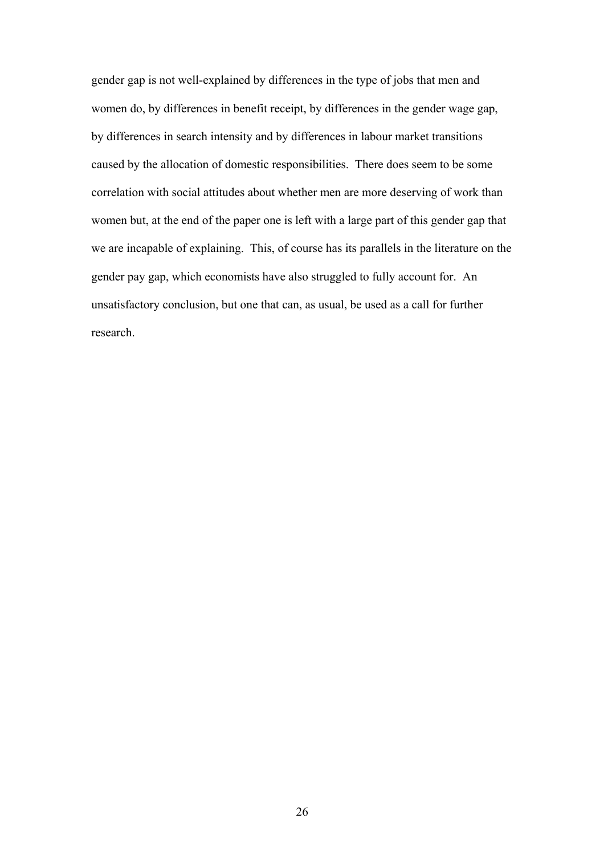gender gap is not well-explained by differences in the type of jobs that men and women do, by differences in benefit receipt, by differences in the gender wage gap, by differences in search intensity and by differences in labour market transitions caused by the allocation of domestic responsibilities. There does seem to be some correlation with social attitudes about whether men are more deserving of work than women but, at the end of the paper one is left with a large part of this gender gap that we are incapable of explaining. This, of course has its parallels in the literature on the gender pay gap, which economists have also struggled to fully account for. An unsatisfactory conclusion, but one that can, as usual, be used as a call for further research.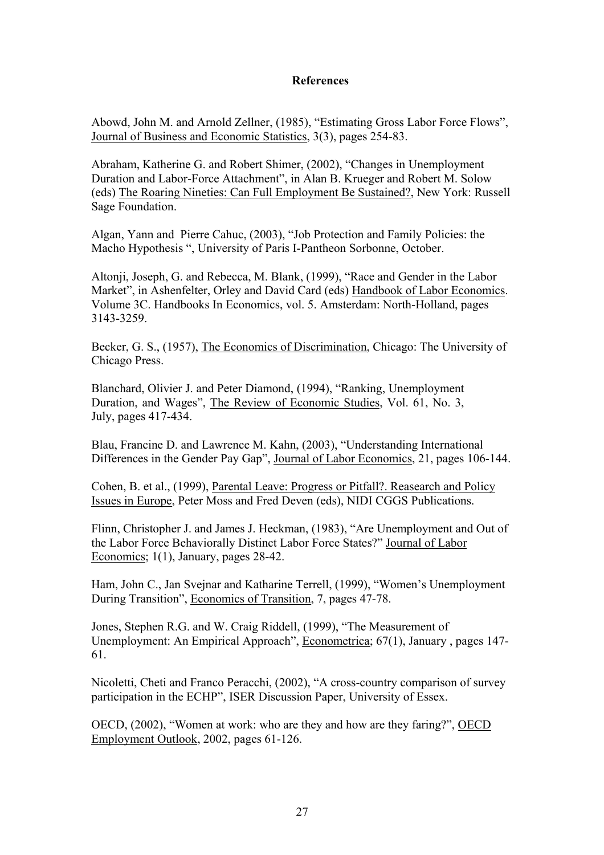#### **References**

Abowd, John M. and Arnold Zellner, (1985), "Estimating Gross Labor Force Flows", Journal of Business and Economic Statistics, 3(3), pages 254-83.

Abraham, Katherine G. and Robert Shimer, (2002), "Changes in Unemployment Duration and Labor-Force Attachment", in Alan B. Krueger and Robert M. Solow (eds) The Roaring Nineties: Can Full Employment Be Sustained?, New York: Russell Sage Foundation.

Algan, Yann and Pierre Cahuc, (2003), "Job Protection and Family Policies: the Macho Hypothesis ", University of Paris I-Pantheon Sorbonne, October.

Altonji, Joseph, G. and Rebecca, M. Blank, (1999), "Race and Gender in the Labor Market", in Ashenfelter, Orley and David Card (eds) Handbook of Labor Economics. Volume 3C. Handbooks In Economics, vol. 5. Amsterdam: North-Holland, pages 3143-3259.

Becker, G. S., (1957), The Economics of Discrimination, Chicago: The University of Chicago Press.

Blanchard, Olivier J. and Peter Diamond, (1994), "Ranking, Unemployment Duration, and Wages", The Review of Economic Studies, Vol. 61, No. 3, July, pages 417-434.

Blau, Francine D. and Lawrence M. Kahn, (2003), "Understanding International Differences in the Gender Pay Gap", Journal of Labor Economics, 21, pages 106-144.

Cohen, B. et al., (1999), Parental Leave: Progress or Pitfall?. Reasearch and Policy Issues in Europe, Peter Moss and Fred Deven (eds), NIDI CGGS Publications.

Flinn, Christopher J. and James J. Heckman, (1983), "Are Unemployment and Out of the Labor Force Behaviorally Distinct Labor Force States?" Journal of Labor Economics; 1(1), January, pages 28-42.

Ham, John C., Jan Svejnar and Katharine Terrell, (1999), "Women's Unemployment During Transition", Economics of Transition, 7, pages 47-78.

Jones, Stephen R.G. and W. Craig Riddell, (1999), "The Measurement of Unemployment: An Empirical Approach", Econometrica; 67(1), January , pages 147- 61.

Nicoletti, Cheti and Franco Peracchi, (2002), "A cross-country comparison of survey participation in the ECHP", ISER Discussion Paper, University of Essex.

OECD, (2002), "Women at work: who are they and how are they faring?", OECD Employment Outlook, 2002, pages 61-126.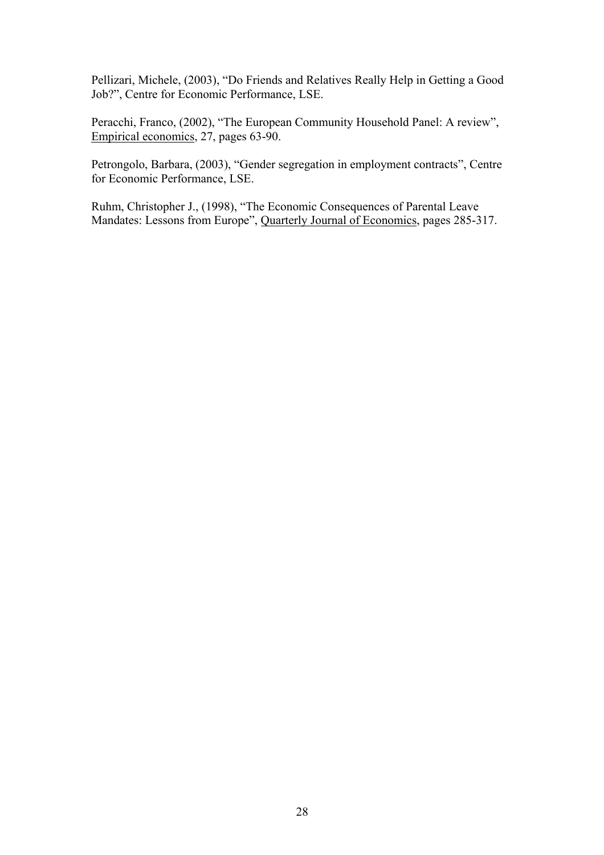Pellizari, Michele, (2003), "Do Friends and Relatives Really Help in Getting a Good Job?", Centre for Economic Performance, LSE.

Peracchi, Franco, (2002), "The European Community Household Panel: A review", Empirical economics, 27, pages 63-90.

Petrongolo, Barbara, (2003), "Gender segregation in employment contracts", Centre for Economic Performance, LSE.

Ruhm, Christopher J., (1998), "The Economic Consequences of Parental Leave Mandates: Lessons from Europe", Quarterly Journal of Economics, pages 285-317.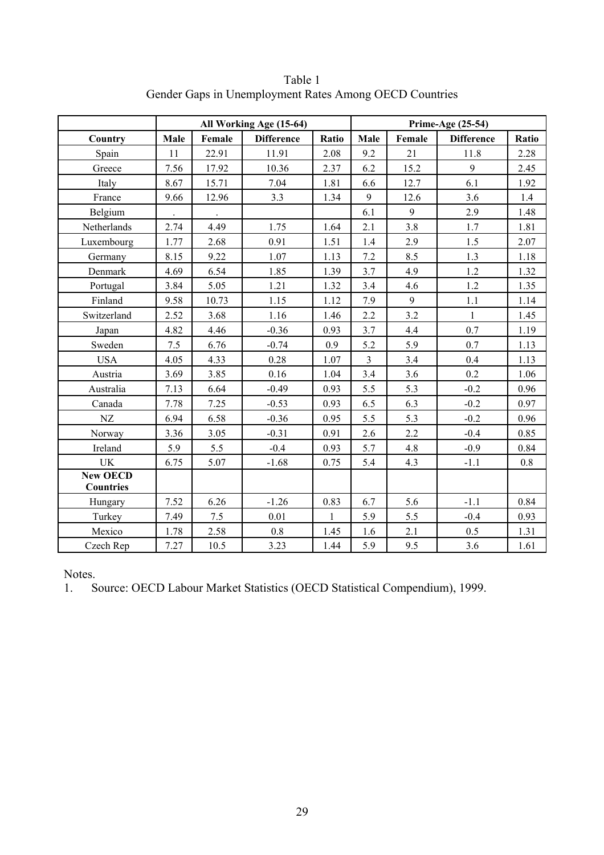|                  |      |        | All Working Age (15-64) |              |                | Prime-Age (25-54) |                   |         |
|------------------|------|--------|-------------------------|--------------|----------------|-------------------|-------------------|---------|
| Country          | Male | Female | <b>Difference</b>       | Ratio        | Male           | Female            | <b>Difference</b> | Ratio   |
| Spain            | 11   | 22.91  | 11.91                   | 2.08         | 9.2            | 21                | 11.8              | 2.28    |
| Greece           | 7.56 | 17.92  | 10.36                   | 2.37         | 6.2            | 15.2              | 9                 | 2.45    |
| Italy            | 8.67 | 15.71  | 7.04                    | 1.81         | 6.6            | 12.7              | 6.1               | 1.92    |
| France           | 9.66 | 12.96  | 3.3                     | 1.34         | 9              | 12.6              | 3.6               | 1.4     |
| Belgium          |      |        |                         |              | 6.1            | 9                 | 2.9               | 1.48    |
| Netherlands      | 2.74 | 4.49   | 1.75                    | 1.64         | 2.1            | 3.8               | 1.7               | 1.81    |
| Luxembourg       | 1.77 | 2.68   | 0.91                    | 1.51         | 1.4            | 2.9               | 1.5               | 2.07    |
| Germany          | 8.15 | 9.22   | 1.07                    | 1.13         | 7.2            | 8.5               | 1.3               | 1.18    |
| Denmark          | 4.69 | 6.54   | 1.85                    | 1.39         | 3.7            | 4.9               | 1.2               | 1.32    |
| Portugal         | 3.84 | 5.05   | 1.21                    | 1.32         | 3.4            | 4.6               | 1.2               | 1.35    |
| Finland          | 9.58 | 10.73  | 1.15                    | 1.12         | 7.9            | 9                 | 1.1               | 1.14    |
| Switzerland      | 2.52 | 3.68   | 1.16                    | 1.46         | 2.2            | 3.2               | $\mathbf{1}$      | 1.45    |
| Japan            | 4.82 | 4.46   | $-0.36$                 | 0.93         | 3.7            | 4.4               | 0.7               | 1.19    |
| Sweden           | 7.5  | 6.76   | $-0.74$                 | 0.9          | 5.2            | 5.9               | 0.7               | 1.13    |
| <b>USA</b>       | 4.05 | 4.33   | 0.28                    | 1.07         | $\overline{3}$ | 3.4               | 0.4               | 1.13    |
| Austria          | 3.69 | 3.85   | 0.16                    | 1.04         | 3.4            | 3.6               | 0.2               | 1.06    |
| Australia        | 7.13 | 6.64   | $-0.49$                 | 0.93         | 5.5            | 5.3               | $-0.2$            | 0.96    |
| Canada           | 7.78 | 7.25   | $-0.53$                 | 0.93         | 6.5            | 6.3               | $-0.2$            | 0.97    |
| NZ               | 6.94 | 6.58   | $-0.36$                 | 0.95         | 5.5            | 5.3               | $-0.2$            | 0.96    |
| Norway           | 3.36 | 3.05   | $-0.31$                 | 0.91         | 2.6            | 2.2               | $-0.4$            | 0.85    |
| Ireland          | 5.9  | 5.5    | $-0.4$                  | 0.93         | 5.7            | 4.8               | $-0.9$            | 0.84    |
| <b>UK</b>        | 6.75 | 5.07   | $-1.68$                 | 0.75         | 5.4            | 4.3               | $-1.1$            | $0.8\,$ |
| <b>New OECD</b>  |      |        |                         |              |                |                   |                   |         |
| <b>Countries</b> |      |        |                         |              |                |                   |                   |         |
| Hungary          | 7.52 | 6.26   | $-1.26$                 | 0.83         | 6.7            | 5.6               | $-1.1$            | 0.84    |
| Turkey           | 7.49 | 7.5    | 0.01                    | $\mathbf{1}$ | 5.9            | 5.5               | $-0.4$            | 0.93    |
| Mexico           | 1.78 | 2.58   | $0.8\,$                 | 1.45         | 1.6            | 2.1               | 0.5               | 1.31    |
| Czech Rep        | 7.27 | 10.5   | 3.23                    | 1.44         | 5.9            | 9.5               | 3.6               | 1.61    |

Table 1 Gender Gaps in Unemployment Rates Among OECD Countries

1. Source: OECD Labour Market Statistics (OECD Statistical Compendium), 1999.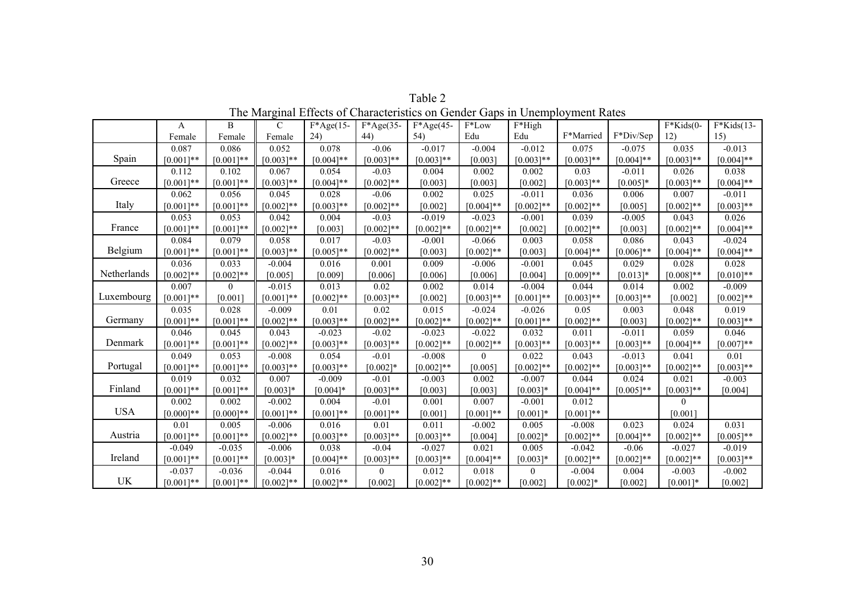|             | A            | B           | $\mathcal{C}$ | $F^*Age(15-$ | $F^*Age(35-$   | $F^*Age(45-$ | F*Low        | F*High       |              |              | $F*Kids(0-$  | $F*Kids(13-$ |
|-------------|--------------|-------------|---------------|--------------|----------------|--------------|--------------|--------------|--------------|--------------|--------------|--------------|
|             | Female       | Female      | Female        | 24)          | 44)            | 54)          | Edu          | Edu          | F*Married    | F*Div/Sep    | 12)          | 15)          |
|             | 0.087        | 0.086       | 0.052         | 0.078        | $-0.06$        | $-0.017$     | $-0.004$     | $-0.012$     | 0.075        | $-0.075$     | 0.035        | $-0.013$     |
| Spain       | $[0.001]$ ** | $[0.001]**$ | $[0.003]**$   | $[0.004]$ ** | $[0.003]$ **   | $[0.003]**$  | [0.003]      | $[0.003]$ ** | $[0.003]**$  | $[0.004]**$  | $[0.003]$ ** | $[0.004]$ ** |
|             | 0.112        | 0.102       | 0.067         | 0.054        | $-0.03$        | 0.004        | 0.002        | 0.002        | 0.03         | $-0.011$     | 0.026        | 0.038        |
| Greece      | $[0.001]$ ** | $[0.001]**$ | $[0.003]**$   | $[0.004]**$  | $[0.002]$ **   | [0.003]      | [0.003]      | [0.002]      | $[0.003]**$  | $[0.005]$ *  | $[0.003]**$  | $[0.004]$ ** |
|             | 0.062        | 0.056       | 0.045         | 0.028        | $-0.06$        | 0.002        | 0.025        | $-0.011$     | 0.036        | 0.006        | 0.007        | $-0.011$     |
| Italy       | $[0.001]$ ** | $[0.001]**$ | $[0.002]**$   | $[0.003]**$  | $[0.002]**$    | [0.002]      | $[0.004]$ ** | $[0.002]**$  | $[0.002]**$  | [0.005]      | $[0.002]**$  | $[0.003]**$  |
|             | 0.053        | 0.053       | 0.042         | 0.004        | $-0.03$        | $-0.019$     | $-0.023$     | $-0.001$     | 0.039        | $-0.005$     | 0.043        | 0.026        |
| France      | $[0.001]$ ** | $[0.001]**$ | $[0.002]**$   | [0.003]      | $[0.002]**$    | $[0.002]$ ** | $[0.002]$ ** | [0.002]      | $[0.002]**$  | [0.003]      | $[0.002]$ ** | $[0.004]$ ** |
|             | 0.084        | 0.079       | 0.058         | 0.017        | $-0.03$        | $-0.001$     | $-0.066$     | 0.003        | 0.058        | 0.086        | 0.043        | $-0.024$     |
| Belgium     | $[0.001]$ ** | $[0.001]**$ | $[0.003]**$   | $[0.005]$ ** | $[0.002]$ **   | [0.003]      | $[0.002]**$  | [0.003]      | $[0.004]$ ** | $[0.006]$ ** | $[0.004]$ ** | $[0.004]**$  |
|             | 0.036        | 0.033       | $-0.004$      | 0.016        | 0.001          | 0.009        | $-0.006$     | $-0.001$     | 0.045        | 0.029        | 0.028        | 0.028        |
| Netherlands | $[0.002]**$  | $[0.002]**$ | [0.005]       | [0.009]      | [0.006]        | [0.006]      | [0.006]      | [0.004]      | $[0.009]**$  | $[0.013]*$   | $[0.008]**$  | $[0.010]**$  |
|             | 0.007        | $\Omega$    | $-0.015$      | 0.013        | 0.02           | 0.002        | 0.014        | $-0.004$     | 0.044        | 0.014        | 0.002        | $-0.009$     |
| Luxembourg  | $[0.001]$ ** | [0.001]     | $[0.001]**$   | $[0.002]**$  | $[0.003]$ **   | [0.002]      | $[0.003]$ ** | $[0.001]$ ** | $[0.003]**$  | $[0.003]**$  | [0.002]      | $[0.002]**$  |
|             | 0.035        | 0.028       | $-0.009$      | 0.01         | 0.02           | 0.015        | $-0.024$     | $-0.026$     | 0.05         | 0.003        | 0.048        | 0.019        |
| Germany     | $[0.001]**$  | $[0.001]**$ | $[0.002]**$   | $[0.003]**$  | $[0.002]**$    | $[0.002]**$  | $[0.002]**$  | $[0.001]**$  | $[0.002]**$  | [0.003]      | $[0.002]**$  | $[0.003]**$  |
|             | 0.046        | 0.045       | 0.043         | $-0.023$     | $-0.02$        | $-0.023$     | $-0.022$     | 0.032        | 0.011        | $-0.011$     | 0.059        | 0.046        |
| Denmark     | $[0.001]**$  | $[0.001]**$ | $[0.002]**$   | $[0.003]**$  | $[0.003]**$    | $[0.002]$ ** | $[0.002]**$  | $[0.003]**$  | $[0.003]**$  | $[0.003]**$  | $[0.004]$ ** | $[0.007]**$  |
|             | 0.049        | 0.053       | $-0.008$      | 0.054        | $-0.01$        | $-0.008$     | $\Omega$     | 0.022        | 0.043        | $-0.013$     | 0.041        | 0.01         |
| Portugal    | $[0.001]**$  | $[0.001]**$ | $[0.003]**$   | $[0.003]**$  | $[0.002]*$     | $[0.002]$ ** | [0.005]      | $[0.002]$ ** | $[0.002]**$  | $[0.003]**$  | $[0.002]**$  | $[0.003]**$  |
|             | 0.019        | 0.032       | 0.007         | $-0.009$     | $-0.01$        | $-0.003$     | 0.002        | $-0.007$     | 0.044        | 0.024        | 0.021        | $-0.003$     |
| Finland     | $[0.001]**$  | $[0.001]**$ | $[0.003]*$    | $[0.004]*$   | $[0.003]**$    | [0.003]      | [0.003]      | $[0.003]*$   | $[0.004]$ ** | $[0.005]**$  | $[0.003]**$  | [0.004]      |
|             | 0.002        | 0.002       | $-0.002$      | 0.004        | $-0.01$        | 0.001        | 0.007        | $-0.001$     | 0.012        |              | $\theta$     |              |
| <b>USA</b>  | $[0.000]**$  | $[0.000]**$ | $[0.001]**$   | $[0.001]**$  | $[0.001]**$    | [0.001]      | $[0.001]**$  | $[0.001]*$   | $[0.001]**$  |              | [0.001]      |              |
|             | 0.01         | 0.005       | $-0.006$      | 0.016        | 0.01           | 0.011        | $-0.002$     | 0.005        | $-0.008$     | 0.023        | 0.024        | 0.031        |
| Austria     | $[0.001]**$  | $[0.001]**$ | $[0.002]**$   | $[0.003]**$  | $[0.003]**$    | $[0.003]**$  | [0.004]      | $[0.002]*$   | $[0.002]**$  | $[0.004]$ ** | $[0.002]**$  | $[0.005]$ ** |
|             | $-0.049$     | $-0.035$    | $-0.006$      | 0.038        | $-0.04$        | $-0.027$     | 0.021        | 0.005        | $-0.042$     | $-0.06$      | $-0.027$     | $-0.019$     |
| Ireland     | $[0.001]**$  | $[0.001]**$ | $[0.003]*$    | $[0.004]$ ** | $[0.003]$ **   | $[0.003]**$  | $[0.004]$ ** | $[0.003]$ *  | $[0.002]**$  | $[0.002]**$  | $[0.002]**$  | $[0.003]**$  |
|             | $-0.037$     | $-0.036$    | $-0.044$      | 0.016        | $\overline{0}$ | 0.012        | 0.018        | $\theta$     | $-0.004$     | 0.004        | $-0.003$     | $-0.002$     |
| UK          | $[0.001]**$  | $[0.001]**$ | $[0.002]$ **  | $[0.002]**$  | [0.002]        | $[0.002]$ ** | $[0.002]**$  | [0.002]      | $[0.002]*$   | [0.002]      | $[0.001]*$   | [0.002]      |

Table 2 The Marginal Effects of Characteristics on Gender Gaps in Unemployment Rates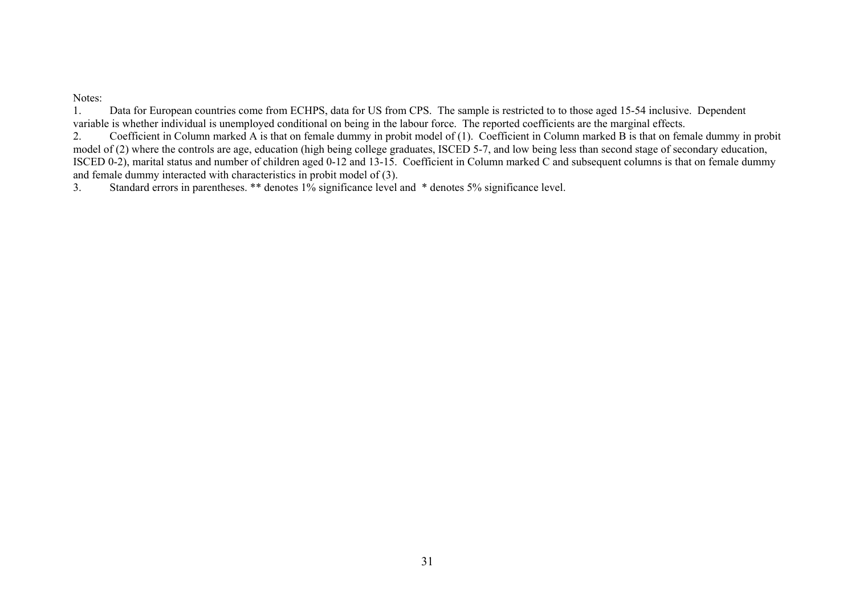#### Notes:

1. Data for European countries come from ECHPS, data for US from CPS. The sample is restricted to to those aged 15-54 inclusive. Dependent variable is whether individual is unemployed conditional on being in the labour force. The reported coefficients are the marginal effects.

2. Coefficient in Column marked A is that on female dummy in probit model of (1). Coefficient in Column marked B is that on female dummy in probit model of (2) where the controls are age, education (high being college graduates, ISCED 5-7, and low being less than second stage of secondary education, ISCED 0-2), marital status and number of children aged 0-12 and 13-15. Coefficient in Column marked C and subsequent columns is that on female dummy and female dummy interacted with characteristics in probit model of (3).

3. Standard errors in parentheses. \*\* denotes 1% significance level and \* denotes 5% significance level.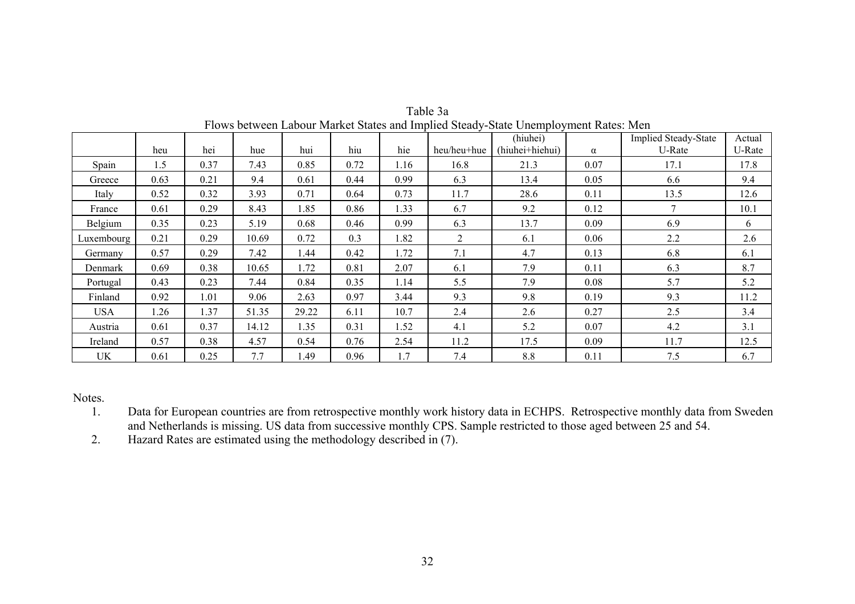|            | heu  | hei  | hue   | hui   | hiu  | hie  | heu/heu+hue    | (hiuhei)<br>(hiuhei+hiehui) | $\alpha$ | <b>Implied Steady-State</b><br>U-Rate | Actual<br>U-Rate |
|------------|------|------|-------|-------|------|------|----------------|-----------------------------|----------|---------------------------------------|------------------|
| Spain      | 1.5  | 0.37 | 7.43  | 0.85  | 0.72 | 1.16 | 16.8           | 21.3                        | 0.07     | 17.1                                  | 17.8             |
| Greece     | 0.63 | 0.21 | 9.4   | 0.61  | 0.44 | 0.99 | 6.3            | 13.4                        | 0.05     | 6.6                                   | 9.4              |
| Italy      | 0.52 | 0.32 | 3.93  | 0.71  | 0.64 | 0.73 | 11.7           | 28.6                        | 0.11     | 13.5                                  | 12.6             |
| France     | 0.61 | 0.29 | 8.43  | 1.85  | 0.86 | 1.33 | 6.7            | 9.2                         | 0.12     | $\tau$                                | 10.1             |
| Belgium    | 0.35 | 0.23 | 5.19  | 0.68  | 0.46 | 0.99 | 6.3            | 13.7                        | 0.09     | 6.9                                   | 6                |
| Luxembourg | 0.21 | 0.29 | 10.69 | 0.72  | 0.3  | 1.82 | $\overline{2}$ | 6.1                         | 0.06     | 2.2                                   | 2.6              |
| Germany    | 0.57 | 0.29 | 7.42  | 1.44  | 0.42 | 1.72 | 7.1            | 4.7                         | 0.13     | 6.8                                   | 6.1              |
| Denmark    | 0.69 | 0.38 | 10.65 | 1.72  | 0.81 | 2.07 | 6.1            | 7.9                         | 0.11     | 6.3                                   | 8.7              |
| Portugal   | 0.43 | 0.23 | 7.44  | 0.84  | 0.35 | 1.14 | 5.5            | 7.9                         | 0.08     | 5.7                                   | 5.2              |
| Finland    | 0.92 | 1.01 | 9.06  | 2.63  | 0.97 | 3.44 | 9.3            | 9.8                         | 0.19     | 9.3                                   | 11.2             |
| <b>USA</b> | 1.26 | 1.37 | 51.35 | 29.22 | 6.11 | 10.7 | 2.4            | 2.6                         | 0.27     | 2.5                                   | 3.4              |
| Austria    | 0.61 | 0.37 | 14.12 | 1.35  | 0.31 | 1.52 | 4.1            | 5.2                         | 0.07     | 4.2                                   | 3.1              |
| Ireland    | 0.57 | 0.38 | 4.57  | 0.54  | 0.76 | 2.54 | 11.2           | 17.5                        | 0.09     | 11.7                                  | 12.5             |
| <b>UK</b>  | 0.61 | 0.25 | 7.7   | 1.49  | 0.96 | 1.7  | 7.4            | 8.8                         | 0.11     | 7.5                                   | 6.7              |

Table 3a Flows between Labour Market States and Implied Steady-State Unemployment Rates: Men

1. Data for European countries are from retrospective monthly work history data in ECHPS. Retrospective monthly data from Sweden and Netherlands is missing. US data from successive monthly CPS. Sample restricted to those aged between 25 and 54.

2.Hazard Rates are estimated using the methodology described in (7).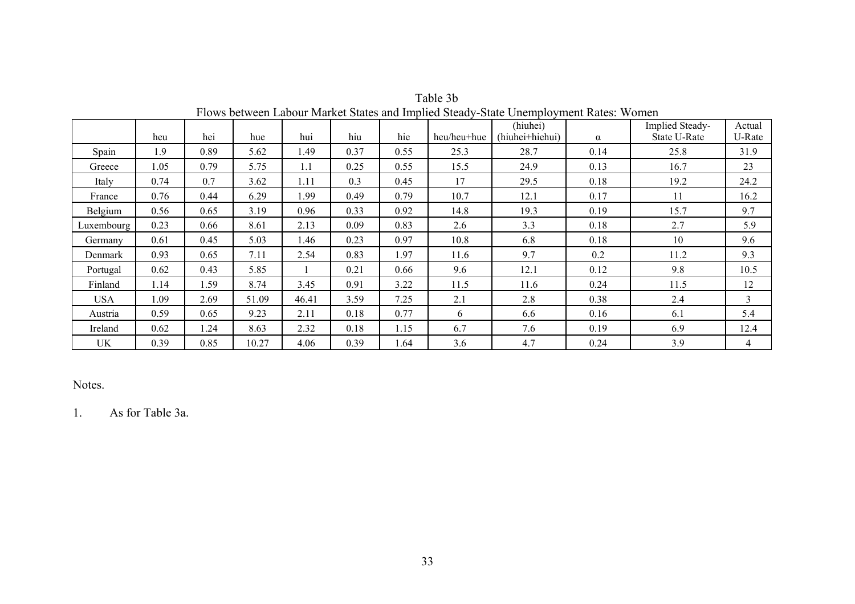|            | heu  | hei  | hue   | hui   | hiu  | hie  | heu/heu+hue | (hiuhei)<br>(hiuhei+hiehui) | $\alpha$ | Implied Steady-<br><b>State U-Rate</b> | Actual<br>U-Rate |
|------------|------|------|-------|-------|------|------|-------------|-----------------------------|----------|----------------------------------------|------------------|
| Spain      | 1.9  | 0.89 | 5.62  | 1.49  | 0.37 | 0.55 | 25.3        | 28.7                        | 0.14     | 25.8                                   | 31.9             |
| Greece     | 1.05 | 0.79 | 5.75  | 1.1   | 0.25 | 0.55 | 15.5        | 24.9                        | 0.13     | 16.7                                   | 23               |
| Italy      | 0.74 | 0.7  | 3.62  | 1.11  | 0.3  | 0.45 | 17          | 29.5                        | 0.18     | 19.2                                   | 24.2             |
| France     | 0.76 | 0.44 | 6.29  | 1.99  | 0.49 | 0.79 | 10.7        | 12.1                        | 0.17     | 11                                     | 16.2             |
| Belgium    | 0.56 | 0.65 | 3.19  | 0.96  | 0.33 | 0.92 | 14.8        | 19.3                        | 0.19     | 15.7                                   | 9.7              |
| Luxembourg | 0.23 | 0.66 | 8.61  | 2.13  | 0.09 | 0.83 | 2.6         | 3.3                         | 0.18     | 2.7                                    | 5.9              |
| Germany    | 0.61 | 0.45 | 5.03  | 1.46  | 0.23 | 0.97 | 10.8        | 6.8                         | 0.18     | 10                                     | 9.6              |
| Denmark    | 0.93 | 0.65 | 7.11  | 2.54  | 0.83 | 1.97 | 11.6        | 9.7                         | 0.2      | 11.2                                   | 9.3              |
| Portugal   | 0.62 | 0.43 | 5.85  |       | 0.21 | 0.66 | 9.6         | 12.1                        | 0.12     | 9.8                                    | 10.5             |
| Finland    | 1.14 | 1.59 | 8.74  | 3.45  | 0.91 | 3.22 | 11.5        | 11.6                        | 0.24     | 11.5                                   | 12               |
| <b>USA</b> | l.09 | 2.69 | 51.09 | 46.41 | 3.59 | 7.25 | 2.1         | 2.8                         | 0.38     | 2.4                                    | 3                |
| Austria    | 0.59 | 0.65 | 9.23  | 2.11  | 0.18 | 0.77 | 6           | 6.6                         | 0.16     | 6.1                                    | 5.4              |
| Ireland    | 0.62 | 1.24 | 8.63  | 2.32  | 0.18 | 1.15 | 6.7         | 7.6                         | 0.19     | 6.9                                    | 12.4             |
| <b>UK</b>  | 0.39 | 0.85 | 10.27 | 4.06  | 0.39 | 1.64 | 3.6         | 4.7                         | 0.24     | 3.9                                    | $\overline{4}$   |

Table 3b Flows between Labour Market States and Implied Steady-State Unemployment Rates: Women

1. As for Table 3a.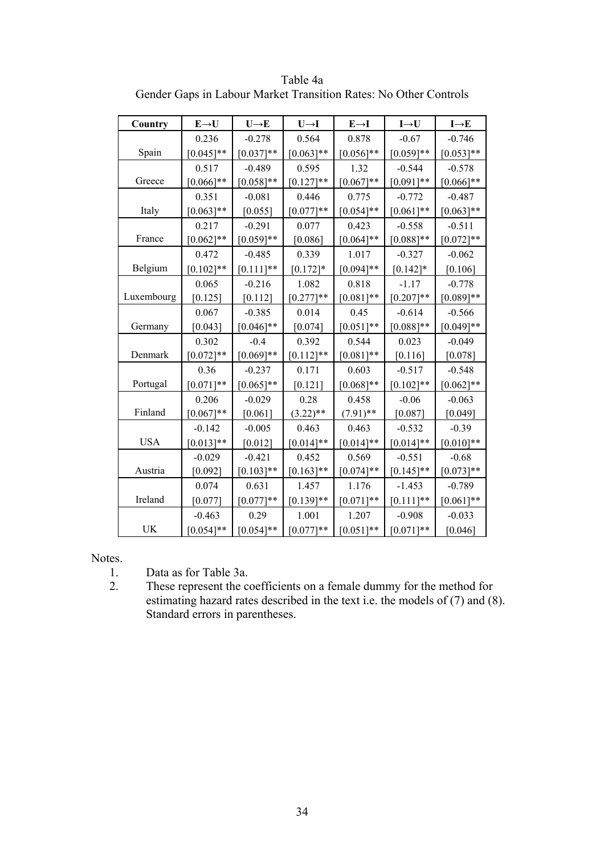| Country    | $E\rightarrow U$ | $U \rightarrow E$ | $U\rightarrow I$ | $E \rightarrow I$ | $I\rightarrow U$ | $I \rightarrow E$ |
|------------|------------------|-------------------|------------------|-------------------|------------------|-------------------|
|            | 0.236            | $-0.278$          | 0.564            | 0.878             | $-0.67$          | $-0.746$          |
| Spain      | $[0.045]$ **     | $[0.037]**$       | $[0.063]**$      | $[0.056]$ **      | $[0.059]**$      | $[0.053]**$       |
|            | 0.517            | $-0.489$          | 0.595            | 1.32              | $-0.544$         | $-0.578$          |
| Greece     | $[0.066]$ **     | $[0.058]**$       | $[0.127]$ **     | $[0.067]**$       | $[0.091]**$      | $[0.066]$ **      |
|            | 0.351            | $-0.081$          | 0.446            | 0.775             | $-0.772$         | $-0.487$          |
| Italy      | $[0.063]**$      | [0.055]           | $[0.077]**$      | $[0.054]$ **      | $[0.061]**$      | $[0.063]**$       |
|            | 0.217            | $-0.291$          | 0.077            | 0.423             | $-0.558$         | $-0.511$          |
| France     | $[0.062]$ **     | $[0.059]**$       | [0.086]          | $[0.064]$ **      | $[0.088]$ **     | $[0.072]**$       |
|            | 0.472            | $-0.485$          | 0.339            | 1.017             | $-0.327$         | $-0.062$          |
| Belgium    | $[0.102]$ **     | $[0.111]$ **      | $[0.172]$ *      | $[0.094]$ **      | $[0.142]$ *      | [0.106]           |
|            | 0.065            | $-0.216$          | 1.082            | 0.818             | $-1.17$          | $-0.778$          |
| Luxembourg | $[0.125]$        | [0.112]           | $[0.277]$ **     | $[0.081]$ **      | $[0.207]**$      | $[0.089]$ **      |
|            | 0.067            | $-0.385$          | 0.014            | 0.45              | $-0.614$         | $-0.566$          |
| Germany    | [0.043]          | $[0.046]$ **      | [0.074]          | $[0.051]$ **      | $[0.088]**$      | $[0.049]$ **      |
|            | 0.302            | $-0.4$            | 0.392            | 0.544             | 0.023            | $-0.049$          |
| Denmark    | $[0.072]**$      | $[0.069]**$       | $[0.112]$ **     | $[0.081]$ **      | [0.116]          | [0.078]           |
|            | 0.36             | $-0.237$          | 0.171            | 0.603             | $-0.517$         | $-0.548$          |
| Portugal   | $[0.071]$ **     | $[0.065]$ **      | $[0.121]$        | $[0.068]$ **      | $[0.102]**$      | $[0.062]$ **      |
|            | 0.206            | $-0.029$          | 0.28             | 0.458             | $-0.06$          | $-0.063$          |
| Finland    | $[0.067]**$      | $[0.061]$         | $(3.22)$ **      | $(7.91)$ **       | [0.087]          | [0.049]           |
|            | $-0.142$         | $-0.005$          | 0.463            | 0.463             | $-0.532$         | $-0.39$           |
| <b>USA</b> | $[0.013]**$      | [0.012]           | $[0.014]$ **     | $[0.014]$ **      | $[0.014]$ **     | $[0.010]**$       |
|            | $-0.029$         | $-0.421$          | 0.452            | 0.569             | $-0.551$         | $-0.68$           |
| Austria    | $[0.092]$        | $[0.103]**$       | $[0.163]**$      | $[0.074]$ **      | $[0.145]$ **     | $[0.073]**$       |
|            | 0.074            | 0.631             | 1.457            | 1.176             | $-1.453$         | $-0.789$          |
| Ireland    | [0.077]          | $[0.077]**$       | $[0.139]$ **     | $[0.071]$ **      | $[0.111]$ **     | $[0.061]$ **      |
|            | $-0.463$         | 0.29              | 1.001            | 1.207             | $-0.908$         | $-0.033$          |
| <b>UK</b>  | $[0.054]$ **     | $[0.054]$ **      | $[0.077]**$      | $[0.051]**$       | $[0.071]**$      | [0.046]           |

Table 4a Gender Gaps in Labour Market Transition Rates: No Other Controls

- 1. Data as for Table 3a.<br>2. These represent the co
- These represent the coefficients on a female dummy for the method for estimating hazard rates described in the text i.e. the models of (7) and (8). Standard errors in parentheses.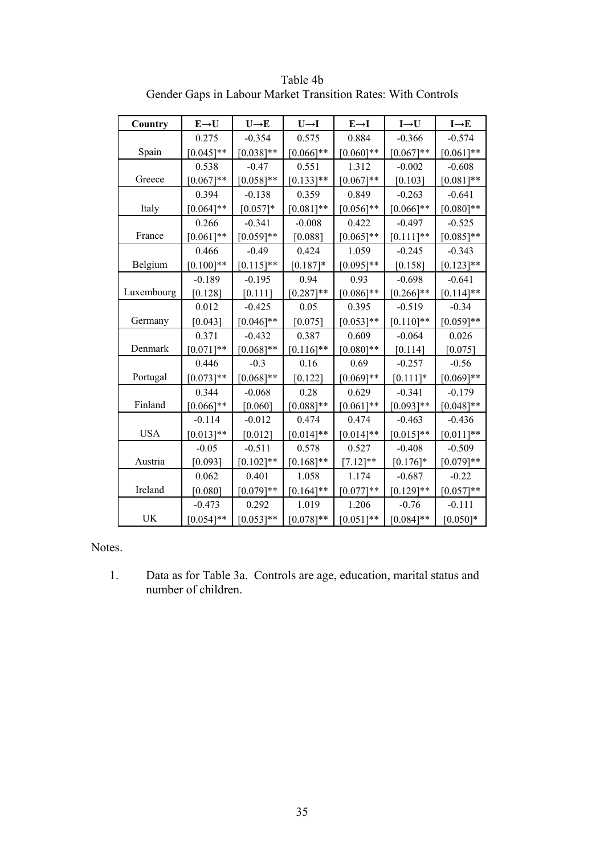| Country    | $E\rightarrow U$ | $U\rightarrow E$ | $U\rightarrow I$ | $E \rightarrow I$ | $I\rightarrow U$ | $I \rightarrow E$ |
|------------|------------------|------------------|------------------|-------------------|------------------|-------------------|
|            | 0.275            | $-0.354$         | 0.575            | 0.884             | $-0.366$         | $-0.574$          |
| Spain      | $[0.045]$ **     | $[0.038]**$      | $[0.066]$ **     | $[0.060]**$       | $[0.067]**$      | $[0.061]**$       |
|            | 0.538            | $-0.47$          | 0.551            | 1.312             | $-0.002$         | $-0.608$          |
| Greece     | $[0.067]**$      | $[0.058]**$      | $[0.133]$ **     | $[0.067]**$       | $[0.103]$        | $[0.081]$ **      |
|            | 0.394            | $-0.138$         | 0.359            | 0.849             | $-0.263$         | $-0.641$          |
| Italy      | $[0.064]$ **     | $[0.057]*$       | $[0.081]$ **     | $[0.056]$ **      | $[0.066]$ **     | $[0.080]$ **      |
|            | 0.266            | $-0.341$         | $-0.008$         | 0.422             | $-0.497$         | $-0.525$          |
| France     | $[0.061]$ **     | $[0.059]**$      | [0.088]          | $[0.065]**$       | $[0.111]$ **     | $[0.085]$ **      |
|            | 0.466            | $-0.49$          | 0.424            | 1.059             | $-0.245$         | $-0.343$          |
| Belgium    | $[0.100]$ **     | $[0.115]$ **     | $[0.187]$ *      | $[0.095]$ **      | [0.158]          | $[0.123]$ **      |
|            | $-0.189$         | $-0.195$         | 0.94             | 0.93              | $-0.698$         | $-0.641$          |
| Luxembourg | [0.128]          | [0.111]          | $[0.287]$ **     | $[0.086]$ **      | $[0.266]$ **     | $[0.114]$ **      |
|            | 0.012            | $-0.425$         | 0.05             | 0.395             | $-0.519$         | $-0.34$           |
| Germany    | [0.043]          | $[0.046]$ **     | [0.075]          | $[0.053]**$       | $[0.110]$ **     | $[0.059]**$       |
|            | 0.371            | $-0.432$         | 0.387            | 0.609             | $-0.064$         | 0.026             |
| Denmark    | $[0.071]**$      | $[0.068]**$      | $[0.116]$ **     | $[0.080]$ **      | [0.114]          | [0.075]           |
|            | 0.446            | $-0.3$           | 0.16             | 0.69              | $-0.257$         | $-0.56$           |
| Portugal   | $[0.073]**$      | $[0.068]**$      | $[0.122]$        | $[0.069]**$       | $[0.111]$ *      | $[0.069]**$       |
|            | 0.344            | $-0.068$         | 0.28             | 0.629             | $-0.341$         | $-0.179$          |
| Finland    | $[0.066]$ **     | [0.060]          | $[0.088]**$      | $[0.061]**$       | $[0.093]**$      | $[0.048]**$       |
|            | $-0.114$         | $-0.012$         | 0.474            | 0.474             | $-0.463$         | $-0.436$          |
| <b>USA</b> | $[0.013]**$      | [0.012]          | $[0.014]$ **     | $[0.014]$ **      | $[0.015]**$      | $[0.011]**$       |
|            | $-0.05$          | $-0.511$         | 0.578            | 0.527             | $-0.408$         | $-0.509$          |
| Austria    | [0.093]          | $[0.102]$ **     | $[0.168]$ **     | $[7.12]$ **       | $[0.176]$ *      | $[0.079]**$       |
|            | 0.062            | 0.401            | 1.058            | 1.174             | $-0.687$         | $-0.22$           |
| Ireland    | [0.080]          | $[0.079]**$      | $[0.164]$ **     | $[0.077]**$       | $[0.129]$ **     | $[0.057]**$       |
|            | $-0.473$         | 0.292            | 1.019            | 1.206             | $-0.76$          | $-0.111$          |
| UK         | $[0.054]$ **     | $[0.053]**$      | $[0.078]**$      | $[0.051]$ **      | $[0.084]$ **     | $[0.050]*$        |

Table 4b Gender Gaps in Labour Market Transition Rates: With Controls

1. Data as for Table 3a. Controls are age, education, marital status and number of children.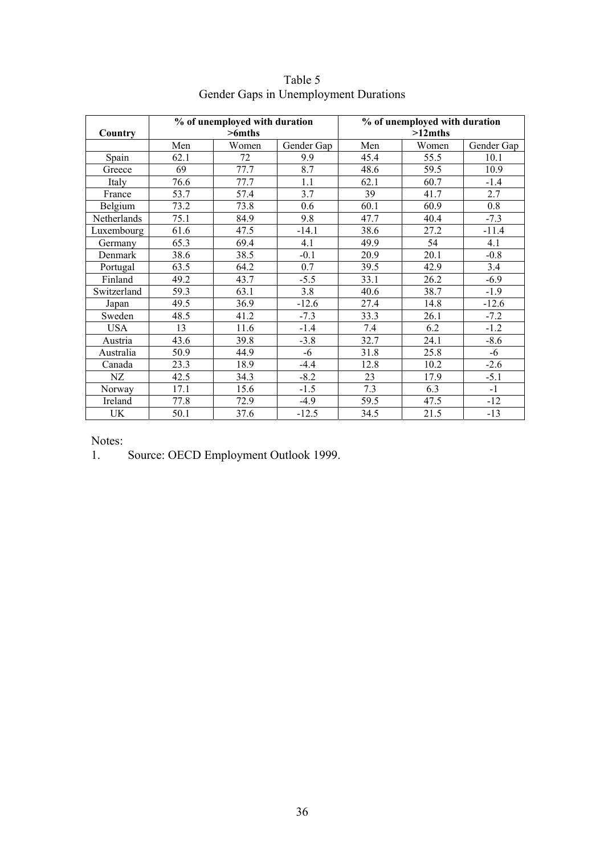| Country     |      | % of unemployed with duration<br>$>6$ mths |            |      | % of unemployed with duration<br>$>12$ mths |            |
|-------------|------|--------------------------------------------|------------|------|---------------------------------------------|------------|
|             | Men  | Women                                      | Gender Gap | Men  | Women                                       | Gender Gap |
| Spain       | 62.1 | 72                                         | 9.9        | 45.4 | 55.5                                        | 10.1       |
| Greece      | 69   | 77.7                                       | 8.7        | 48.6 | 59.5                                        | 10.9       |
| Italy       | 76.6 | 77.7                                       | 1.1        | 62.1 | 60.7                                        | $-1.4$     |
| France      | 53.7 | 57.4                                       | 3.7        | 39   | 41.7                                        | 2.7        |
| Belgium     | 73.2 | 73.8                                       | 0.6        | 60.1 | 60.9                                        | 0.8        |
| Netherlands | 75.1 | 84.9                                       | 9.8        | 47.7 | 40.4                                        | $-7.3$     |
| Luxembourg  | 61.6 | 47.5                                       | $-14.1$    | 38.6 | 27.2                                        | $-11.4$    |
| Germany     | 65.3 | 69.4                                       | 4.1        | 49.9 | 54                                          | 4.1        |
| Denmark     | 38.6 | 38.5                                       | $-0.1$     | 20.9 | 20.1                                        | $-0.8$     |
| Portugal    | 63.5 | 64.2                                       | 0.7        | 39.5 | 42.9                                        | 3.4        |
| Finland     | 49.2 | 43.7                                       | $-5.5$     | 33.1 | 26.2                                        | $-6.9$     |
| Switzerland | 59.3 | 63.1                                       | 3.8        | 40.6 | 38.7                                        | $-1.9$     |
| Japan       | 49.5 | 36.9                                       | $-12.6$    | 27.4 | 14.8                                        | $-12.6$    |
| Sweden      | 48.5 | 41.2                                       | $-7.3$     | 33.3 | 26.1                                        | $-7.2$     |
| <b>USA</b>  | 13   | 11.6                                       | $-1.4$     | 7.4  | 6.2                                         | $-1.2$     |
| Austria     | 43.6 | 39.8                                       | $-3.8$     | 32.7 | 24.1                                        | $-8.6$     |
| Australia   | 50.9 | 44.9                                       | $-6$       | 31.8 | 25.8                                        | -6         |
| Canada      | 23.3 | 18.9                                       | $-4.4$     | 12.8 | 10.2                                        | $-2.6$     |
| NZ          | 42.5 | 34.3                                       | $-8.2$     | 23   | 17.9                                        | $-5.1$     |
| Norway      | 17.1 | 15.6                                       | $-1.5$     | 7.3  | 6.3                                         | $-1$       |
| Ireland     | 77.8 | 72.9                                       | $-4.9$     | 59.5 | 47.5                                        | $-12$      |
| UK          | 50.1 | 37.6                                       | $-12.5$    | 34.5 | 21.5                                        | $-13$      |

Table 5 Gender Gaps in Unemployment Durations

Notes:<br>1. Source: OECD Employment Outlook 1999.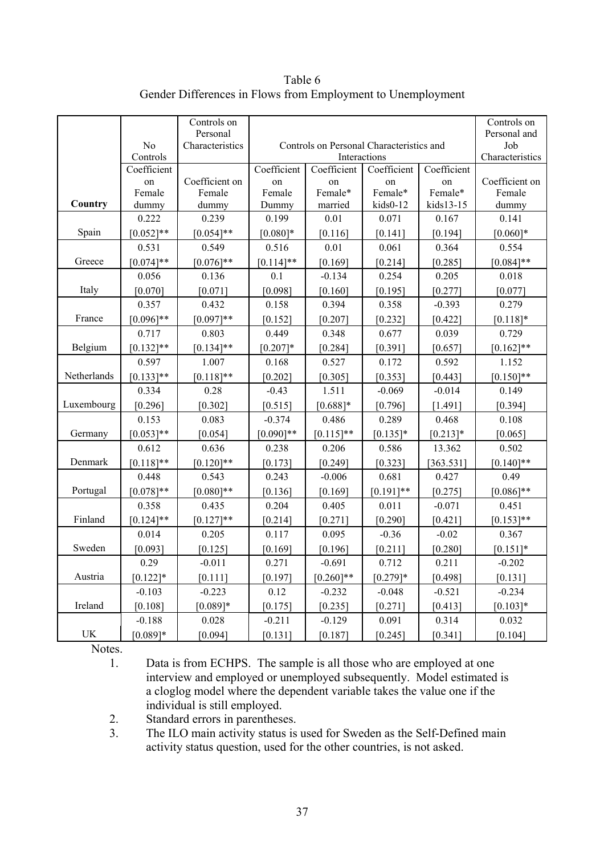|             |                            | Controls on<br>Personal |                                                                                    |              |                   |                   | Controls on<br>Personal and |  |  |
|-------------|----------------------------|-------------------------|------------------------------------------------------------------------------------|--------------|-------------------|-------------------|-----------------------------|--|--|
|             | N <sub>o</sub><br>Controls | Characteristics         | Controls on Personal Characteristics and<br>Job<br>Interactions<br>Characteristics |              |                   |                   |                             |  |  |
|             | Coefficient                |                         | Coefficient                                                                        |              |                   |                   |                             |  |  |
|             | on                         | Coefficient on          | on                                                                                 | on           | Coefficient<br>on | Coefficient<br>on | Coefficient on              |  |  |
|             | Female                     | Female                  | Female                                                                             | Female*      | Female*           | Female*           | Female                      |  |  |
| Country     | dummy                      | dummy                   | Dummy                                                                              | married      | kids0-12          | kids13-15         | dummy                       |  |  |
|             | 0.222                      | 0.239                   | 0.199                                                                              | 0.01         | 0.071             | 0.167             | 0.141                       |  |  |
| Spain       | $[0.052]**$                | $[0.054]**$             | $[0.080]$ *                                                                        | [0.116]      | [0.141]           | [0.194]           | $[0.060]*$                  |  |  |
|             | 0.531                      | 0.549                   | 0.516                                                                              | 0.01         | 0.061             | 0.364             | 0.554                       |  |  |
| Greece      | $[0.074]**$                | $[0.076]$ **            | $[0.114]$ **                                                                       | [0.169]      | [0.214]           | [0.285]           | $[0.084]$ **                |  |  |
|             | 0.056                      | 0.136                   | 0.1                                                                                | $-0.134$     | 0.254             | 0.205             | 0.018                       |  |  |
| Italy       | [0.070]                    | [0.071]                 | [0.098]                                                                            | [0.160]      | [0.195]           | [0.277]           | [0.077]                     |  |  |
|             | 0.357                      | 0.432                   | 0.158                                                                              | 0.394        | 0.358             | $-0.393$          | 0.279                       |  |  |
| France      | $[0.096]$ **               | $[0.097]**$             | [0.152]                                                                            | [0.207]      | [0.232]           | [0.422]           | $[0.118]*$                  |  |  |
|             | 0.717                      | 0.803                   | 0.449                                                                              | 0.348        | 0.677             | 0.039             | 0.729                       |  |  |
| Belgium     | $[0.132]$ **               | $[0.134]$ **            | $[0.207]*$                                                                         | [0.284]      | [0.391]           | [0.657]           | $[0.162]$ **                |  |  |
|             | 0.597                      | 1.007                   | 0.168                                                                              | 0.527        | 0.172             | 0.592             | 1.152                       |  |  |
| Netherlands | $[0.133]$ **               | $[0.118]$ **            | [0.202]                                                                            | [0.305]      | [0.353]           | [0.443]           | $[0.150]$ **                |  |  |
|             | 0.334                      | 0.28                    | $-0.43$                                                                            | 1.511        | $-0.069$          | $-0.014$          | 0.149                       |  |  |
| Luxembourg  | [0.296]                    | [0.302]                 | [0.515]                                                                            | $[0.688]*$   | [0.796]           | [1.491]           | [0.394]                     |  |  |
|             | 0.153                      | 0.083                   | $-0.374$                                                                           | 0.486        | 0.289             | 0.468             | 0.108                       |  |  |
| Germany     | $[0.053]**$                | [0.054]                 | $[0.090]$ **                                                                       | $[0.115]$ ** | $[0.135]*$        | $[0.213]*$        | [0.065]                     |  |  |
|             | 0.612                      | 0.636                   | 0.238                                                                              | 0.206        | 0.586             | 13.362            | 0.502                       |  |  |
| Denmark     | $[0.118]**$                | $[0.120]$ **            | [0.173]                                                                            | [0.249]      | [0.323]           | $363.531$ ]       | $[0.140]$ **                |  |  |
|             | 0.448                      | 0.543                   | 0.243                                                                              | $-0.006$     | 0.681             | 0.427             | 0.49                        |  |  |
| Portugal    | $[0.078]**$                | $[0.080]$ **            | [0.136]                                                                            | [0.169]      | $[0.191]$ **      | [0.275]           | $[0.086]$ **                |  |  |
|             | 0.358                      | 0.435                   | 0.204                                                                              | 0.405        | 0.011             | $-0.071$          | 0.451                       |  |  |
| Finland     | $[0.124]$ **               | $[0.127]**$             | [0.214]                                                                            | [0.271]      | [0.290]           | [0.421]           | $[0.153]$ **                |  |  |
|             | 0.014                      | 0.205                   | 0.117                                                                              | 0.095        | $-0.36$           | $-0.02$           | 0.367                       |  |  |
| Sweden      | [0.093]                    | [0.125]                 | [0.169]                                                                            | [0.196]      | [0.211]           | [0.280]           | $[0.151]$ *                 |  |  |
|             | 0.29                       | $-0.011$                | 0.271                                                                              | $-0.691$     | 0.712             | 0.211             | $-0.202$                    |  |  |
| Austria     | $[0.122]$ *                | [0.111]                 | [0.197]                                                                            | $[0.260]$ ** | $[0.279]*$        | [0.498]           | [0.131]                     |  |  |
|             | $-0.103$                   | $-0.223$                | 0.12                                                                               | $-0.232$     | $-0.048$          | $-0.521$          | $-0.234$                    |  |  |
| Ireland     | [0.108]                    | $[0.089]*$              | [0.175]                                                                            | [0.235]      | [0.271]           | [0.413]           | $[0.103]*$                  |  |  |
|             | $-0.188$                   | 0.028                   | $-0.211$                                                                           | $-0.129$     | 0.091             | 0.314             | 0.032                       |  |  |
| UK          | $[0.089]*$                 | [0.094]                 | $[0.131]$                                                                          | $[0.187]$    | [0.245]           | $[0.341]$         | [0.104]                     |  |  |

Table 6 Gender Differences in Flows from Employment to Unemployment

1. Data is from ECHPS. The sample is all those who are employed at one interview and employed or unemployed subsequently. Model estimated is a cloglog model where the dependent variable takes the value one if the individual is still employed.

2. Standard errors in parentheses.

3. The ILO main activity status is used for Sweden as the Self-Defined main activity status question, used for the other countries, is not asked.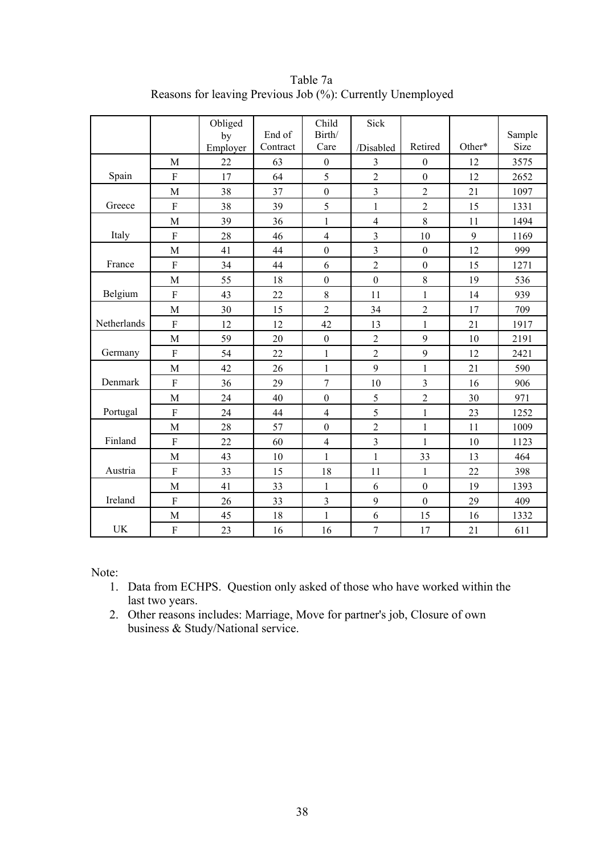|             |                | Obliged  |          | Child            | Sick             |                  |        |        |
|-------------|----------------|----------|----------|------------------|------------------|------------------|--------|--------|
|             |                | by       | End of   | Birth/           |                  |                  |        | Sample |
|             |                | Employer | Contract | Care             | /Disabled        | Retired          | Other* | Size   |
|             | M              | 22       | 63       | $\boldsymbol{0}$ | 3                | $\boldsymbol{0}$ | 12     | 3575   |
| Spain       | F              | 17       | 64       | 5                | $\overline{c}$   | $\boldsymbol{0}$ | 12     | 2652   |
|             | M              | 38       | 37       | $\boldsymbol{0}$ | $\overline{3}$   | $\overline{2}$   | 21     | 1097   |
| Greece      | ${\bf F}$      | 38       | 39       | 5                | $\mathbf{1}$     | $\overline{2}$   | 15     | 1331   |
|             | M              | 39       | 36       | $\mathbf{1}$     | $\overline{4}$   | 8                | 11     | 1494   |
| Italy       | F              | 28       | 46       | $\overline{4}$   | 3                | 10               | 9      | 1169   |
|             | M              | 41       | 44       | $\boldsymbol{0}$ | $\mathfrak{Z}$   | $\boldsymbol{0}$ | 12     | 999    |
| France      | $\overline{F}$ | 34       | 44       | 6                | $\overline{2}$   | $\boldsymbol{0}$ | 15     | 1271   |
|             | M              | 55       | 18       | $\boldsymbol{0}$ | $\boldsymbol{0}$ | 8                | 19     | 536    |
| Belgium     | $\mathbf{F}$   | 43       | 22       | 8                | 11               | $\mathbf{1}$     | 14     | 939    |
|             | M              | 30       | 15       | $\overline{2}$   | 34               | $\overline{2}$   | 17     | 709    |
| Netherlands | $\mathbf{F}$   | 12       | 12       | 42               | 13               | $\mathbf{1}$     | 21     | 1917   |
|             | M              | 59       | 20       | $\boldsymbol{0}$ | $\overline{2}$   | 9                | 10     | 2191   |
| Germany     | ${\bf F}$      | 54       | 22       | $\mathbf{1}$     | $\sqrt{2}$       | 9                | 12     | 2421   |
|             | M              | 42       | 26       | $\mathbf{1}$     | 9                | $\mathbf{1}$     | 21     | 590    |
| Denmark     | $\overline{F}$ | 36       | 29       | $\overline{7}$   | 10               | 3                | 16     | 906    |
|             | M              | 24       | 40       | $\boldsymbol{0}$ | 5                | $\overline{c}$   | 30     | 971    |
| Portugal    | $\overline{F}$ | 24       | 44       | $\overline{4}$   | 5                | $\mathbf{1}$     | 23     | 1252   |
|             | M              | 28       | 57       | $\boldsymbol{0}$ | $\overline{c}$   | 1                | 11     | 1009   |
| Finland     | F              | 22       | 60       | $\overline{4}$   | $\overline{3}$   | $\mathbf{1}$     | 10     | 1123   |
|             | M              | 43       | 10       | 1                | $\mathbf{1}$     | 33               | 13     | 464    |
| Austria     | F              | 33       | 15       | 18               | 11               | 1                | 22     | 398    |
|             | M              | 41       | 33       | $\mathbf{1}$     | 6                | $\boldsymbol{0}$ | 19     | 1393   |
| Ireland     | $\rm F$        | 26       | 33       | 3                | 9                | $\boldsymbol{0}$ | 29     | 409    |
|             | M              | 45       | 18       | $\mathbf{1}$     | 6                | 15               | 16     | 1332   |
| <b>UK</b>   | $\rm F$        | 23       | 16       | 16               | $\overline{7}$   | 17               | 21     | 611    |

Table 7a Reasons for leaving Previous Job (%): Currently Unemployed

Note:

- 1. Data from ECHPS. Question only asked of those who have worked within the last two years.
- 2. Other reasons includes: Marriage, Move for partner's job, Closure of own business & Study/National service.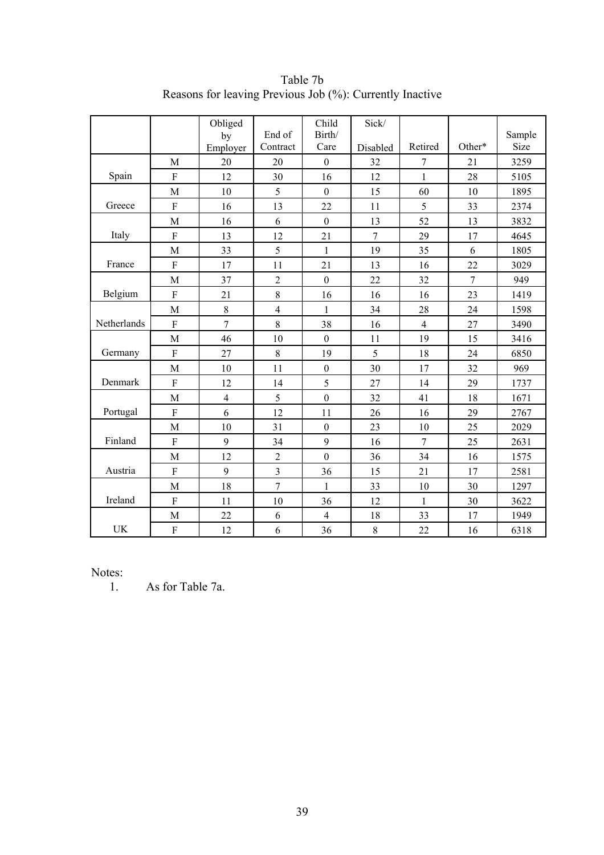|             |                | Obliged<br>by<br>Employer | End of<br>Contract      | Child<br>Birth/<br>Care | Sick/<br>Disabled | Retired        | Other* | Sample<br>Size |
|-------------|----------------|---------------------------|-------------------------|-------------------------|-------------------|----------------|--------|----------------|
|             | M              | 20                        | 20                      | $\boldsymbol{0}$        | 32                | 7              | 21     | 3259           |
| Spain       | F              | 12                        | 30                      | 16                      | 12                | 1              | 28     | 5105           |
|             | M              | 10                        | 5                       | $\mathbf{0}$            | 15                | 60             | 10     | 1895           |
| Greece      | F              | 16                        | 13                      | 22                      | 11                | 5              | 33     | 2374           |
|             | M              | 16                        | 6                       | $\mathbf{0}$            | 13                | 52             | 13     | 3832           |
| Italy       | $\rm F$        | 13                        | 12                      | 21                      | $\overline{7}$    | 29             | 17     | 4645           |
|             | M              | 33                        | 5                       | $\mathbf{1}$            | 19                | 35             | 6      | 1805           |
| France      | $\overline{F}$ | 17                        | 11                      | 21                      | 13                | 16             | 22     | 3029           |
|             | M              | 37                        | $\overline{2}$          | $\mathbf{0}$            | 22                | 32             | 7      | 949            |
| Belgium     | ${\bf F}$      | 21                        | 8                       | 16                      | 16                | 16             | 23     | 1419           |
|             | M              | 8                         | $\overline{\mathbf{4}}$ | $\mathbf{1}$            | 34                | 28             | 24     | 1598           |
| Netherlands | ${\bf F}$      | 7                         | 8                       | 38                      | 16                | $\overline{4}$ | 27     | 3490           |
|             | M              | 46                        | 10                      | $\mathbf{0}$            | 11                | 19             | 15     | 3416           |
| Germany     | F              | 27                        | $8\,$                   | 19                      | 5                 | 18             | 24     | 6850           |
|             | M              | 10                        | 11                      | $\boldsymbol{0}$        | 30                | 17             | 32     | 969            |
| Denmark     | $\overline{F}$ | 12                        | 14                      | 5                       | 27                | 14             | 29     | 1737           |
|             | M              | $\overline{\mathbf{4}}$   | 5                       | $\boldsymbol{0}$        | 32                | 41             | 18     | 1671           |
| Portugal    | $\overline{F}$ | 6                         | 12                      | 11                      | 26                | 16             | 29     | 2767           |
|             | M              | 10                        | 31                      | $\boldsymbol{0}$        | 23                | 10             | 25     | 2029           |
| Finland     | $\mathbf{F}$   | 9                         | 34                      | 9                       | 16                | $\overline{7}$ | 25     | 2631           |
|             | M              | 12                        | $\overline{2}$          | $\boldsymbol{0}$        | 36                | 34             | 16     | 1575           |
| Austria     | ${\bf F}$      | 9                         | 3                       | 36                      | 15                | 21             | 17     | 2581           |
|             | M              | 18                        | $\overline{7}$          | $\mathbf{1}$            | 33                | 10             | 30     | 1297           |
| Ireland     | F              | 11                        | 10                      | 36                      | 12                | $\mathbf{1}$   | 30     | 3622           |
|             | M              | 22                        | 6                       | $\overline{4}$          | 18                | 33             | 17     | 1949           |
| <b>UK</b>   | F              | 12                        | 6                       | 36                      | 8                 | 22             | 16     | 6318           |

Table 7b Reasons for leaving Previous Job (%): Currently Inactive

Notes:<br> $\frac{1}{1}$ .

As for Table 7a.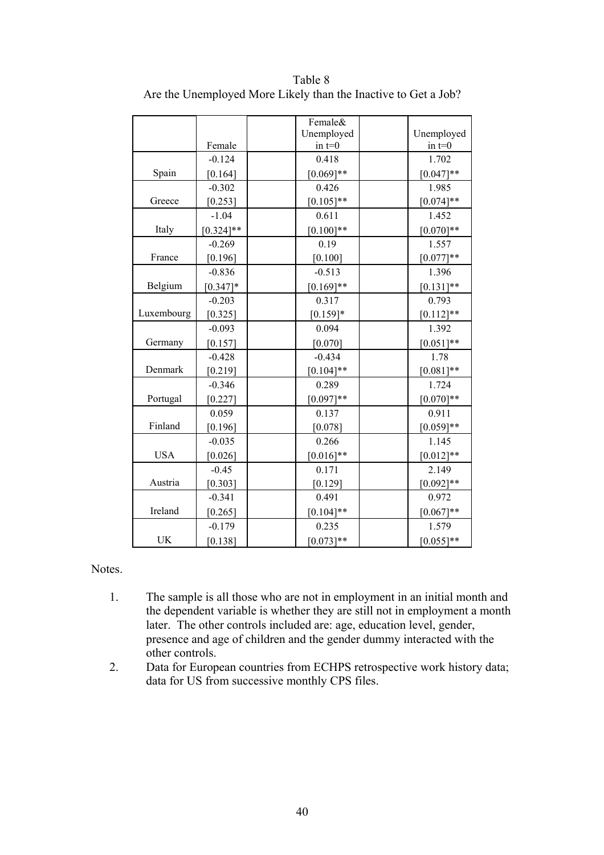|            |              | Female&                |                        |
|------------|--------------|------------------------|------------------------|
|            | Female       | Unemployed<br>in $t=0$ | Unemployed<br>in $t=0$ |
|            | $-0.124$     | 0.418                  | 1.702                  |
| Spain      | [0.164]      | $[0.069]**$            | $[0.047]**$            |
|            | $-0.302$     | 0.426                  | 1.985                  |
| Greece     | [0.253]      | $[0.105]$ **           | $[0.074]$ **           |
|            | $-1.04$      | 0.611                  | 1.452                  |
| Italy      | $[0.324]$ ** | $[0.100]$ **           | $[0.070]$ **           |
|            | $-0.269$     | 0.19                   | 1.557                  |
| France     | [0.196]      | $[0.100]$              | $[0.077]**$            |
|            | $-0.836$     | $-0.513$               | 1.396                  |
| Belgium    | $[0.347]*$   | $[0.169]$ **           | $[0.131]$ **           |
|            | $-0.203$     | 0.317                  | 0.793                  |
| Luxembourg | [0.325]      | $[0.159]*$             | $[0.112]$ **           |
|            | $-0.093$     | 0.094                  | 1.392                  |
| Germany    | [0.157]      | [0.070]                | $[0.051]$ **           |
|            | $-0.428$     | $-0.434$               | 1.78                   |
| Denmark    | [0.219]      | $[0.104]$ **           | $[0.081]$ **           |
|            | $-0.346$     | 0.289                  | 1.724                  |
| Portugal   | [0.227]      | $[0.097]**$            | $[0.070]$ **           |
|            | 0.059        | 0.137                  | 0.911                  |
| Finland    | [0.196]      | [0.078]                | $[0.059]**$            |
|            | $-0.035$     | 0.266                  | 1.145                  |
| <b>USA</b> | [0.026]      | $[0.016]$ **           | $[0.012]**$            |
|            | $-0.45$      | 0.171                  | 2.149                  |
| Austria    | [0.303]      | [0.129]                | $[0.092]$ **           |
|            | $-0.341$     | 0.491                  | 0.972                  |
| Ireland    | [0.265]      | $[0.104]$ **           | $[0.067]**$            |
|            | $-0.179$     | 0.235                  | 1.579                  |
| <b>UK</b>  | [0.138]      | $[0.073]**$            | $[0.055]$ **           |

Table 8 Are the Unemployed More Likely than the Inactive to Get a Job?

- 1. The sample is all those who are not in employment in an initial month and the dependent variable is whether they are still not in employment a month later. The other controls included are: age, education level, gender, presence and age of children and the gender dummy interacted with the other controls.
- 2. Data for European countries from ECHPS retrospective work history data; data for US from successive monthly CPS files.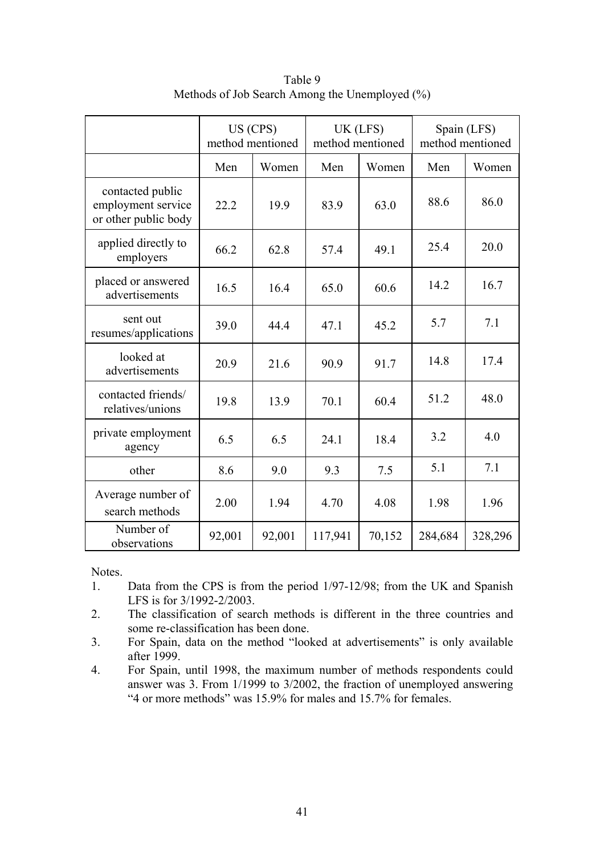|                                                                |        | US (CPS)<br>method mentioned |         | UK (LFS)<br>method mentioned | Spain (LFS)<br>method mentioned |         |  |
|----------------------------------------------------------------|--------|------------------------------|---------|------------------------------|---------------------------------|---------|--|
|                                                                | Men    | Women                        | Men     | Women                        | Men                             | Women   |  |
| contacted public<br>employment service<br>or other public body | 22.2   | 19.9                         | 83.9    | 63.0                         | 88.6                            | 86.0    |  |
| applied directly to<br>employers                               | 66.2   | 62.8                         | 57.4    | 49.1                         | 25.4                            | 20.0    |  |
| placed or answered<br>advertisements                           | 16.5   | 16.4                         | 65.0    | 60.6                         | 14.2                            | 16.7    |  |
| sent out<br>resumes/applications                               | 39.0   | 44.4                         | 47.1    | 45.2                         | 5.7                             | 7.1     |  |
| looked at<br>advertisements                                    | 20.9   | 21.6                         | 90.9    | 91.7                         | 14.8                            | 17.4    |  |
| contacted friends/<br>relatives/unions                         | 19.8   | 13.9                         | 70.1    | 60.4                         | 51.2                            | 48.0    |  |
| private employment<br>agency                                   | 6.5    | 6.5                          | 24.1    | 18.4                         | 3.2                             | 4.0     |  |
| other                                                          | 8.6    | 9.0                          | 9.3     | 7.5                          | 5.1                             | 7.1     |  |
| Average number of<br>search methods                            | 2.00   | 1.94                         | 4.70    | 4.08                         | 1.98                            | 1.96    |  |
| Number of<br>observations                                      | 92,001 | 92,001                       | 117,941 | 70,152                       | 284,684                         | 328,296 |  |

Table 9 Methods of Job Search Among the Unemployed (%)

- 1. Data from the CPS is from the period 1/97-12/98; from the UK and Spanish LFS is for 3/1992-2/2003.
- 2. The classification of search methods is different in the three countries and some re-classification has been done.
- 3. For Spain, data on the method "looked at advertisements" is only available after 1999.
- 4. For Spain, until 1998, the maximum number of methods respondents could answer was 3. From 1/1999 to 3/2002, the fraction of unemployed answering "4 or more methods" was 15.9% for males and 15.7% for females.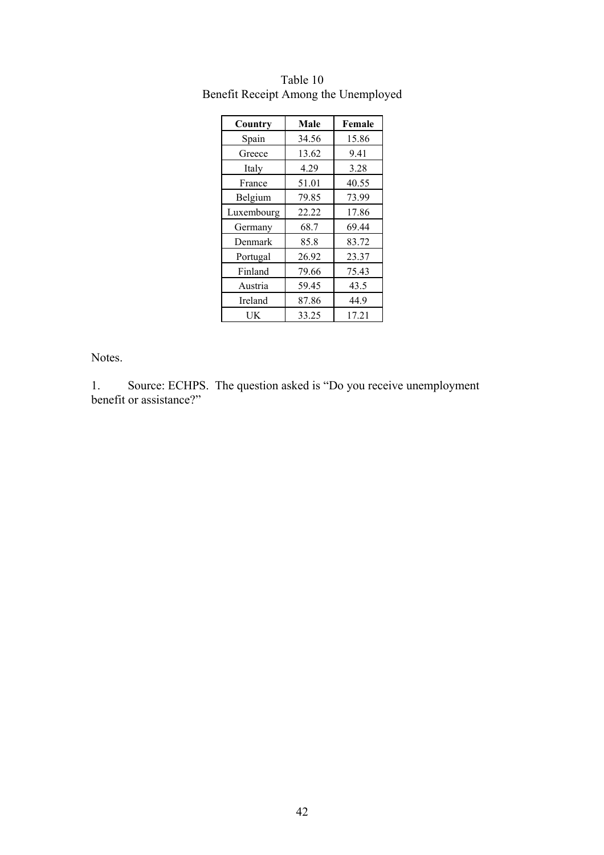| Country    | Male  | Female |
|------------|-------|--------|
| Spain      | 34.56 | 15.86  |
| Greece     | 13.62 | 9.41   |
| Italy      | 4.29  | 3.28   |
| France     | 51.01 | 40.55  |
| Belgium    | 79.85 | 73.99  |
| Luxembourg | 22.22 | 17.86  |
| Germany    | 68.7  | 69.44  |
| Denmark    | 85.8  | 83.72  |
| Portugal   | 26.92 | 23.37  |
| Finland    | 79.66 | 75.43  |
| Austria    | 59.45 | 43.5   |
| Ireland    | 87.86 | 44.9   |
| UK         | 33.25 | 17.21  |

Table 10 Benefit Receipt Among the Unemployed

1. Source: ECHPS. The question asked is "Do you receive unemployment benefit or assistance?"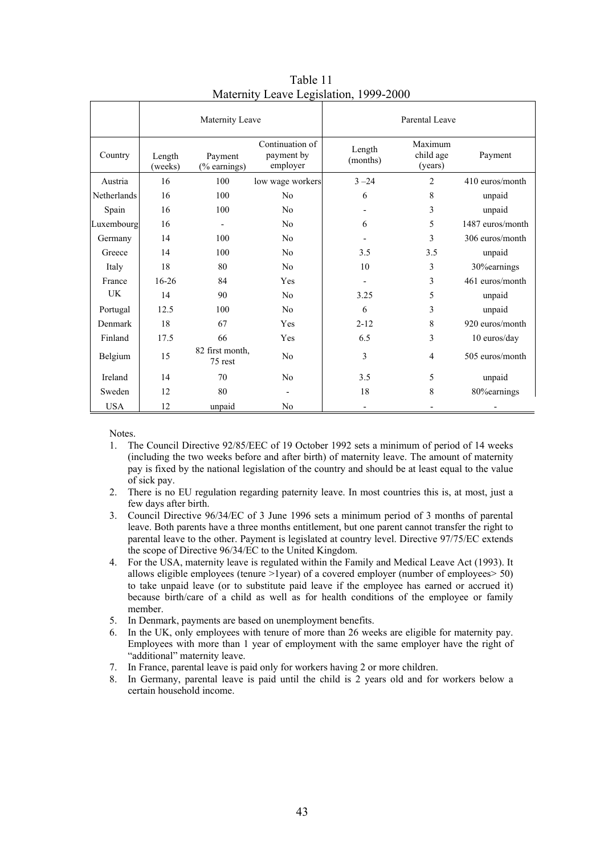|                    |                   | Maternity Leave            |                                           |                    | Parental Leave                  |                  |
|--------------------|-------------------|----------------------------|-------------------------------------------|--------------------|---------------------------------|------------------|
| Country            | Length<br>(weeks) | Payment<br>(% earnings)    | Continuation of<br>payment by<br>employer | Length<br>(months) | Maximum<br>child age<br>(years) | Payment          |
| Austria            | 16                | 100                        | low wage workers                          | $3 - 24$           | $\overline{2}$                  | 410 euros/month  |
| <b>Netherlands</b> | 16                | 100                        | No                                        | 6                  | 8                               | unpaid           |
| Spain              | 16                | 100                        | N <sub>0</sub>                            |                    | 3                               | unpaid           |
| Luxembourg         | 16                |                            | N <sub>0</sub>                            | 6                  | 5                               | 1487 euros/month |
| Germany            | 14                | 100                        | N <sub>0</sub>                            |                    | 3                               | 306 euros/month  |
| Greece             | 14                | 100                        | N <sub>0</sub>                            | 3.5                | 3.5                             | unpaid           |
| Italy              | 18                | 80                         | No                                        | 10                 | 3                               | 30% earnings     |
| France             | $16 - 26$         | 84                         | Yes                                       |                    | 3                               | 461 euros/month  |
| UK                 | 14                | 90                         | N <sub>0</sub>                            | 3.25               | 5                               | unpaid           |
| Portugal           | 12.5              | 100                        | No                                        | 6                  | 3                               | unpaid           |
| Denmark            | 18                | 67                         | Yes                                       | $2 - 12$           | 8                               | 920 euros/month  |
| Finland            | 17.5              | 66                         | Yes                                       | 6.5                | 3                               | 10 euros/day     |
| Belgium            | 15                | 82 first month.<br>75 rest | No                                        | 3                  | $\overline{4}$                  | 505 euros/month  |
| Ireland            | 14                | 70                         | No                                        | 3.5                | 5                               | unpaid           |
| Sweden             | 12                | 80                         |                                           | 18                 | 8                               | 80% earnings     |
| <b>USA</b>         | 12                | unpaid                     | N <sub>0</sub>                            |                    |                                 |                  |

Table 11 Maternity Leave Legislation, 1999-2000

- 1. The Council Directive 92/85/EEC of 19 October 1992 sets a minimum of period of 14 weeks (including the two weeks before and after birth) of maternity leave. The amount of maternity pay is fixed by the national legislation of the country and should be at least equal to the value of sick pay.
- 2. There is no EU regulation regarding paternity leave. In most countries this is, at most, just a few days after birth.
- 3. Council Directive 96/34/EC of 3 June 1996 sets a minimum period of 3 months of parental leave. Both parents have a three months entitlement, but one parent cannot transfer the right to parental leave to the other. Payment is legislated at country level. Directive 97/75/EC extends the scope of Directive 96/34/EC to the United Kingdom.
- 4. For the USA, maternity leave is regulated within the Family and Medical Leave Act (1993). It allows eligible employees (tenure  $>1$ year) of a covered employer (number of employees $> 50$ ) to take unpaid leave (or to substitute paid leave if the employee has earned or accrued it) because birth/care of a child as well as for health conditions of the employee or family member.
- 5. In Denmark, payments are based on unemployment benefits.
- 6. In the UK, only employees with tenure of more than 26 weeks are eligible for maternity pay. Employees with more than 1 year of employment with the same employer have the right of "additional" maternity leave.
- 7. In France, parental leave is paid only for workers having 2 or more children.
- 8. In Germany, parental leave is paid until the child is 2 years old and for workers below a certain household income.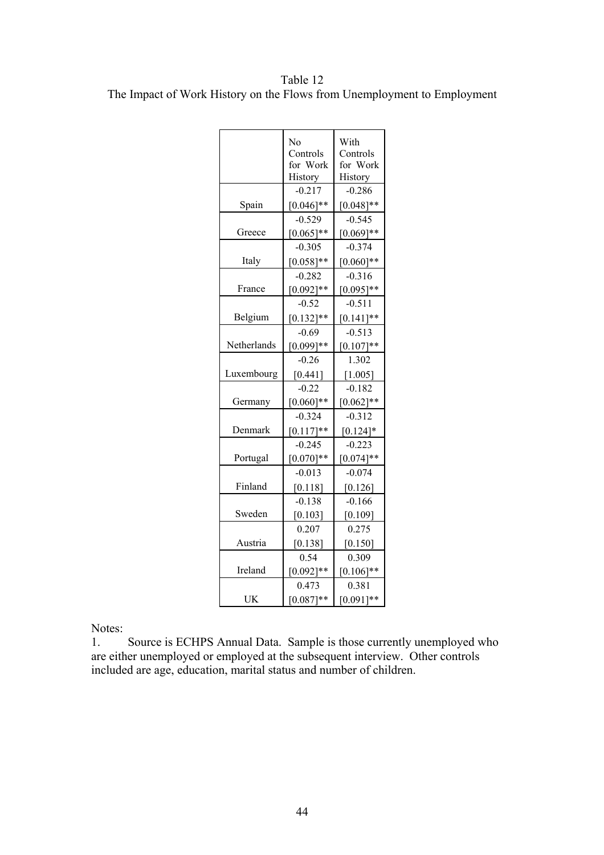Table 12 The Impact of Work History on the Flows from Unemployment to Employment

|             | No           | With         |
|-------------|--------------|--------------|
|             | Controls     | Controls     |
|             | for Work     | for Work     |
|             | History      | History      |
|             | $-0.217$     | $-0.286$     |
| Spain       | $[0.046]$ ** | $[0.048]$ ** |
|             | $-0.529$     | $-0.545$     |
| Greece      | $[0.065]$ ** | $[0.069]$ ** |
|             | $-0.305$     | $-0.374$     |
| Italy       | $[0.058]$ ** | $[0.060]$ ** |
|             | $-0.282$     | $-0.316$     |
| France      | $[0.092]**$  | $[0.095]$ ** |
|             | $-0.52$      | $-0.511$     |
| Belgium     | $[0.132]$ ** | $[0.141]$ ** |
|             | $-0.69$      | $-0.513$     |
| Netherlands | $[0.099]$ ** | $[0.107]**$  |
|             | $-0.26$      | 1.302        |
| Luxembourg  | [0.441]      | [1.005]      |
|             | $-0.22$      | $-0.182$     |
| Germany     | $[0.060]$ ** | $[0.062]$ ** |
|             | $-0.324$     | $-0.312$     |
| Denmark     | $[0.117]**$  | $[0.124]$ *  |
|             | $-0.245$     | $-0.223$     |
| Portugal    | $[0.070]**$  | $[0.074]$ ** |
|             | $-0.013$     | $-0.074$     |
| Finland     | [0.118]      | [0.126]      |
|             | $-0.138$     | $-0.166$     |
| Sweden      | $[0.103]$    | [0.109]      |
|             | 0.207        | 0.275        |
| Austria     | [0.138]      | [0.150]      |
|             | 0.54         | 0.309        |
| Ireland     | $[0.092]$ ** | $[0.106]$ ** |
|             | 0.473        | 0.381        |
| UK          | $[0.087]**$  | $[0.091]**$  |

Notes:

1. Source is ECHPS Annual Data. Sample is those currently unemployed who are either unemployed or employed at the subsequent interview. Other controls included are age, education, marital status and number of children.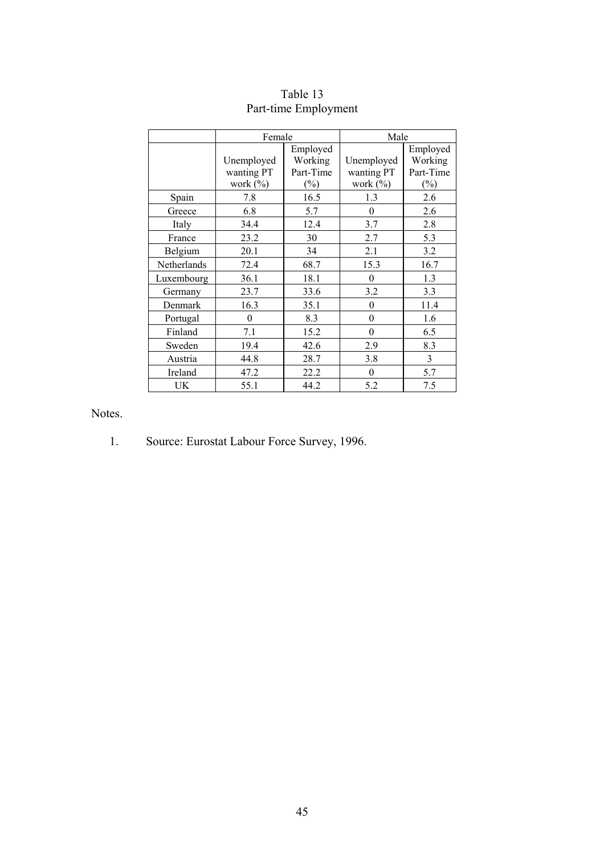|             | Female      |           | Male           |           |
|-------------|-------------|-----------|----------------|-----------|
|             |             | Employed  |                | Employed  |
|             | Unemployed  | Working   | Unemployed     | Working   |
|             | wanting PT  | Part-Time | wanting PT     | Part-Time |
|             | work $(\%)$ | $(\%)$    | work $(\% )$   | $(\%)$    |
| Spain       | 7.8         | 16.5      | 1.3            | 2.6       |
| Greece      | 6.8         | 5.7       | $\theta$       | 2.6       |
| Italy       | 34.4        | 12.4      | 3.7            | 2.8       |
| France      | 23.2        | 30        | 2.7            | 5.3       |
| Belgium     | 20.1        | 34        | 2.1            | 3.2       |
| Netherlands | 72.4        | 68.7      | 15.3           | 16.7      |
| Luxembourg  | 36.1        | 18.1      | $\theta$       | 1.3       |
| Germany     | 23.7        | 33.6      | 3.2            | 3.3       |
| Denmark     | 16.3        | 35.1      | $\theta$       | 11.4      |
| Portugal    | $\theta$    | 8.3       | $\theta$       | 1.6       |
| Finland     | 7.1         | 15.2      | $\overline{0}$ | 6.5       |
| Sweden      | 19.4        | 42.6      | 2.9            | 8.3       |
| Austria     | 44.8        | 28.7      | 3.8            | 3         |
| Ireland     | 47.2        | 22.2      | $\theta$       | 5.7       |
| UK          | 55.1        | 44.2      | 5.2            | 7.5       |

## Table 13 Part-time Employment

Notes.

1. Source: Eurostat Labour Force Survey, 1996.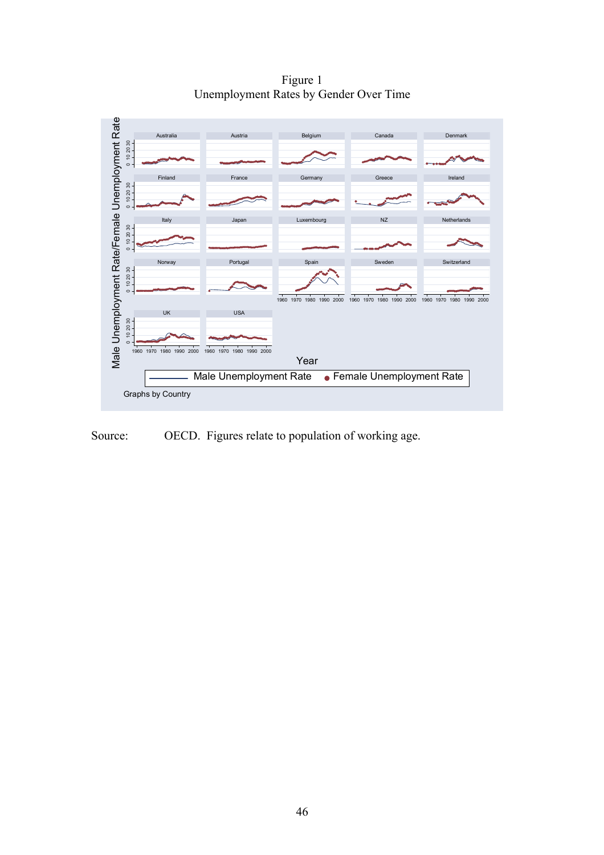Figure 1 Unemployment Rates by Gender Over Time



Source: OECD. Figures relate to population of working age.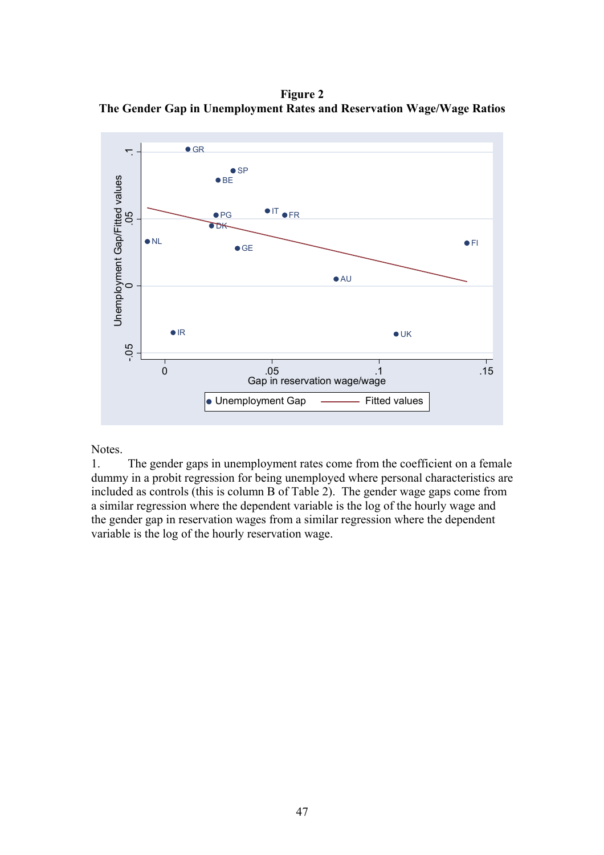**Figure 2 The Gender Gap in Unemployment Rates and Reservation Wage/Wage Ratios** 

![](_page_50_Figure_1.jpeg)

1. The gender gaps in unemployment rates come from the coefficient on a female dummy in a probit regression for being unemployed where personal characteristics are included as controls (this is column B of Table 2). The gender wage gaps come from a similar regression where the dependent variable is the log of the hourly wage and the gender gap in reservation wages from a similar regression where the dependent variable is the log of the hourly reservation wage.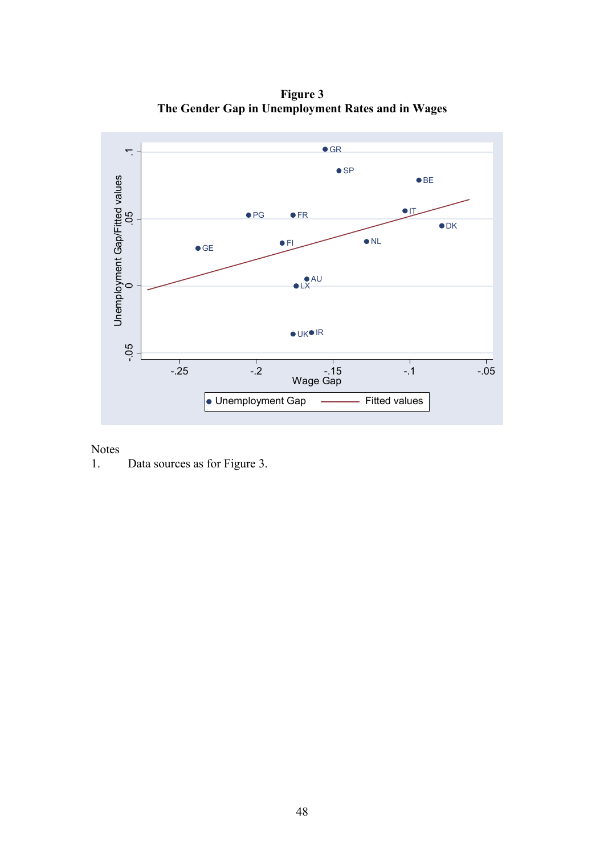**Figure 3 The Gender Gap in Unemployment Rates and in Wages** 

![](_page_51_Figure_1.jpeg)

1. Data sources as for Figure 3.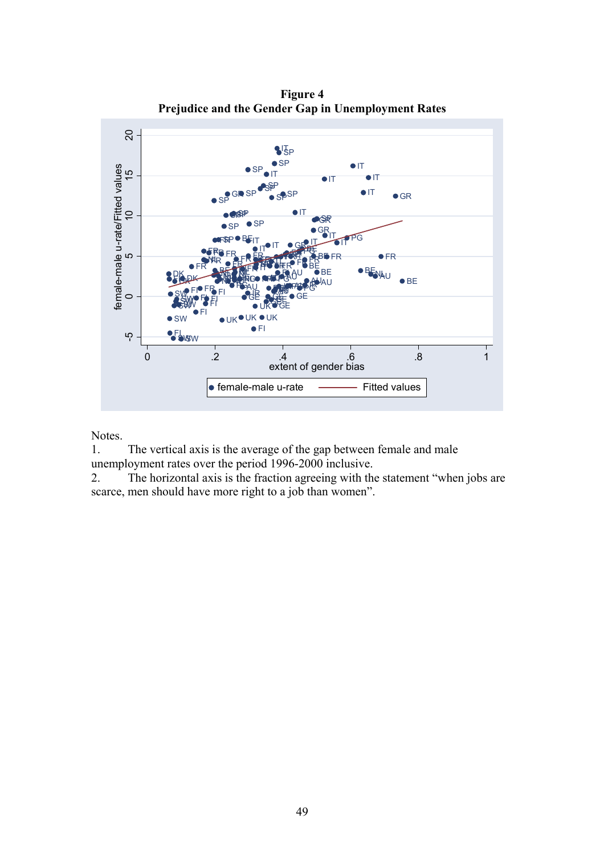![](_page_52_Figure_0.jpeg)

**Figure 4 Prejudice and the Gender Gap in Unemployment Rates** 

1. The vertical axis is the average of the gap between female and male unemployment rates over the period 1996-2000 inclusive.

2. The horizontal axis is the fraction agreeing with the statement "when jobs are scarce, men should have more right to a job than women".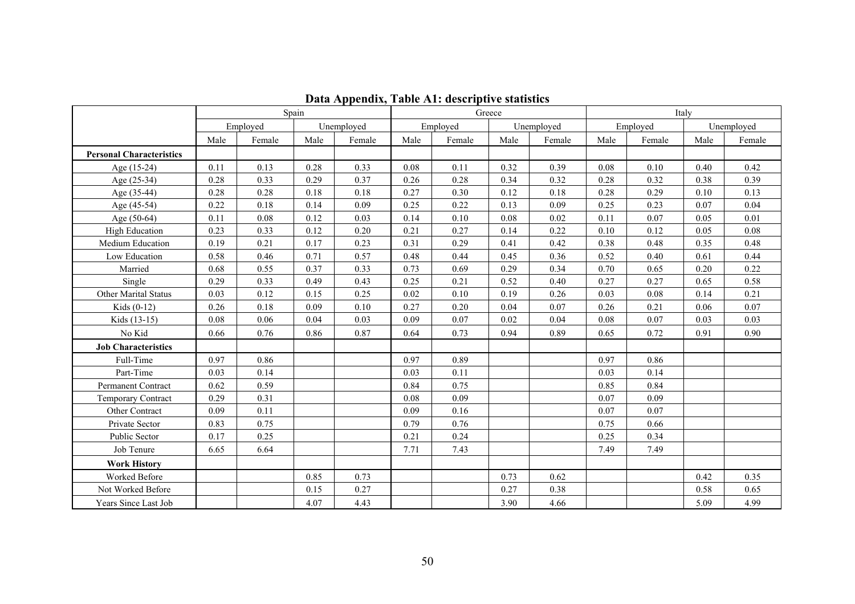|                                 |      | Spain    |      |            |      |          | Greece |            | Italy |          |      |            |
|---------------------------------|------|----------|------|------------|------|----------|--------|------------|-------|----------|------|------------|
|                                 |      | Employed |      | Unemployed |      | Employed |        | Unemployed |       | Employed |      | Unemployed |
|                                 | Male | Female   | Male | Female     | Male | Female   | Male   | Female     | Male  | Female   | Male | Female     |
| <b>Personal Characteristics</b> |      |          |      |            |      |          |        |            |       |          |      |            |
| Age (15-24)                     | 0.11 | 0.13     | 0.28 | 0.33       | 0.08 | 0.11     | 0.32   | 0.39       | 0.08  | 0.10     | 0.40 | 0.42       |
| Age (25-34)                     | 0.28 | 0.33     | 0.29 | 0.37       | 0.26 | 0.28     | 0.34   | 0.32       | 0.28  | 0.32     | 0.38 | 0.39       |
| Age (35-44)                     | 0.28 | 0.28     | 0.18 | 0.18       | 0.27 | 0.30     | 0.12   | 0.18       | 0.28  | 0.29     | 0.10 | 0.13       |
| Age (45-54)                     | 0.22 | 0.18     | 0.14 | 0.09       | 0.25 | 0.22     | 0.13   | 0.09       | 0.25  | 0.23     | 0.07 | 0.04       |
| Age (50-64)                     | 0.11 | 0.08     | 0.12 | 0.03       | 0.14 | 0.10     | 0.08   | 0.02       | 0.11  | 0.07     | 0.05 | 0.01       |
| <b>High Education</b>           | 0.23 | 0.33     | 0.12 | 0.20       | 0.21 | 0.27     | 0.14   | 0.22       | 0.10  | 0.12     | 0.05 | 0.08       |
| Medium Education                | 0.19 | 0.21     | 0.17 | 0.23       | 0.31 | 0.29     | 0.41   | 0.42       | 0.38  | 0.48     | 0.35 | 0.48       |
| Low Education                   | 0.58 | 0.46     | 0.71 | 0.57       | 0.48 | 0.44     | 0.45   | 0.36       | 0.52  | 0.40     | 0.61 | 0.44       |
| Married                         | 0.68 | 0.55     | 0.37 | 0.33       | 0.73 | 0.69     | 0.29   | 0.34       | 0.70  | 0.65     | 0.20 | 0.22       |
| Single                          | 0.29 | 0.33     | 0.49 | 0.43       | 0.25 | 0.21     | 0.52   | 0.40       | 0.27  | 0.27     | 0.65 | 0.58       |
| <b>Other Marital Status</b>     | 0.03 | 0.12     | 0.15 | 0.25       | 0.02 | 0.10     | 0.19   | 0.26       | 0.03  | 0.08     | 0.14 | 0.21       |
| Kids $(0-12)$                   | 0.26 | 0.18     | 0.09 | 0.10       | 0.27 | 0.20     | 0.04   | 0.07       | 0.26  | 0.21     | 0.06 | 0.07       |
| Kids (13-15)                    | 0.08 | 0.06     | 0.04 | 0.03       | 0.09 | 0.07     | 0.02   | 0.04       | 0.08  | 0.07     | 0.03 | 0.03       |
| No Kid                          | 0.66 | 0.76     | 0.86 | 0.87       | 0.64 | 0.73     | 0.94   | 0.89       | 0.65  | 0.72     | 0.91 | 0.90       |
| <b>Job Characteristics</b>      |      |          |      |            |      |          |        |            |       |          |      |            |
| Full-Time                       | 0.97 | 0.86     |      |            | 0.97 | 0.89     |        |            | 0.97  | 0.86     |      |            |
| Part-Time                       | 0.03 | 0.14     |      |            | 0.03 | 0.11     |        |            | 0.03  | 0.14     |      |            |
| <b>Permanent Contract</b>       | 0.62 | 0.59     |      |            | 0.84 | 0.75     |        |            | 0.85  | 0.84     |      |            |
| <b>Temporary Contract</b>       | 0.29 | 0.31     |      |            | 0.08 | 0.09     |        |            | 0.07  | 0.09     |      |            |
| Other Contract                  | 0.09 | 0.11     |      |            | 0.09 | 0.16     |        |            | 0.07  | 0.07     |      |            |
| Private Sector                  | 0.83 | 0.75     |      |            | 0.79 | 0.76     |        |            | 0.75  | 0.66     |      |            |
| Public Sector                   | 0.17 | 0.25     |      |            | 0.21 | 0.24     |        |            | 0.25  | 0.34     |      |            |
| Job Tenure                      | 6.65 | 6.64     |      |            | 7.71 | 7.43     |        |            | 7.49  | 7.49     |      |            |
| <b>Work History</b>             |      |          |      |            |      |          |        |            |       |          |      |            |
| <b>Worked Before</b>            |      |          | 0.85 | 0.73       |      |          | 0.73   | 0.62       |       |          | 0.42 | 0.35       |
| Not Worked Before               |      |          | 0.15 | 0.27       |      |          | 0.27   | 0.38       |       |          | 0.58 | 0.65       |
| Years Since Last Job            |      |          | 4.07 | 4.43       |      |          | 3.90   | 4.66       |       |          | 5.09 | 4.99       |

**Data Appendix, Table A1: descriptive statistics**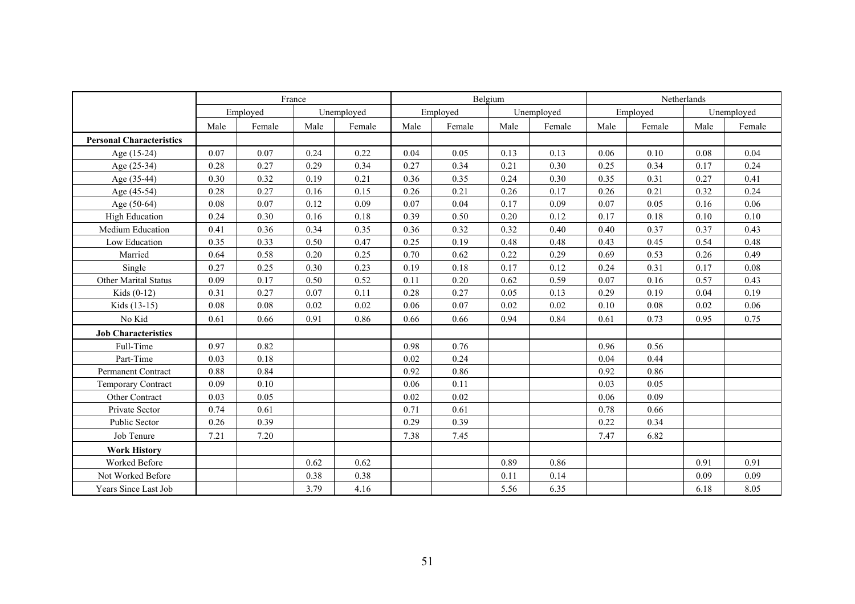|                                 |      | France   |      |            |      |          | Belgium |            | Netherlands |          |      |            |
|---------------------------------|------|----------|------|------------|------|----------|---------|------------|-------------|----------|------|------------|
|                                 |      | Employed |      | Unemployed |      | Employed |         | Unemployed |             | Employed |      | Unemployed |
|                                 | Male | Female   | Male | Female     | Male | Female   | Male    | Female     | Male        | Female   | Male | Female     |
| <b>Personal Characteristics</b> |      |          |      |            |      |          |         |            |             |          |      |            |
| Age (15-24)                     | 0.07 | 0.07     | 0.24 | 0.22       | 0.04 | 0.05     | 0.13    | 0.13       | 0.06        | 0.10     | 0.08 | 0.04       |
| Age (25-34)                     | 0.28 | 0.27     | 0.29 | 0.34       | 0.27 | 0.34     | 0.21    | 0.30       | 0.25        | 0.34     | 0.17 | 0.24       |
| Age (35-44)                     | 0.30 | 0.32     | 0.19 | 0.21       | 0.36 | 0.35     | 0.24    | 0.30       | 0.35        | 0.31     | 0.27 | 0.41       |
| Age (45-54)                     | 0.28 | 0.27     | 0.16 | 0.15       | 0.26 | 0.21     | 0.26    | 0.17       | 0.26        | 0.21     | 0.32 | 0.24       |
| Age (50-64)                     | 0.08 | 0.07     | 0.12 | 0.09       | 0.07 | 0.04     | 0.17    | 0.09       | 0.07        | 0.05     | 0.16 | $0.06\,$   |
| <b>High Education</b>           | 0.24 | 0.30     | 0.16 | 0.18       | 0.39 | 0.50     | 0.20    | 0.12       | 0.17        | 0.18     | 0.10 | $0.10\,$   |
| Medium Education                | 0.41 | 0.36     | 0.34 | 0.35       | 0.36 | 0.32     | 0.32    | 0.40       | 0.40        | 0.37     | 0.37 | 0.43       |
| Low Education                   | 0.35 | 0.33     | 0.50 | 0.47       | 0.25 | 0.19     | 0.48    | 0.48       | 0.43        | 0.45     | 0.54 | 0.48       |
| Married                         | 0.64 | 0.58     | 0.20 | 0.25       | 0.70 | 0.62     | 0.22    | 0.29       | 0.69        | 0.53     | 0.26 | 0.49       |
| Single                          | 0.27 | 0.25     | 0.30 | 0.23       | 0.19 | 0.18     | 0.17    | 0.12       | 0.24        | 0.31     | 0.17 | 0.08       |
| <b>Other Marital Status</b>     | 0.09 | 0.17     | 0.50 | 0.52       | 0.11 | 0.20     | 0.62    | 0.59       | 0.07        | 0.16     | 0.57 | 0.43       |
| Kids $(0-12)$                   | 0.31 | 0.27     | 0.07 | 0.11       | 0.28 | 0.27     | 0.05    | 0.13       | 0.29        | 0.19     | 0.04 | 0.19       |
| Kids (13-15)                    | 0.08 | 0.08     | 0.02 | 0.02       | 0.06 | 0.07     | 0.02    | 0.02       | 0.10        | 0.08     | 0.02 | 0.06       |
| No Kid                          | 0.61 | 0.66     | 0.91 | 0.86       | 0.66 | 0.66     | 0.94    | 0.84       | 0.61        | 0.73     | 0.95 | 0.75       |
| <b>Job Characteristics</b>      |      |          |      |            |      |          |         |            |             |          |      |            |
| Full-Time                       | 0.97 | 0.82     |      |            | 0.98 | 0.76     |         |            | 0.96        | 0.56     |      |            |
| Part-Time                       | 0.03 | 0.18     |      |            | 0.02 | 0.24     |         |            | 0.04        | 0.44     |      |            |
| Permanent Contract              | 0.88 | 0.84     |      |            | 0.92 | 0.86     |         |            | 0.92        | 0.86     |      |            |
| Temporary Contract              | 0.09 | 0.10     |      |            | 0.06 | 0.11     |         |            | 0.03        | 0.05     |      |            |
| Other Contract                  | 0.03 | 0.05     |      |            | 0.02 | 0.02     |         |            | 0.06        | 0.09     |      |            |
| Private Sector                  | 0.74 | 0.61     |      |            | 0.71 | 0.61     |         |            | 0.78        | 0.66     |      |            |
| Public Sector                   | 0.26 | 0.39     |      |            | 0.29 | 0.39     |         |            | 0.22        | 0.34     |      |            |
| Job Tenure                      | 7.21 | 7.20     |      |            | 7.38 | 7.45     |         |            | 7.47        | 6.82     |      |            |
| <b>Work History</b>             |      |          |      |            |      |          |         |            |             |          |      |            |
| Worked Before                   |      |          | 0.62 | 0.62       |      |          | 0.89    | 0.86       |             |          | 0.91 | 0.91       |
| Not Worked Before               |      |          | 0.38 | 0.38       |      |          | 0.11    | 0.14       |             |          | 0.09 | 0.09       |
| Years Since Last Job            |      |          | 3.79 | 4.16       |      |          | 5.56    | 6.35       |             |          | 6.18 | 8.05       |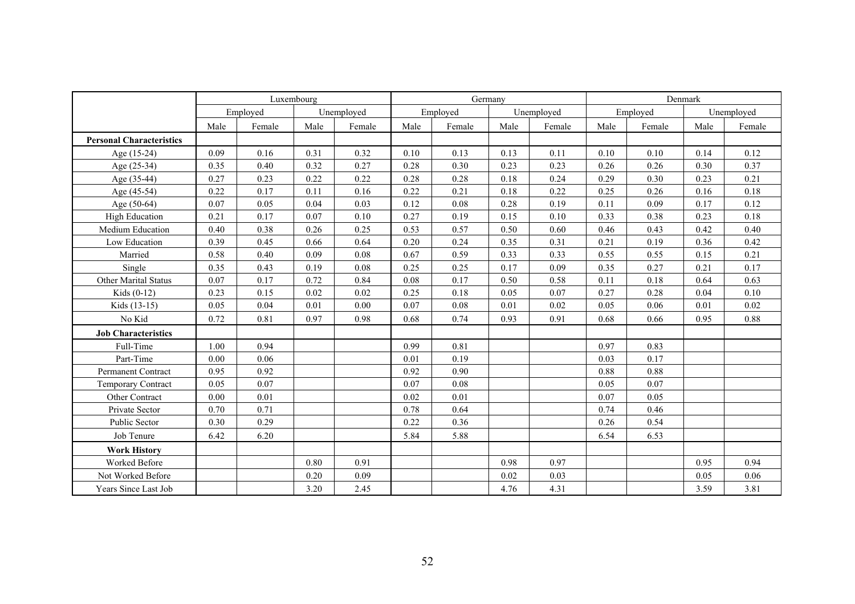|                                 |      | Luxembourg |      |            |      |          | Germany |            | Denmark |          |      |            |
|---------------------------------|------|------------|------|------------|------|----------|---------|------------|---------|----------|------|------------|
|                                 |      | Employed   |      | Unemployed |      | Employed |         | Unemployed |         | Employed |      | Unemployed |
|                                 | Male | Female     | Male | Female     | Male | Female   | Male    | Female     | Male    | Female   | Male | Female     |
| <b>Personal Characteristics</b> |      |            |      |            |      |          |         |            |         |          |      |            |
| Age (15-24)                     | 0.09 | 0.16       | 0.31 | 0.32       | 0.10 | 0.13     | 0.13    | 0.11       | 0.10    | 0.10     | 0.14 | 0.12       |
| Age (25-34)                     | 0.35 | 0.40       | 0.32 | 0.27       | 0.28 | 0.30     | 0.23    | 0.23       | 0.26    | 0.26     | 0.30 | 0.37       |
| Age (35-44)                     | 0.27 | 0.23       | 0.22 | 0.22       | 0.28 | 0.28     | 0.18    | 0.24       | 0.29    | 0.30     | 0.23 | 0.21       |
| Age (45-54)                     | 0.22 | 0.17       | 0.11 | 0.16       | 0.22 | 0.21     | 0.18    | 0.22       | 0.25    | 0.26     | 0.16 | 0.18       |
| Age (50-64)                     | 0.07 | 0.05       | 0.04 | 0.03       | 0.12 | 0.08     | 0.28    | 0.19       | 0.11    | 0.09     | 0.17 | 0.12       |
| <b>High Education</b>           | 0.21 | 0.17       | 0.07 | 0.10       | 0.27 | 0.19     | 0.15    | 0.10       | 0.33    | 0.38     | 0.23 | 0.18       |
| Medium Education                | 0.40 | 0.38       | 0.26 | 0.25       | 0.53 | 0.57     | 0.50    | 0.60       | 0.46    | 0.43     | 0.42 | 0.40       |
| Low Education                   | 0.39 | 0.45       | 0.66 | 0.64       | 0.20 | 0.24     | 0.35    | 0.31       | 0.21    | 0.19     | 0.36 | 0.42       |
| Married                         | 0.58 | 0.40       | 0.09 | 0.08       | 0.67 | 0.59     | 0.33    | 0.33       | 0.55    | 0.55     | 0.15 | 0.21       |
| Single                          | 0.35 | 0.43       | 0.19 | 0.08       | 0.25 | 0.25     | 0.17    | 0.09       | 0.35    | 0.27     | 0.21 | 0.17       |
| <b>Other Marital Status</b>     | 0.07 | 0.17       | 0.72 | 0.84       | 0.08 | 0.17     | 0.50    | 0.58       | 0.11    | 0.18     | 0.64 | 0.63       |
| Kids $(0-12)$                   | 0.23 | 0.15       | 0.02 | 0.02       | 0.25 | 0.18     | 0.05    | 0.07       | 0.27    | 0.28     | 0.04 | 0.10       |
| Kids (13-15)                    | 0.05 | 0.04       | 0.01 | 0.00       | 0.07 | 0.08     | 0.01    | 0.02       | 0.05    | 0.06     | 0.01 | 0.02       |
| No Kid                          | 0.72 | 0.81       | 0.97 | 0.98       | 0.68 | 0.74     | 0.93    | 0.91       | 0.68    | 0.66     | 0.95 | 0.88       |
| <b>Job Characteristics</b>      |      |            |      |            |      |          |         |            |         |          |      |            |
| Full-Time                       | 1.00 | 0.94       |      |            | 0.99 | 0.81     |         |            | 0.97    | 0.83     |      |            |
| Part-Time                       | 0.00 | 0.06       |      |            | 0.01 | 0.19     |         |            | 0.03    | 0.17     |      |            |
| Permanent Contract              | 0.95 | 0.92       |      |            | 0.92 | 0.90     |         |            | 0.88    | 0.88     |      |            |
| Temporary Contract              | 0.05 | 0.07       |      |            | 0.07 | 0.08     |         |            | 0.05    | 0.07     |      |            |
| Other Contract                  | 0.00 | 0.01       |      |            | 0.02 | 0.01     |         |            | 0.07    | 0.05     |      |            |
| Private Sector                  | 0.70 | 0.71       |      |            | 0.78 | 0.64     |         |            | 0.74    | 0.46     |      |            |
| Public Sector                   | 0.30 | 0.29       |      |            | 0.22 | 0.36     |         |            | 0.26    | 0.54     |      |            |
| Job Tenure                      | 6.42 | 6.20       |      |            | 5.84 | 5.88     |         |            | 6.54    | 6.53     |      |            |
| <b>Work History</b>             |      |            |      |            |      |          |         |            |         |          |      |            |
| Worked Before                   |      |            | 0.80 | 0.91       |      |          | 0.98    | 0.97       |         |          | 0.95 | 0.94       |
| Not Worked Before               |      |            | 0.20 | 0.09       |      |          | 0.02    | 0.03       |         |          | 0.05 | 0.06       |
| Years Since Last Job            |      |            | 3.20 | 2.45       |      |          | 4.76    | 4.31       |         |          | 3.59 | 3.81       |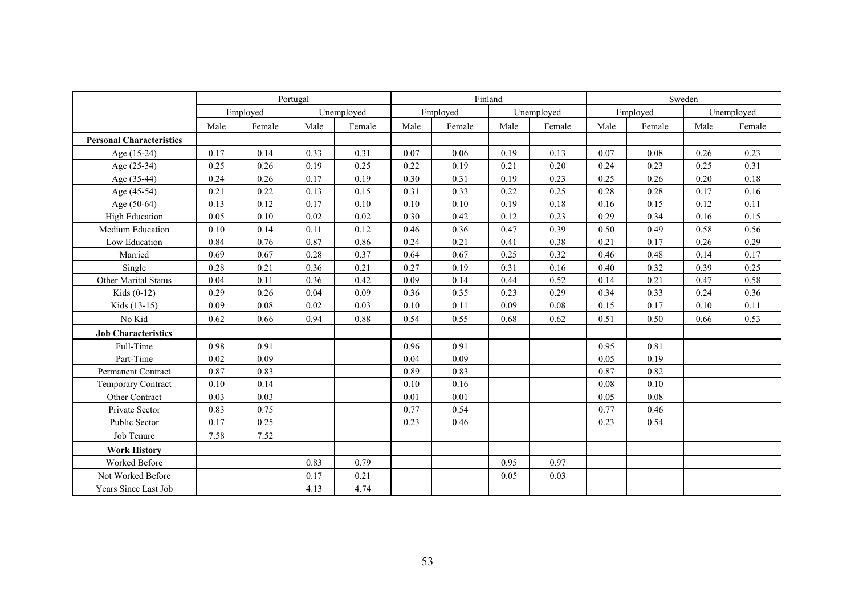|                                 |      | Portugal |      |            |      |          | Finland |            | Sweden |          |      |            |
|---------------------------------|------|----------|------|------------|------|----------|---------|------------|--------|----------|------|------------|
|                                 |      | Employed |      | Unemployed |      | Employed |         | Unemployed |        | Employed |      | Unemployed |
|                                 | Male | Female   | Male | Female     | Male | Female   | Male    | Female     | Male   | Female   | Male | Female     |
| <b>Personal Characteristics</b> |      |          |      |            |      |          |         |            |        |          |      |            |
| Age (15-24)                     | 0.17 | 0.14     | 0.33 | 0.31       | 0.07 | 0.06     | 0.19    | 0.13       | 0.07   | 0.08     | 0.26 | 0.23       |
| Age (25-34)                     | 0.25 | 0.26     | 0.19 | 0.25       | 0.22 | 0.19     | 0.21    | 0.20       | 0.24   | 0.23     | 0.25 | 0.31       |
| Age (35-44)                     | 0.24 | 0.26     | 0.17 | 0.19       | 0.30 | 0.31     | 0.19    | 0.23       | 0.25   | 0.26     | 0.20 | 0.18       |
| Age (45-54)                     | 0.21 | 0.22     | 0.13 | 0.15       | 0.31 | 0.33     | 0.22    | 0.25       | 0.28   | 0.28     | 0.17 | 0.16       |
| Age (50-64)                     | 0.13 | 0.12     | 0.17 | 0.10       | 0.10 | 0.10     | 0.19    | 0.18       | 0.16   | 0.15     | 0.12 | 0.11       |
| <b>High Education</b>           | 0.05 | 0.10     | 0.02 | 0.02       | 0.30 | 0.42     | 0.12    | 0.23       | 0.29   | 0.34     | 0.16 | 0.15       |
| Medium Education                | 0.10 | 0.14     | 0.11 | 0.12       | 0.46 | 0.36     | 0.47    | 0.39       | 0.50   | 0.49     | 0.58 | 0.56       |
| Low Education                   | 0.84 | 0.76     | 0.87 | 0.86       | 0.24 | 0.21     | 0.41    | 0.38       | 0.21   | 0.17     | 0.26 | 0.29       |
| Married                         | 0.69 | 0.67     | 0.28 | 0.37       | 0.64 | 0.67     | 0.25    | 0.32       | 0.46   | 0.48     | 0.14 | 0.17       |
| Single                          | 0.28 | 0.21     | 0.36 | 0.21       | 0.27 | 0.19     | 0.31    | 0.16       | 0.40   | 0.32     | 0.39 | 0.25       |
| <b>Other Marital Status</b>     | 0.04 | 0.11     | 0.36 | 0.42       | 0.09 | 0.14     | 0.44    | 0.52       | 0.14   | 0.21     | 0.47 | 0.58       |
| Kids $(0-12)$                   | 0.29 | 0.26     | 0.04 | 0.09       | 0.36 | 0.35     | 0.23    | 0.29       | 0.34   | 0.33     | 0.24 | 0.36       |
| Kids (13-15)                    | 0.09 | 0.08     | 0.02 | 0.03       | 0.10 | 0.11     | 0.09    | 0.08       | 0.15   | 0.17     | 0.10 | 0.11       |
| No Kid                          | 0.62 | 0.66     | 0.94 | 0.88       | 0.54 | 0.55     | 0.68    | 0.62       | 0.51   | $0.50\,$ | 0.66 | 0.53       |
| <b>Job Characteristics</b>      |      |          |      |            |      |          |         |            |        |          |      |            |
| Full-Time                       | 0.98 | 0.91     |      |            | 0.96 | 0.91     |         |            | 0.95   | 0.81     |      |            |
| Part-Time                       | 0.02 | 0.09     |      |            | 0.04 | 0.09     |         |            | 0.05   | 0.19     |      |            |
| Permanent Contract              | 0.87 | 0.83     |      |            | 0.89 | 0.83     |         |            | 0.87   | 0.82     |      |            |
| <b>Temporary Contract</b>       | 0.10 | 0.14     |      |            | 0.10 | 0.16     |         |            | 0.08   | 0.10     |      |            |
| Other Contract                  | 0.03 | 0.03     |      |            | 0.01 | 0.01     |         |            | 0.05   | 0.08     |      |            |
| Private Sector                  | 0.83 | 0.75     |      |            | 0.77 | 0.54     |         |            | 0.77   | 0.46     |      |            |
| <b>Public Sector</b>            | 0.17 | 0.25     |      |            | 0.23 | 0.46     |         |            | 0.23   | 0.54     |      |            |
| Job Tenure                      | 7.58 | 7.52     |      |            |      |          |         |            |        |          |      |            |
| <b>Work History</b>             |      |          |      |            |      |          |         |            |        |          |      |            |
| Worked Before                   |      |          | 0.83 | 0.79       |      |          | 0.95    | 0.97       |        |          |      |            |
| Not Worked Before               |      |          | 0.17 | 0.21       |      |          | 0.05    | 0.03       |        |          |      |            |
| Years Since Last Job            |      |          | 4.13 | 4.74       |      |          |         |            |        |          |      |            |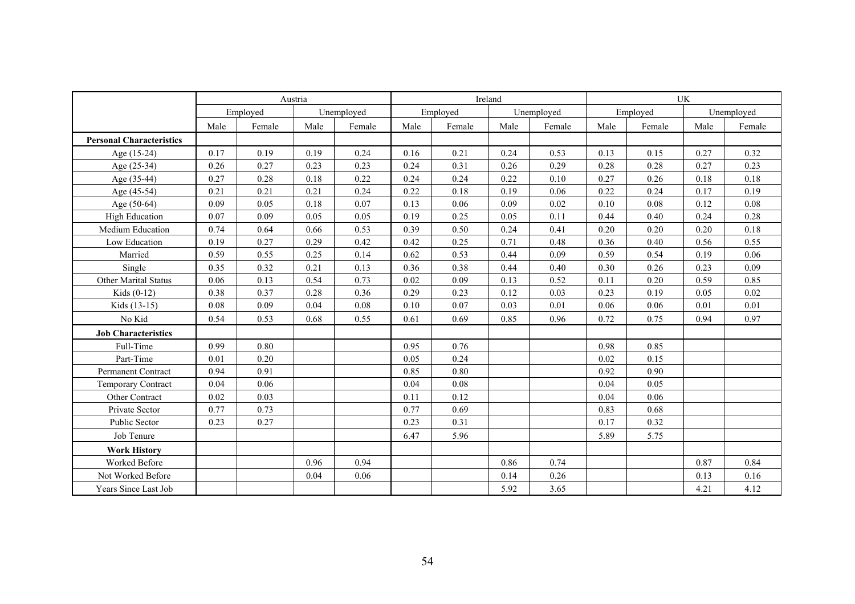|                                 | Austria |          |      |            | Ireland |          | <b>UK</b> |            |      |          |      |            |
|---------------------------------|---------|----------|------|------------|---------|----------|-----------|------------|------|----------|------|------------|
|                                 |         | Employed |      | Unemployed |         | Employed |           | Unemployed |      | Employed |      | Unemployed |
|                                 | Male    | Female   | Male | Female     | Male    | Female   | Male      | Female     | Male | Female   | Male | Female     |
| <b>Personal Characteristics</b> |         |          |      |            |         |          |           |            |      |          |      |            |
| Age (15-24)                     | 0.17    | 0.19     | 0.19 | 0.24       | 0.16    | 0.21     | 0.24      | 0.53       | 0.13 | 0.15     | 0.27 | 0.32       |
| Age (25-34)                     | 0.26    | 0.27     | 0.23 | 0.23       | 0.24    | 0.31     | 0.26      | 0.29       | 0.28 | 0.28     | 0.27 | 0.23       |
| Age (35-44)                     | 0.27    | 0.28     | 0.18 | 0.22       | 0.24    | 0.24     | 0.22      | 0.10       | 0.27 | 0.26     | 0.18 | 0.18       |
| Age (45-54)                     | 0.21    | 0.21     | 0.21 | 0.24       | 0.22    | 0.18     | 0.19      | 0.06       | 0.22 | 0.24     | 0.17 | 0.19       |
| Age (50-64)                     | 0.09    | 0.05     | 0.18 | 0.07       | 0.13    | 0.06     | 0.09      | 0.02       | 0.10 | 0.08     | 0.12 | 0.08       |
| <b>High Education</b>           | 0.07    | 0.09     | 0.05 | 0.05       | 0.19    | 0.25     | 0.05      | 0.11       | 0.44 | 0.40     | 0.24 | 0.28       |
| Medium Education                | 0.74    | 0.64     | 0.66 | 0.53       | 0.39    | 0.50     | 0.24      | 0.41       | 0.20 | 0.20     | 0.20 | 0.18       |
| Low Education                   | 0.19    | 0.27     | 0.29 | 0.42       | 0.42    | 0.25     | 0.71      | 0.48       | 0.36 | 0.40     | 0.56 | 0.55       |
| Married                         | 0.59    | 0.55     | 0.25 | 0.14       | 0.62    | 0.53     | 0.44      | 0.09       | 0.59 | 0.54     | 0.19 | 0.06       |
| Single                          | 0.35    | 0.32     | 0.21 | 0.13       | 0.36    | 0.38     | 0.44      | 0.40       | 0.30 | 0.26     | 0.23 | 0.09       |
| Other Marital Status            | 0.06    | 0.13     | 0.54 | 0.73       | 0.02    | 0.09     | 0.13      | 0.52       | 0.11 | 0.20     | 0.59 | 0.85       |
| Kids $(0-12)$                   | 0.38    | 0.37     | 0.28 | 0.36       | 0.29    | 0.23     | 0.12      | 0.03       | 0.23 | 0.19     | 0.05 | 0.02       |
| Kids (13-15)                    | 0.08    | 0.09     | 0.04 | 0.08       | 0.10    | 0.07     | 0.03      | 0.01       | 0.06 | 0.06     | 0.01 | 0.01       |
| No Kid                          | 0.54    | 0.53     | 0.68 | 0.55       | 0.61    | 0.69     | 0.85      | 0.96       | 0.72 | 0.75     | 0.94 | 0.97       |
| <b>Job Characteristics</b>      |         |          |      |            |         |          |           |            |      |          |      |            |
| Full-Time                       | 0.99    | 0.80     |      |            | 0.95    | 0.76     |           |            | 0.98 | 0.85     |      |            |
| Part-Time                       | 0.01    | 0.20     |      |            | 0.05    | 0.24     |           |            | 0.02 | 0.15     |      |            |
| Permanent Contract              | 0.94    | 0.91     |      |            | 0.85    | 0.80     |           |            | 0.92 | 0.90     |      |            |
| Temporary Contract              | 0.04    | 0.06     |      |            | 0.04    | 0.08     |           |            | 0.04 | 0.05     |      |            |
| Other Contract                  | 0.02    | 0.03     |      |            | 0.11    | 0.12     |           |            | 0.04 | 0.06     |      |            |
| Private Sector                  | 0.77    | 0.73     |      |            | 0.77    | 0.69     |           |            | 0.83 | 0.68     |      |            |
| Public Sector                   | 0.23    | 0.27     |      |            | 0.23    | 0.31     |           |            | 0.17 | 0.32     |      |            |
| Job Tenure                      |         |          |      |            | 6.47    | 5.96     |           |            | 5.89 | 5.75     |      |            |
| <b>Work History</b>             |         |          |      |            |         |          |           |            |      |          |      |            |
| Worked Before                   |         |          | 0.96 | 0.94       |         |          | 0.86      | 0.74       |      |          | 0.87 | 0.84       |
| Not Worked Before               |         |          | 0.04 | 0.06       |         |          | 0.14      | 0.26       |      |          | 0.13 | 0.16       |
| Years Since Last Job            |         |          |      |            |         |          | 5.92      | 3.65       |      |          | 4.21 | 4.12       |